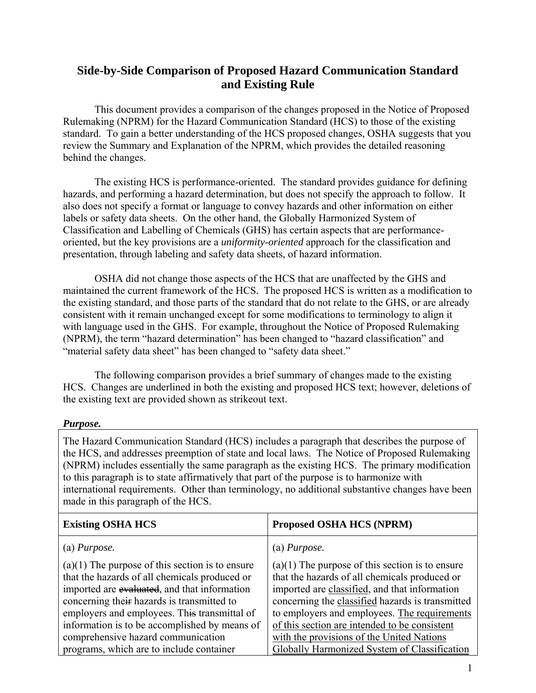## **Side-by-Side Comparison of Proposed Hazard Communication Standard and Existing Rule**

This document provides a comparison of the changes proposed in the Notice of Proposed Rulemaking (NPRM) for the Hazard Communication Standard (HCS) to those of the existing standard. To gain a better understanding of the HCS proposed changes, OSHA suggests that you review the Summary and Explanation of the NPRM, which provides the detailed reasoning behind the changes.

The existing HCS is performance-oriented. The standard provides guidance for defining hazards, and performing a hazard determination, but does not specify the approach to follow. It also does not specify a format or language to convey hazards and other information on either labels or safety data sheets. On the other hand, the Globally Harmonized System of Classification and Labelling of Chemicals (GHS) has certain aspects that are performanceoriented, but the key provisions are a *uniformity-oriented* approach for the classification and presentation, through labeling and safety data sheets, of hazard information.

OSHA did not change those aspects of the HCS that are unaffected by the GHS and maintained the current framework of the HCS. The proposed HCS is written as a modification to the existing standard, and those parts of the standard that do not relate to the GHS, or are already consistent with it remain unchanged except for some modifications to terminology to align it with language used in the GHS. For example, throughout the Notice of Proposed Rulemaking (NPRM), the term "hazard determination" has been changed to "hazard classification" and "material safety data sheet" has been changed to "safety data sheet."

The following comparison provides a brief summary of changes made to the existing HCS. Changes are underlined in both the existing and proposed HCS text; however, deletions of the existing text are provided shown as strikeout text.

#### *Purpose.*

The Hazard Communication Standard (HCS) includes a paragraph that describes the purpose of the HCS, and addresses preemption of state and local laws. The Notice of Proposed Rulemaking (NPRM) includes essentially the same paragraph as the existing HCS. The primary modification to this paragraph is to state affirmatively that part of the purpose is to harmonize with international requirements. Other than terminology, no additional substantive changes have been made in this paragraph of the HCS.

| <b>Existing OSHA HCS</b>                          | Proposed OSHA HCS (NPRM)                          |
|---------------------------------------------------|---------------------------------------------------|
| $(a)$ <i>Purpose.</i>                             | $(a)$ <i>Purpose.</i>                             |
| $(a)(1)$ The purpose of this section is to ensure | $(a)(1)$ The purpose of this section is to ensure |
| that the hazards of all chemicals produced or     | that the hazards of all chemicals produced or     |
| imported are evaluated, and that information      | imported are classified, and that information     |
| concerning their hazards is transmitted to        | concerning the classified hazards is transmitted  |
| employers and employees. This transmittal of      | to employers and employees. The requirements      |
| information is to be accomplished by means of     | of this section are intended to be consistent     |
| comprehensive hazard communication                | with the provisions of the United Nations         |
| programs, which are to include container          | Globally Harmonized System of Classification      |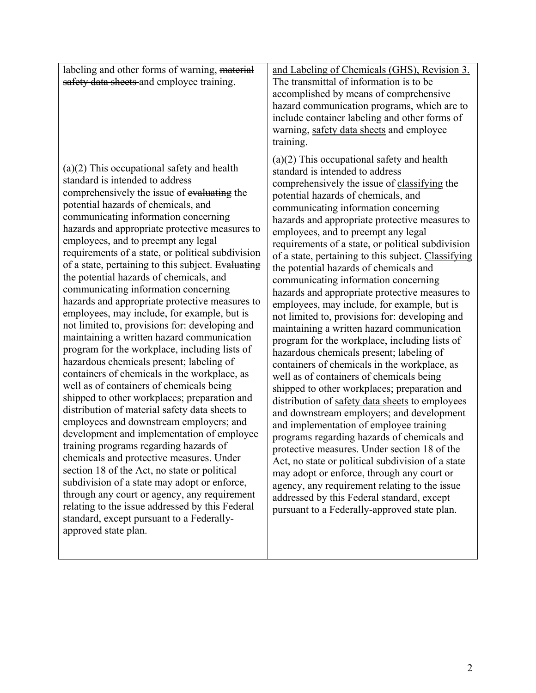| labeling and other forms of warning, material<br>safety data sheets and employee training.                                                                                                                                                                                                                                                                                                                                                                                                                                                                                                                                                                                                                                                                                                                                                                                                                                                                                                                                                                                                                                                                                                                                                                                                                                                                                                                                                              | and Labeling of Chemicals (GHS), Revision 3.<br>The transmittal of information is to be<br>accomplished by means of comprehensive<br>hazard communication programs, which are to<br>include container labeling and other forms of<br>warning, safety data sheets and employee<br>training.                                                                                                                                                                                                                                                                                                                                                                                                                                                                                                                                                                                                                                                                                                                                                                                                                                                                                                                                                                                                                                                                                                                                                  |
|---------------------------------------------------------------------------------------------------------------------------------------------------------------------------------------------------------------------------------------------------------------------------------------------------------------------------------------------------------------------------------------------------------------------------------------------------------------------------------------------------------------------------------------------------------------------------------------------------------------------------------------------------------------------------------------------------------------------------------------------------------------------------------------------------------------------------------------------------------------------------------------------------------------------------------------------------------------------------------------------------------------------------------------------------------------------------------------------------------------------------------------------------------------------------------------------------------------------------------------------------------------------------------------------------------------------------------------------------------------------------------------------------------------------------------------------------------|---------------------------------------------------------------------------------------------------------------------------------------------------------------------------------------------------------------------------------------------------------------------------------------------------------------------------------------------------------------------------------------------------------------------------------------------------------------------------------------------------------------------------------------------------------------------------------------------------------------------------------------------------------------------------------------------------------------------------------------------------------------------------------------------------------------------------------------------------------------------------------------------------------------------------------------------------------------------------------------------------------------------------------------------------------------------------------------------------------------------------------------------------------------------------------------------------------------------------------------------------------------------------------------------------------------------------------------------------------------------------------------------------------------------------------------------|
| $(a)(2)$ This occupational safety and health<br>standard is intended to address<br>comprehensively the issue of evaluating the<br>potential hazards of chemicals, and<br>communicating information concerning<br>hazards and appropriate protective measures to<br>employees, and to preempt any legal<br>requirements of a state, or political subdivision<br>of a state, pertaining to this subject. Evaluating<br>the potential hazards of chemicals, and<br>communicating information concerning<br>hazards and appropriate protective measures to<br>employees, may include, for example, but is<br>not limited to, provisions for: developing and<br>maintaining a written hazard communication<br>program for the workplace, including lists of<br>hazardous chemicals present; labeling of<br>containers of chemicals in the workplace, as<br>well as of containers of chemicals being<br>shipped to other workplaces; preparation and<br>distribution of material safety data sheets to<br>employees and downstream employers; and<br>development and implementation of employee<br>training programs regarding hazards of<br>chemicals and protective measures. Under<br>section 18 of the Act, no state or political<br>subdivision of a state may adopt or enforce,<br>through any court or agency, any requirement<br>relating to the issue addressed by this Federal<br>standard, except pursuant to a Federally-<br>approved state plan. | $(a)(2)$ This occupational safety and health<br>standard is intended to address<br>comprehensively the issue of classifying the<br>potential hazards of chemicals, and<br>communicating information concerning<br>hazards and appropriate protective measures to<br>employees, and to preempt any legal<br>requirements of a state, or political subdivision<br>of a state, pertaining to this subject. Classifying<br>the potential hazards of chemicals and<br>communicating information concerning<br>hazards and appropriate protective measures to<br>employees, may include, for example, but is<br>not limited to, provisions for: developing and<br>maintaining a written hazard communication<br>program for the workplace, including lists of<br>hazardous chemicals present; labeling of<br>containers of chemicals in the workplace, as<br>well as of containers of chemicals being<br>shipped to other workplaces; preparation and<br>distribution of safety data sheets to employees<br>and downstream employers; and development<br>and implementation of employee training<br>programs regarding hazards of chemicals and<br>protective measures. Under section 18 of the<br>Act, no state or political subdivision of a state<br>may adopt or enforce, through any court or<br>agency, any requirement relating to the issue<br>addressed by this Federal standard, except<br>pursuant to a Federally-approved state plan. |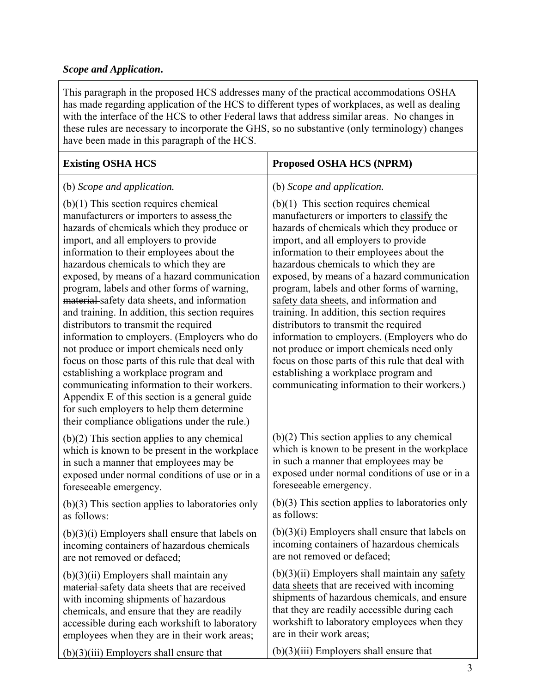### *Scope and Application***.**

This paragraph in the proposed HCS addresses many of the practical accommodations OSHA has made regarding application of the HCS to different types of workplaces, as well as dealing with the interface of the HCS to other Federal laws that address similar areas. No changes in these rules are necessary to incorporate the GHS, so no substantive (only terminology) changes have been made in this paragraph of the HCS.

| <b>Existing OSHA HCS</b>                                                                                                                                                                                                                                                                                                                                                                                                                                                                                                                                                                                                                                                                                                                                                                                                                                                                        | Proposed OSHA HCS (NPRM)                                                                                                                                                                                                                                                                                                                                                                                                                                                                                                                                                                                                                                                                                                                   |
|-------------------------------------------------------------------------------------------------------------------------------------------------------------------------------------------------------------------------------------------------------------------------------------------------------------------------------------------------------------------------------------------------------------------------------------------------------------------------------------------------------------------------------------------------------------------------------------------------------------------------------------------------------------------------------------------------------------------------------------------------------------------------------------------------------------------------------------------------------------------------------------------------|--------------------------------------------------------------------------------------------------------------------------------------------------------------------------------------------------------------------------------------------------------------------------------------------------------------------------------------------------------------------------------------------------------------------------------------------------------------------------------------------------------------------------------------------------------------------------------------------------------------------------------------------------------------------------------------------------------------------------------------------|
| (b) Scope and application.                                                                                                                                                                                                                                                                                                                                                                                                                                                                                                                                                                                                                                                                                                                                                                                                                                                                      | (b) Scope and application.                                                                                                                                                                                                                                                                                                                                                                                                                                                                                                                                                                                                                                                                                                                 |
| $(b)(1)$ This section requires chemical<br>manufacturers or importers to assess the<br>hazards of chemicals which they produce or<br>import, and all employers to provide<br>information to their employees about the<br>hazardous chemicals to which they are<br>exposed, by means of a hazard communication<br>program, labels and other forms of warning,<br>material safety data sheets, and information<br>and training. In addition, this section requires<br>distributors to transmit the required<br>information to employers. (Employers who do<br>not produce or import chemicals need only<br>focus on those parts of this rule that deal with<br>establishing a workplace program and<br>communicating information to their workers.<br>Appendix E of this section is a general guide<br>for such employers to help them determine<br>their compliance obligations under the rule.) | $(b)(1)$ This section requires chemical<br>manufacturers or importers to classify the<br>hazards of chemicals which they produce or<br>import, and all employers to provide<br>information to their employees about the<br>hazardous chemicals to which they are<br>exposed, by means of a hazard communication<br>program, labels and other forms of warning,<br>safety data sheets, and information and<br>training. In addition, this section requires<br>distributors to transmit the required<br>information to employers. (Employers who do<br>not produce or import chemicals need only<br>focus on those parts of this rule that deal with<br>establishing a workplace program and<br>communicating information to their workers.) |
| $(b)(2)$ This section applies to any chemical                                                                                                                                                                                                                                                                                                                                                                                                                                                                                                                                                                                                                                                                                                                                                                                                                                                   | $(b)(2)$ This section applies to any chemical                                                                                                                                                                                                                                                                                                                                                                                                                                                                                                                                                                                                                                                                                              |
| which is known to be present in the workplace                                                                                                                                                                                                                                                                                                                                                                                                                                                                                                                                                                                                                                                                                                                                                                                                                                                   | which is known to be present in the workplace                                                                                                                                                                                                                                                                                                                                                                                                                                                                                                                                                                                                                                                                                              |
| in such a manner that employees may be                                                                                                                                                                                                                                                                                                                                                                                                                                                                                                                                                                                                                                                                                                                                                                                                                                                          | in such a manner that employees may be                                                                                                                                                                                                                                                                                                                                                                                                                                                                                                                                                                                                                                                                                                     |
| exposed under normal conditions of use or in a                                                                                                                                                                                                                                                                                                                                                                                                                                                                                                                                                                                                                                                                                                                                                                                                                                                  | exposed under normal conditions of use or in a                                                                                                                                                                                                                                                                                                                                                                                                                                                                                                                                                                                                                                                                                             |
| foreseeable emergency.                                                                                                                                                                                                                                                                                                                                                                                                                                                                                                                                                                                                                                                                                                                                                                                                                                                                          | foreseeable emergency.                                                                                                                                                                                                                                                                                                                                                                                                                                                                                                                                                                                                                                                                                                                     |
| $(b)(3)$ This section applies to laboratories only                                                                                                                                                                                                                                                                                                                                                                                                                                                                                                                                                                                                                                                                                                                                                                                                                                              | $(b)(3)$ This section applies to laboratories only                                                                                                                                                                                                                                                                                                                                                                                                                                                                                                                                                                                                                                                                                         |
| as follows:                                                                                                                                                                                                                                                                                                                                                                                                                                                                                                                                                                                                                                                                                                                                                                                                                                                                                     | as follows:                                                                                                                                                                                                                                                                                                                                                                                                                                                                                                                                                                                                                                                                                                                                |
| $(b)(3)(i)$ Employers shall ensure that labels on                                                                                                                                                                                                                                                                                                                                                                                                                                                                                                                                                                                                                                                                                                                                                                                                                                               | $(b)(3)(i)$ Employers shall ensure that labels on                                                                                                                                                                                                                                                                                                                                                                                                                                                                                                                                                                                                                                                                                          |
| incoming containers of hazardous chemicals                                                                                                                                                                                                                                                                                                                                                                                                                                                                                                                                                                                                                                                                                                                                                                                                                                                      | incoming containers of hazardous chemicals                                                                                                                                                                                                                                                                                                                                                                                                                                                                                                                                                                                                                                                                                                 |
| are not removed or defaced;                                                                                                                                                                                                                                                                                                                                                                                                                                                                                                                                                                                                                                                                                                                                                                                                                                                                     | are not removed or defaced;                                                                                                                                                                                                                                                                                                                                                                                                                                                                                                                                                                                                                                                                                                                |
| $(b)(3)(ii)$ Employers shall maintain any                                                                                                                                                                                                                                                                                                                                                                                                                                                                                                                                                                                                                                                                                                                                                                                                                                                       | $(b)(3)(ii)$ Employers shall maintain any safety                                                                                                                                                                                                                                                                                                                                                                                                                                                                                                                                                                                                                                                                                           |
| material safety data sheets that are received                                                                                                                                                                                                                                                                                                                                                                                                                                                                                                                                                                                                                                                                                                                                                                                                                                                   | data sheets that are received with incoming                                                                                                                                                                                                                                                                                                                                                                                                                                                                                                                                                                                                                                                                                                |
| with incoming shipments of hazardous                                                                                                                                                                                                                                                                                                                                                                                                                                                                                                                                                                                                                                                                                                                                                                                                                                                            | shipments of hazardous chemicals, and ensure                                                                                                                                                                                                                                                                                                                                                                                                                                                                                                                                                                                                                                                                                               |
| chemicals, and ensure that they are readily                                                                                                                                                                                                                                                                                                                                                                                                                                                                                                                                                                                                                                                                                                                                                                                                                                                     | that they are readily accessible during each                                                                                                                                                                                                                                                                                                                                                                                                                                                                                                                                                                                                                                                                                               |
| accessible during each workshift to laboratory                                                                                                                                                                                                                                                                                                                                                                                                                                                                                                                                                                                                                                                                                                                                                                                                                                                  | workshift to laboratory employees when they                                                                                                                                                                                                                                                                                                                                                                                                                                                                                                                                                                                                                                                                                                |
| employees when they are in their work areas;                                                                                                                                                                                                                                                                                                                                                                                                                                                                                                                                                                                                                                                                                                                                                                                                                                                    | are in their work areas;                                                                                                                                                                                                                                                                                                                                                                                                                                                                                                                                                                                                                                                                                                                   |
| $(b)(3)(iii)$ Employers shall ensure that                                                                                                                                                                                                                                                                                                                                                                                                                                                                                                                                                                                                                                                                                                                                                                                                                                                       | $(b)(3)(iii)$ Employers shall ensure that                                                                                                                                                                                                                                                                                                                                                                                                                                                                                                                                                                                                                                                                                                  |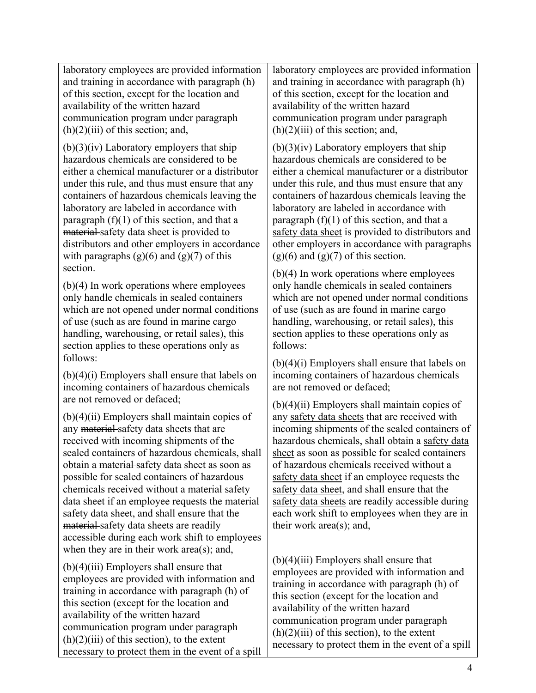| laboratory employees are provided information | laboratory employees are provided information |
|-----------------------------------------------|-----------------------------------------------|
| and training in accordance with paragraph (h) | and training in accordance with paragraph (h) |
| of this section, except for the location and  | of this section, except for the location and  |
| availability of the written hazard            | availability of the written hazard            |
| communication program under paragraph         | communication program under paragraph         |
| $(h)(2)(iii)$ of this section; and,           | $(h)(2)(iii)$ of this section; and,           |

 $(b)(3)(iv)$  Laboratory employers that ship hazardous chemicals are considered to be either a chemical manufacturer or a distributor under this rule, and thus must ensure that any containers of hazardous chemicals leaving the laboratory are labeled in accordance with paragraph  $(f)(1)$  of this section, and that a material safety data sheet is provided to distributors and other employers in accordance with paragraphs  $(g)(6)$  and  $(g)(7)$  of this section.

(b)(4) In work operations where employees only handle chemicals in sealed containers which are not opened under normal conditions of use (such as are found in marine cargo handling, warehousing, or retail sales), this section applies to these operations only as follows:

(b)(4)(i) Employers shall ensure that labels on incoming containers of hazardous chemicals are not removed or defaced;

(b)(4)(ii) Employers shall maintain copies of any material safety data sheets that are received with incoming shipments of the sealed containers of hazardous chemicals, shall obtain a material safety data sheet as soon as possible for sealed containers of hazardous chemicals received without a material safety data sheet if an employee requests the material safety data sheet, and shall ensure that the material safety data sheets are readily accessible during each work shift to employees when they are in their work area(s); and,

 $(b)(4)(iii)$  Employers shall ensure that employees are provided with information and training in accordance with paragraph (h) of this section (except for the location and availability of the written hazard communication program under paragraph  $(h)(2)(iii)$  of this section), to the extent necessary to protect them in the event of a spill

 $(b)(3)(iv)$  Laboratory employers that ship hazardous chemicals are considered to be either a chemical manufacturer or a distributor under this rule, and thus must ensure that any containers of hazardous chemicals leaving the laboratory are labeled in accordance with paragraph  $(f)(1)$  of this section, and that a safety data sheet is provided to distributors and other employers in accordance with paragraphs  $(g)(6)$  and  $(g)(7)$  of this section.

(b)(4) In work operations where employees only handle chemicals in sealed containers which are not opened under normal conditions of use (such as are found in marine cargo handling, warehousing, or retail sales), this section applies to these operations only as follows:

(b)(4)(i) Employers shall ensure that labels on incoming containers of hazardous chemicals are not removed or defaced;

 $(b)(4)(ii)$  Employers shall maintain copies of any safety data sheets that are received with incoming shipments of the sealed containers of hazardous chemicals, shall obtain a safety data sheet as soon as possible for sealed containers of hazardous chemicals received without a safety data sheet if an employee requests the safety data sheet, and shall ensure that the safety data sheets are readily accessible during each work shift to employees when they are in their work area(s); and,

 $(b)(4)(iii)$  Employers shall ensure that employees are provided with information and training in accordance with paragraph (h) of this section (except for the location and availability of the written hazard communication program under paragraph  $(h)(2)(iii)$  of this section), to the extent necessary to protect them in the event of a spill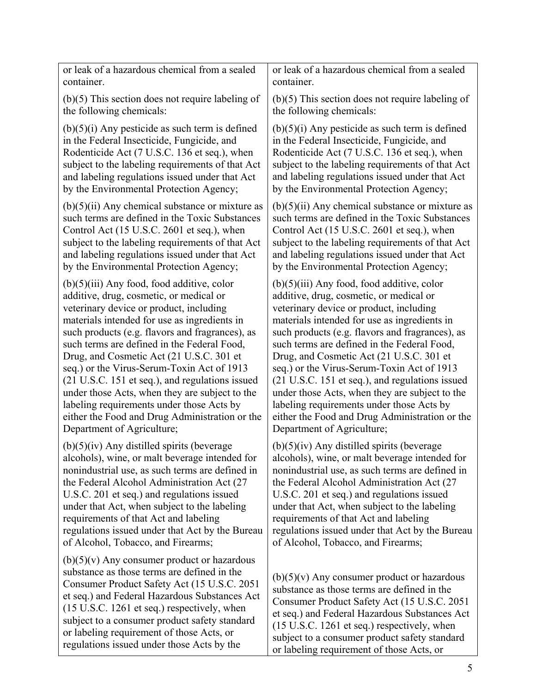| or leak of a hazardous chemical from a sealed                                                                                                                                                                                                                                                                                                                                                               | or leak of a hazardous chemical from a sealed                                                                                                                                                                                                                                                                                                                 |
|-------------------------------------------------------------------------------------------------------------------------------------------------------------------------------------------------------------------------------------------------------------------------------------------------------------------------------------------------------------------------------------------------------------|---------------------------------------------------------------------------------------------------------------------------------------------------------------------------------------------------------------------------------------------------------------------------------------------------------------------------------------------------------------|
| container.                                                                                                                                                                                                                                                                                                                                                                                                  | container.                                                                                                                                                                                                                                                                                                                                                    |
| $(b)(5)$ This section does not require labeling of                                                                                                                                                                                                                                                                                                                                                          | $(b)(5)$ This section does not require labeling of                                                                                                                                                                                                                                                                                                            |
| the following chemicals:                                                                                                                                                                                                                                                                                                                                                                                    | the following chemicals:                                                                                                                                                                                                                                                                                                                                      |
| $(b)(5)(i)$ Any pesticide as such term is defined                                                                                                                                                                                                                                                                                                                                                           | $(b)(5)(i)$ Any pesticide as such term is defined                                                                                                                                                                                                                                                                                                             |
| in the Federal Insecticide, Fungicide, and                                                                                                                                                                                                                                                                                                                                                                  | in the Federal Insecticide, Fungicide, and                                                                                                                                                                                                                                                                                                                    |
| Rodenticide Act (7 U.S.C. 136 et seq.), when                                                                                                                                                                                                                                                                                                                                                                | Rodenticide Act (7 U.S.C. 136 et seq.), when                                                                                                                                                                                                                                                                                                                  |
| subject to the labeling requirements of that Act                                                                                                                                                                                                                                                                                                                                                            | subject to the labeling requirements of that Act                                                                                                                                                                                                                                                                                                              |
| and labeling regulations issued under that Act                                                                                                                                                                                                                                                                                                                                                              | and labeling regulations issued under that Act                                                                                                                                                                                                                                                                                                                |
| by the Environmental Protection Agency;                                                                                                                                                                                                                                                                                                                                                                     | by the Environmental Protection Agency;                                                                                                                                                                                                                                                                                                                       |
| $(b)(5)(ii)$ Any chemical substance or mixture as                                                                                                                                                                                                                                                                                                                                                           | $(b)(5)(ii)$ Any chemical substance or mixture as                                                                                                                                                                                                                                                                                                             |
| such terms are defined in the Toxic Substances                                                                                                                                                                                                                                                                                                                                                              | such terms are defined in the Toxic Substances                                                                                                                                                                                                                                                                                                                |
| Control Act (15 U.S.C. 2601 et seq.), when                                                                                                                                                                                                                                                                                                                                                                  | Control Act (15 U.S.C. 2601 et seq.), when                                                                                                                                                                                                                                                                                                                    |
| subject to the labeling requirements of that Act                                                                                                                                                                                                                                                                                                                                                            | subject to the labeling requirements of that Act                                                                                                                                                                                                                                                                                                              |
| and labeling regulations issued under that Act                                                                                                                                                                                                                                                                                                                                                              | and labeling regulations issued under that Act                                                                                                                                                                                                                                                                                                                |
| by the Environmental Protection Agency;                                                                                                                                                                                                                                                                                                                                                                     | by the Environmental Protection Agency;                                                                                                                                                                                                                                                                                                                       |
| $(b)(5)(iii)$ Any food, food additive, color                                                                                                                                                                                                                                                                                                                                                                | $(b)(5)(iii)$ Any food, food additive, color                                                                                                                                                                                                                                                                                                                  |
| additive, drug, cosmetic, or medical or                                                                                                                                                                                                                                                                                                                                                                     | additive, drug, cosmetic, or medical or                                                                                                                                                                                                                                                                                                                       |
| veterinary device or product, including                                                                                                                                                                                                                                                                                                                                                                     | veterinary device or product, including                                                                                                                                                                                                                                                                                                                       |
| materials intended for use as ingredients in                                                                                                                                                                                                                                                                                                                                                                | materials intended for use as ingredients in                                                                                                                                                                                                                                                                                                                  |
| such products (e.g. flavors and fragrances), as                                                                                                                                                                                                                                                                                                                                                             | such products (e.g. flavors and fragrances), as                                                                                                                                                                                                                                                                                                               |
| such terms are defined in the Federal Food,                                                                                                                                                                                                                                                                                                                                                                 | such terms are defined in the Federal Food,                                                                                                                                                                                                                                                                                                                   |
| Drug, and Cosmetic Act (21 U.S.C. 301 et                                                                                                                                                                                                                                                                                                                                                                    | Drug, and Cosmetic Act (21 U.S.C. 301 et                                                                                                                                                                                                                                                                                                                      |
| seq.) or the Virus-Serum-Toxin Act of 1913                                                                                                                                                                                                                                                                                                                                                                  | seq.) or the Virus-Serum-Toxin Act of 1913                                                                                                                                                                                                                                                                                                                    |
| (21 U.S.C. 151 et seq.), and regulations issued                                                                                                                                                                                                                                                                                                                                                             | (21 U.S.C. 151 et seq.), and regulations issued                                                                                                                                                                                                                                                                                                               |
| under those Acts, when they are subject to the                                                                                                                                                                                                                                                                                                                                                              | under those Acts, when they are subject to the                                                                                                                                                                                                                                                                                                                |
| labeling requirements under those Acts by                                                                                                                                                                                                                                                                                                                                                                   | labeling requirements under those Acts by                                                                                                                                                                                                                                                                                                                     |
| either the Food and Drug Administration or the                                                                                                                                                                                                                                                                                                                                                              | either the Food and Drug Administration or the                                                                                                                                                                                                                                                                                                                |
| Department of Agriculture;                                                                                                                                                                                                                                                                                                                                                                                  | Department of Agriculture;                                                                                                                                                                                                                                                                                                                                    |
| $(b)(5)(iv)$ Any distilled spirits (beverage                                                                                                                                                                                                                                                                                                                                                                | $(b)(5)(iv)$ Any distilled spirits (beverage                                                                                                                                                                                                                                                                                                                  |
| alcohols), wine, or malt beverage intended for                                                                                                                                                                                                                                                                                                                                                              | alcohols), wine, or malt beverage intended for                                                                                                                                                                                                                                                                                                                |
| nonindustrial use, as such terms are defined in                                                                                                                                                                                                                                                                                                                                                             | nonindustrial use, as such terms are defined in                                                                                                                                                                                                                                                                                                               |
| the Federal Alcohol Administration Act (27                                                                                                                                                                                                                                                                                                                                                                  | the Federal Alcohol Administration Act (27                                                                                                                                                                                                                                                                                                                    |
| U.S.C. 201 et seq.) and regulations issued                                                                                                                                                                                                                                                                                                                                                                  | U.S.C. 201 et seq.) and regulations issued                                                                                                                                                                                                                                                                                                                    |
| under that Act, when subject to the labeling                                                                                                                                                                                                                                                                                                                                                                | under that Act, when subject to the labeling                                                                                                                                                                                                                                                                                                                  |
| requirements of that Act and labeling                                                                                                                                                                                                                                                                                                                                                                       | requirements of that Act and labeling                                                                                                                                                                                                                                                                                                                         |
| regulations issued under that Act by the Bureau                                                                                                                                                                                                                                                                                                                                                             | regulations issued under that Act by the Bureau                                                                                                                                                                                                                                                                                                               |
| of Alcohol, Tobacco, and Firearms;                                                                                                                                                                                                                                                                                                                                                                          | of Alcohol, Tobacco, and Firearms;                                                                                                                                                                                                                                                                                                                            |
| $(b)(5)(v)$ Any consumer product or hazardous<br>substance as those terms are defined in the<br>Consumer Product Safety Act (15 U.S.C. 2051)<br>et seq.) and Federal Hazardous Substances Act<br>$(15 \text{ U.S.C. } 1261 \text{ et seq.})$ respectively, when<br>subject to a consumer product safety standard<br>or labeling requirement of those Acts, or<br>regulations issued under those Acts by the | $(b)(5)(v)$ Any consumer product or hazardous<br>substance as those terms are defined in the<br>Consumer Product Safety Act (15 U.S.C. 2051)<br>et seq.) and Federal Hazardous Substances Act<br>$(15 \text{ U.S.C. } 1261 \text{ et seq.})$ respectively, when<br>subject to a consumer product safety standard<br>or labeling requirement of those Acts, or |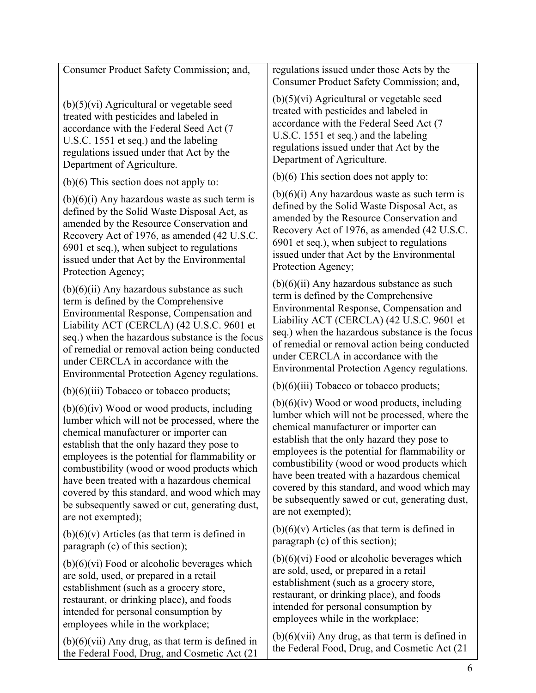| Consumer Product Safety Commission; and,           | regulations issued under those Acts by the<br>Consumer Product Safety Commission; and, |
|----------------------------------------------------|----------------------------------------------------------------------------------------|
| $(b)(5)(vi)$ Agricultural or vegetable seed        | $(b)(5)(vi)$ Agricultural or vegetable seed                                            |
| treated with pesticides and labeled in             | treated with pesticides and labeled in                                                 |
| accordance with the Federal Seed Act (7            | accordance with the Federal Seed Act (7                                                |
| U.S.C. 1551 et seq.) and the labeling              | U.S.C. 1551 et seq.) and the labeling                                                  |
| regulations issued under that Act by the           | regulations issued under that Act by the                                               |
| Department of Agriculture.                         | Department of Agriculture.                                                             |
| $(b)(6)$ This section does not apply to:           | $(b)(6)$ This section does not apply to:                                               |
| $(b)(6)(i)$ Any hazardous waste as such term is    | $(b)(6)(i)$ Any hazardous waste as such term is                                        |
| defined by the Solid Waste Disposal Act, as        | defined by the Solid Waste Disposal Act, as                                            |
| amended by the Resource Conservation and           | amended by the Resource Conservation and                                               |
| Recovery Act of 1976, as amended (42 U.S.C.        | Recovery Act of 1976, as amended (42 U.S.C.                                            |
| 6901 et seq.), when subject to regulations         | 6901 et seq.), when subject to regulations                                             |
| issued under that Act by the Environmental         | issued under that Act by the Environmental                                             |
| Protection Agency;                                 | Protection Agency;                                                                     |
| $(b)(6)(ii)$ Any hazardous substance as such       | $(b)(6)(ii)$ Any hazardous substance as such                                           |
| term is defined by the Comprehensive               | term is defined by the Comprehensive                                                   |
| Environmental Response, Compensation and           | Environmental Response, Compensation and                                               |
| Liability ACT (CERCLA) (42 U.S.C. 9601 et          | Liability ACT (CERCLA) (42 U.S.C. 9601 et                                              |
| seq.) when the hazardous substance is the focus    | seq.) when the hazardous substance is the focus                                        |
| of remedial or removal action being conducted      | of remedial or removal action being conducted                                          |
| under CERCLA in accordance with the                | under CERCLA in accordance with the                                                    |
| Environmental Protection Agency regulations.       | Environmental Protection Agency regulations.                                           |
| $(b)(6)(iii)$ Tobacco or tobacco products;         | $(b)(6)(iii)$ Tobacco or tobacco products;                                             |
| $(b)(6)(iv)$ Wood or wood products, including      | $(b)(6)(iv)$ Wood or wood products, including                                          |
| lumber which will not be processed, where the      | lumber which will not be processed, where the                                          |
| chemical manufacturer or importer can              | chemical manufacturer or importer can                                                  |
| establish that the only hazard they pose to        | establish that the only hazard they pose to                                            |
| employees is the potential for flammability or     | employees is the potential for flammability or                                         |
| combustibility (wood or wood products which        | combustibility (wood or wood products which                                            |
| have been treated with a hazardous chemical        | have been treated with a hazardous chemical                                            |
| covered by this standard, and wood which may       | covered by this standard, and wood which may                                           |
| be subsequently sawed or cut, generating dust,     | be subsequently sawed or cut, generating dust,                                         |
| are not exempted);                                 | are not exempted);                                                                     |
| $(b)(6)(v)$ Articles (as that term is defined in   | $(b)(6)(v)$ Articles (as that term is defined in                                       |
| paragraph (c) of this section);                    | paragraph (c) of this section);                                                        |
| $(b)(6)(vi)$ Food or alcoholic beverages which     | $(b)(6)(vi)$ Food or alcoholic beverages which                                         |
| are sold, used, or prepared in a retail            | are sold, used, or prepared in a retail                                                |
| establishment (such as a grocery store,            | establishment (such as a grocery store,                                                |
| restaurant, or drinking place), and foods          | restaurant, or drinking place), and foods                                              |
| intended for personal consumption by               | intended for personal consumption by                                                   |
| employees while in the workplace;                  | employees while in the workplace;                                                      |
| $(b)(6)(vii)$ Any drug, as that term is defined in | $(b)(6)(vii)$ Any drug, as that term is defined in                                     |
| the Federal Food, Drug, and Cosmetic Act (21)      | the Federal Food, Drug, and Cosmetic Act (21)                                          |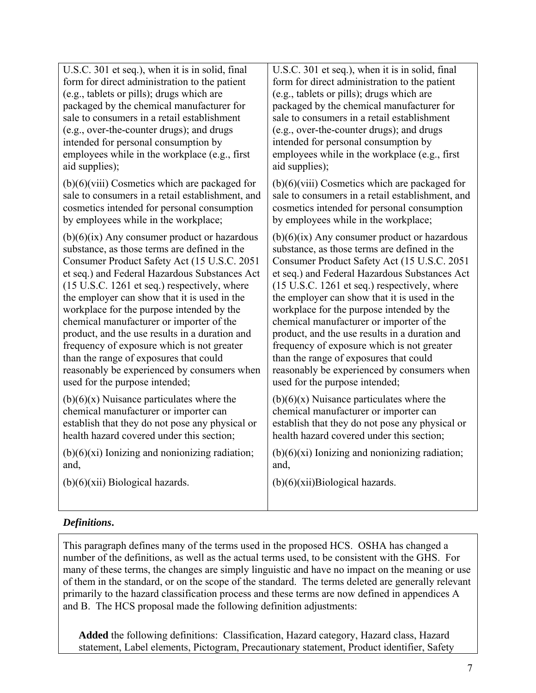| U.S.C. 301 et seq.), when it is in solid, final                 | U.S.C. 301 et seq.), when it is in solid, final                 |
|-----------------------------------------------------------------|-----------------------------------------------------------------|
| form for direct administration to the patient                   | form for direct administration to the patient                   |
| (e.g., tablets or pills); drugs which are                       | (e.g., tablets or pills); drugs which are                       |
| packaged by the chemical manufacturer for                       | packaged by the chemical manufacturer for                       |
| sale to consumers in a retail establishment                     | sale to consumers in a retail establishment                     |
| (e.g., over-the-counter drugs); and drugs                       | (e.g., over-the-counter drugs); and drugs                       |
| intended for personal consumption by                            | intended for personal consumption by                            |
| employees while in the workplace (e.g., first                   | employees while in the workplace (e.g., first                   |
| aid supplies);                                                  | aid supplies);                                                  |
| $(b)(6)(viii)$ Cosmetics which are packaged for                 | $(b)(6)(viii)$ Cosmetics which are packaged for                 |
| sale to consumers in a retail establishment, and                | sale to consumers in a retail establishment, and                |
| cosmetics intended for personal consumption                     | cosmetics intended for personal consumption                     |
| by employees while in the workplace;                            | by employees while in the workplace;                            |
| $(b)(6)(ix)$ Any consumer product or hazardous                  | $(b)(6)(ix)$ Any consumer product or hazardous                  |
| substance, as those terms are defined in the                    | substance, as those terms are defined in the                    |
| Consumer Product Safety Act (15 U.S.C. 2051                     | Consumer Product Safety Act (15 U.S.C. 2051                     |
| et seq.) and Federal Hazardous Substances Act                   | et seq.) and Federal Hazardous Substances Act                   |
| $(15 \text{ U.S.C. } 1261 \text{ et seq.})$ respectively, where | $(15 \text{ U.S.C. } 1261 \text{ et seq.})$ respectively, where |
| the employer can show that it is used in the                    | the employer can show that it is used in the                    |
| workplace for the purpose intended by the                       | workplace for the purpose intended by the                       |
| chemical manufacturer or importer of the                        | chemical manufacturer or importer of the                        |
| product, and the use results in a duration and                  | product, and the use results in a duration and                  |
| frequency of exposure which is not greater                      | frequency of exposure which is not greater                      |
| than the range of exposures that could                          | than the range of exposures that could                          |
| reasonably be experienced by consumers when                     | reasonably be experienced by consumers when                     |
| used for the purpose intended;                                  | used for the purpose intended;                                  |
| $(b)(6)(x)$ Nuisance particulates where the                     | $(b)(6)(x)$ Nuisance particulates where the                     |
| chemical manufacturer or importer can                           | chemical manufacturer or importer can                           |
| establish that they do not pose any physical or                 | establish that they do not pose any physical or                 |
| health hazard covered under this section;                       | health hazard covered under this section;                       |
| $(b)(6)(xi)$ Ionizing and nonionizing radiation;                | $(b)(6)(xi)$ Ionizing and nonionizing radiation;                |
| and.                                                            | and.                                                            |
| (b)(6)(xii) Biological hazards.                                 | (b)(6)(xii) Biological hazards.                                 |

#### *Definitions***.**

This paragraph defines many of the terms used in the proposed HCS. OSHA has changed a number of the definitions, as well as the actual terms used, to be consistent with the GHS. For many of these terms, the changes are simply linguistic and have no impact on the meaning or use of them in the standard, or on the scope of the standard. The terms deleted are generally relevant primarily to the hazard classification process and these terms are now defined in appendices A and B. The HCS proposal made the following definition adjustments:

**Added** the following definitions: Classification, Hazard category, Hazard class, Hazard statement, Label elements, Pictogram, Precautionary statement, Product identifier, Safety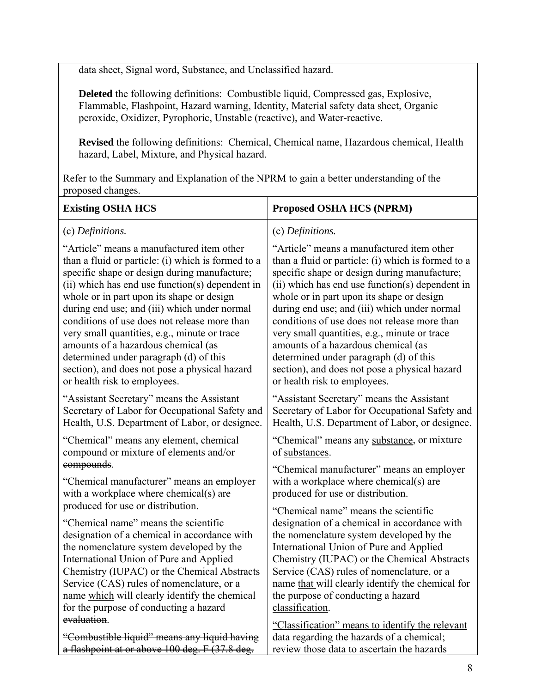data sheet, Signal word, Substance, and Unclassified hazard.

**Deleted** the following definitions: Combustible liquid, Compressed gas, Explosive, Flammable, Flashpoint, Hazard warning, Identity, Material safety data sheet, Organic peroxide, Oxidizer, Pyrophoric, Unstable (reactive), and Water-reactive.

**Revised** the following definitions: Chemical, Chemical name, Hazardous chemical, Health hazard, Label, Mixture, and Physical hazard.

Refer to the Summary and Explanation of the NPRM to gain a better understanding of the proposed changes.

| <b>Existing OSHA HCS</b>                                                                       | Proposed OSHA HCS (NPRM)                                                                                                 |
|------------------------------------------------------------------------------------------------|--------------------------------------------------------------------------------------------------------------------------|
| (c) Definitions.                                                                               | (c) Definitions.                                                                                                         |
| "Article" means a manufactured item other                                                      | "Article" means a manufactured item other                                                                                |
| than a fluid or particle: (i) which is formed to a                                             | than a fluid or particle: (i) which is formed to a                                                                       |
| specific shape or design during manufacture;                                                   | specific shape or design during manufacture;                                                                             |
| (ii) which has end use function(s) dependent in                                                | (ii) which has end use function(s) dependent in                                                                          |
| whole or in part upon its shape or design                                                      | whole or in part upon its shape or design                                                                                |
| during end use; and (iii) which under normal                                                   | during end use; and (iii) which under normal                                                                             |
| conditions of use does not release more than                                                   | conditions of use does not release more than                                                                             |
| very small quantities, e.g., minute or trace                                                   | very small quantities, e.g., minute or trace                                                                             |
| amounts of a hazardous chemical (as                                                            | amounts of a hazardous chemical (as                                                                                      |
| determined under paragraph (d) of this                                                         | determined under paragraph (d) of this                                                                                   |
| section), and does not pose a physical hazard                                                  | section), and does not pose a physical hazard                                                                            |
| or health risk to employees.                                                                   | or health risk to employees.                                                                                             |
| "Assistant Secretary" means the Assistant                                                      | "Assistant Secretary" means the Assistant                                                                                |
| Secretary of Labor for Occupational Safety and                                                 | Secretary of Labor for Occupational Safety and                                                                           |
| Health, U.S. Department of Labor, or designee.                                                 | Health, U.S. Department of Labor, or designee.                                                                           |
| "Chemical" means any element, chemical<br>compound or mixture of elements and/or<br>compounds. | "Chemical" means any substance, or mixture<br>of substances.                                                             |
| "Chemical manufacturer" means an employer<br>with a workplace where chemical(s) are            | "Chemical manufacturer" means an employer<br>with a workplace where chemical(s) are<br>produced for use or distribution. |
| produced for use or distribution.                                                              | "Chemical name" means the scientific                                                                                     |
| "Chemical name" means the scientific                                                           | designation of a chemical in accordance with                                                                             |
| designation of a chemical in accordance with                                                   | the nomenclature system developed by the                                                                                 |
| the nomenclature system developed by the                                                       | International Union of Pure and Applied                                                                                  |
| International Union of Pure and Applied                                                        | Chemistry (IUPAC) or the Chemical Abstracts                                                                              |
| Chemistry (IUPAC) or the Chemical Abstracts                                                    | Service (CAS) rules of nomenclature, or a                                                                                |
| Service (CAS) rules of nomenclature, or a                                                      | name that will clearly identify the chemical for                                                                         |
| name which will clearly identify the chemical                                                  | the purpose of conducting a hazard                                                                                       |
| for the purpose of conducting a hazard                                                         | classification.                                                                                                          |
| evaluation.                                                                                    | "Classification" means to identify the relevant                                                                          |
| "Combustible liquid" means any liquid having                                                   | data regarding the hazards of a chemical;                                                                                |
| a flashpoint at or above 100 deg. F (37.8 deg.                                                 | review those data to ascertain the hazards                                                                               |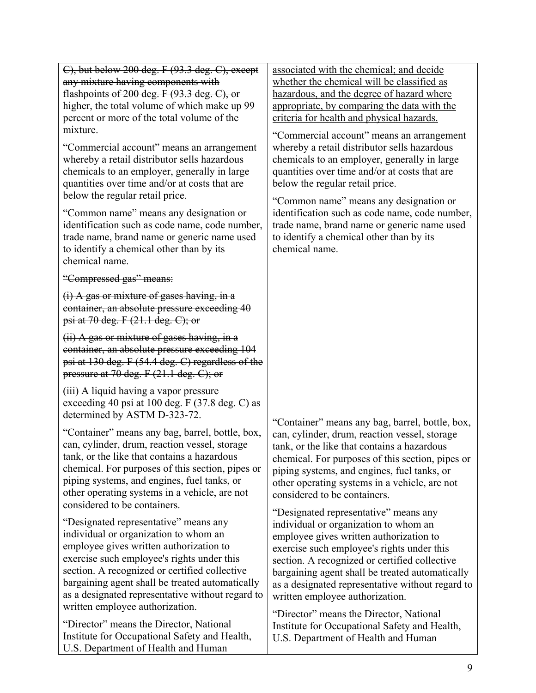| C), but below 200 deg. F (93.3 deg. C), except<br>any mixture having components with                                                                                                                                                                                                                                      | associated with the chemical; and decide<br>whether the chemical will be classified as                                                                                                                                                                                                                                              |
|---------------------------------------------------------------------------------------------------------------------------------------------------------------------------------------------------------------------------------------------------------------------------------------------------------------------------|-------------------------------------------------------------------------------------------------------------------------------------------------------------------------------------------------------------------------------------------------------------------------------------------------------------------------------------|
| flashpoints of 200 deg. $F$ (93.3 deg. C), or                                                                                                                                                                                                                                                                             | hazardous, and the degree of hazard where                                                                                                                                                                                                                                                                                           |
| higher, the total volume of which make up 99                                                                                                                                                                                                                                                                              | appropriate, by comparing the data with the                                                                                                                                                                                                                                                                                         |
| percent or more of the total volume of the                                                                                                                                                                                                                                                                                | criteria for health and physical hazards.                                                                                                                                                                                                                                                                                           |
| mixture.                                                                                                                                                                                                                                                                                                                  |                                                                                                                                                                                                                                                                                                                                     |
| "Commercial account" means an arrangement<br>whereby a retail distributor sells hazardous<br>chemicals to an employer, generally in large<br>quantities over time and/or at costs that are<br>below the regular retail price.<br>"Common name" means any designation or                                                   | "Commercial account" means an arrangement<br>whereby a retail distributor sells hazardous<br>chemicals to an employer, generally in large<br>quantities over time and/or at costs that are<br>below the regular retail price.<br>"Common name" means any designation or<br>identification such as code name, code number,           |
| identification such as code name, code number,<br>trade name, brand name or generic name used<br>to identify a chemical other than by its<br>chemical name.                                                                                                                                                               | trade name, brand name or generic name used<br>to identify a chemical other than by its<br>chemical name.                                                                                                                                                                                                                           |
| "Compressed gas" means:                                                                                                                                                                                                                                                                                                   |                                                                                                                                                                                                                                                                                                                                     |
| $(i)$ A gas or mixture of gases having, in a<br>container, an absolute pressure exceeding 40<br>psi at 70 deg. $F$ (21.1 deg. C); or                                                                                                                                                                                      |                                                                                                                                                                                                                                                                                                                                     |
| $(ii)$ A gas or mixture of gases having, in a<br>container, an absolute pressure exceeding 104<br>psi at 130 deg. F (54.4 deg. C) regardless of the<br>pressure at 70 deg. $F$ (21.1 deg. C); or                                                                                                                          |                                                                                                                                                                                                                                                                                                                                     |
| (iii) A liquid having a vapor pressure<br>exceeding 40 psi at 100 deg. F (37.8 deg. C) as<br>determined by ASTM D-323-72.                                                                                                                                                                                                 |                                                                                                                                                                                                                                                                                                                                     |
| "Container" means any bag, barrel, bottle, box,<br>can, cylinder, drum, reaction vessel, storage<br>tank, or the like that contains a hazardous<br>chemical. For purposes of this section, pipes or<br>piping systems, and engines, fuel tanks, or<br>other operating systems in a vehicle, are not                       | "Container" means any bag, barrel, bottle, box,<br>can, cylinder, drum, reaction vessel, storage<br>tank, or the like that contains a hazardous<br>chemical. For purposes of this section, pipes or<br>piping systems, and engines, fuel tanks, or<br>other operating systems in a vehicle, are not<br>considered to be containers. |
| considered to be containers.<br>"Designated representative" means any                                                                                                                                                                                                                                                     | "Designated representative" means any<br>individual or organization to whom an                                                                                                                                                                                                                                                      |
| individual or organization to whom an<br>employee gives written authorization to<br>exercise such employee's rights under this<br>section. A recognized or certified collective<br>bargaining agent shall be treated automatically<br>as a designated representative without regard to<br>written employee authorization. | employee gives written authorization to<br>exercise such employee's rights under this<br>section. A recognized or certified collective<br>bargaining agent shall be treated automatically<br>as a designated representative without regard to<br>written employee authorization.<br>"Director" means the Director, National         |
| "Director" means the Director, National<br>Institute for Occupational Safety and Health,<br>U.S. Department of Health and Human                                                                                                                                                                                           | Institute for Occupational Safety and Health,<br>U.S. Department of Health and Human                                                                                                                                                                                                                                                |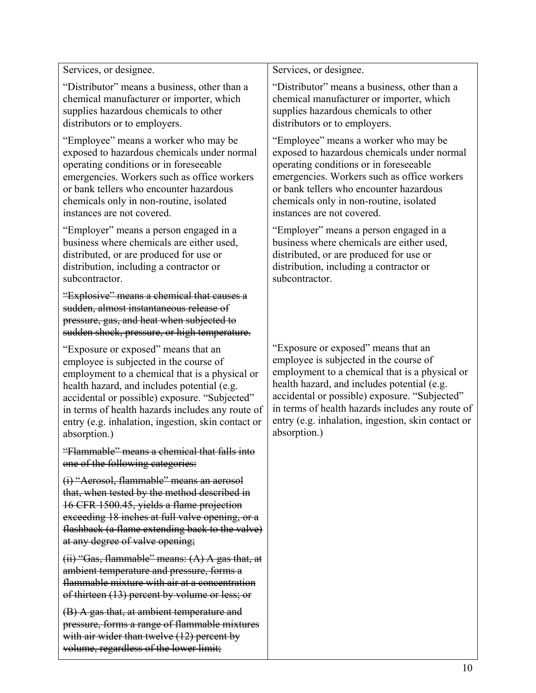| Services, or designee.                                                                                                                                                                                                                                                                                                                                    | Services, or designee.                                                                                                                                                                                                                                                                                                                                    |
|-----------------------------------------------------------------------------------------------------------------------------------------------------------------------------------------------------------------------------------------------------------------------------------------------------------------------------------------------------------|-----------------------------------------------------------------------------------------------------------------------------------------------------------------------------------------------------------------------------------------------------------------------------------------------------------------------------------------------------------|
| "Distributor" means a business, other than a<br>chemical manufacturer or importer, which<br>supplies hazardous chemicals to other<br>distributors or to employers.                                                                                                                                                                                        | "Distributor" means a business, other than a<br>chemical manufacturer or importer, which<br>supplies hazardous chemicals to other<br>distributors or to employers.                                                                                                                                                                                        |
| "Employee" means a worker who may be<br>exposed to hazardous chemicals under normal<br>operating conditions or in foreseeable<br>emergencies. Workers such as office workers<br>or bank tellers who encounter hazardous<br>chemicals only in non-routine, isolated<br>instances are not covered.                                                          | "Employee" means a worker who may be<br>exposed to hazardous chemicals under normal<br>operating conditions or in foreseeable<br>emergencies. Workers such as office workers<br>or bank tellers who encounter hazardous<br>chemicals only in non-routine, isolated<br>instances are not covered.                                                          |
| "Employer" means a person engaged in a<br>business where chemicals are either used,<br>distributed, or are produced for use or<br>distribution, including a contractor or<br>subcontractor.                                                                                                                                                               | "Employer" means a person engaged in a<br>business where chemicals are either used,<br>distributed, or are produced for use or<br>distribution, including a contractor or<br>subcontractor.                                                                                                                                                               |
| "Explosive" means a chemical that causes a<br>sudden, almost instantaneous release of<br>pressure, gas, and heat when subjected to<br>sudden shock, pressure, or high temperature.                                                                                                                                                                        |                                                                                                                                                                                                                                                                                                                                                           |
| "Exposure or exposed" means that an<br>employee is subjected in the course of<br>employment to a chemical that is a physical or<br>health hazard, and includes potential (e.g.<br>accidental or possible) exposure. "Subjected"<br>in terms of health hazards includes any route of<br>entry (e.g. inhalation, ingestion, skin contact or<br>absorption.) | "Exposure or exposed" means that an<br>employee is subjected in the course of<br>employment to a chemical that is a physical or<br>health hazard, and includes potential (e.g.<br>accidental or possible) exposure. "Subjected"<br>in terms of health hazards includes any route of<br>entry (e.g. inhalation, ingestion, skin contact or<br>absorption.) |
| "Flammable" means a chemical that falls into<br>one of the following categories:                                                                                                                                                                                                                                                                          |                                                                                                                                                                                                                                                                                                                                                           |
| (i) "Aerosol, flammable" means an aerosol<br>that, when tested by the method described in<br>16 CFR 1500.45, yields a flame projection<br>exceeding 18 inches at full valve opening, or a<br>flashback (a flame extending back to the valve)<br>at any degree of valve opening;                                                                           |                                                                                                                                                                                                                                                                                                                                                           |
| (ii) "Gas, flammable" means: $(A)$ A gas that, at<br>ambient temperature and pressure, forms a<br>flammable mixture with air at a concentration<br>of thirteen (13) percent by volume or less; or                                                                                                                                                         |                                                                                                                                                                                                                                                                                                                                                           |
| (B) A gas that, at ambient temperature and<br>pressure, forms a range of flammable mixtures<br>with air wider than twelve (12) percent by<br>volume, regardless of the lower limit;                                                                                                                                                                       |                                                                                                                                                                                                                                                                                                                                                           |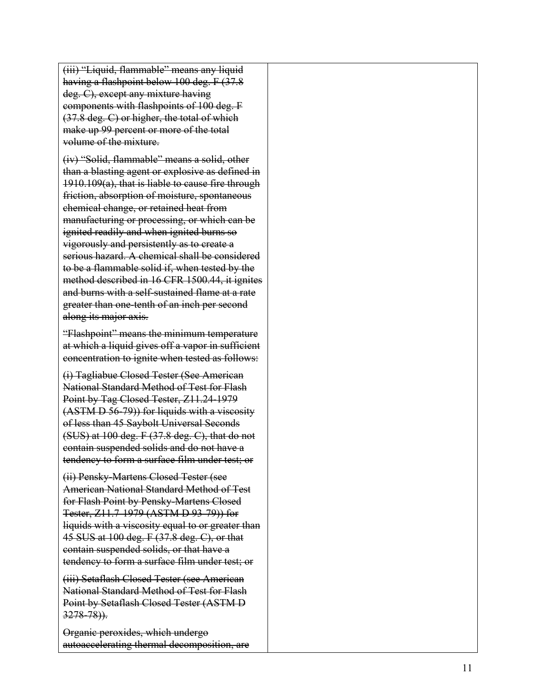(iii) "Liquid, flammable " means any liquid having a flashpoint below 100 deg. F (37.8) deg. C), except any mixture having components with flashpoints of 100 deg. F (37.8 deg. C) or higher, the total of which make up 99 percent or more of the total volume of the mixture.

(iv) "Solid, flammable " means a solid, other than a blasting agent or explosive as defined in  $1910.109(a)$ , that is liable to cause fire through friction, absorption of moisture, spontaneous chemical change, or retained heat from manufacturing or processing, or which can be ignited readily and when ignited burns so vigorously and persistently as to create a serious hazard. A chemical shall be considered to be a flammable solid if, when tested by the method described in 16 CFR 1500.44, it ignites and burns with a self-sustained flame at a rate greater than on e -tenth of an inch per second along its major axis.

"Flashpoint" means the minimum temperature at which a liquid gives off a vapor in sufficient concentration to ignite when tested as follows:

(i) Tagliabue Closed Tester (See American National Standard Method of Test for Flash Point by Tag Closed Tester, Z11.24-1979 (ASTM D 56 -79)) for liquids with a viscosity of less than 45 Saybolt Universal Seconds (SUS) at 100 deg. F (37.8 deg. C), that do not contain suspended solids and do not have a tendency to form a surface film under test; or

(ii) Pensky -Martens Closed Tester (see American National Standard Method of Test for Flash Point by Pensky -Martens Closed Tester, Z11.7 -1979 (ASTM D 93 -79)) for liquids with a viscosity equal to or greater than 45 SUS at 100 deg. F (37.8 deg. C), or that contain suspended solids, or that have a tendency to form a surface film under test; or

(iii) Setaflash Closed Tester (see American National Standard Method of Test for Flash Point by Setaflash Closed Tester (ASTM D 3278-78)).

Organic peroxides, which undergo autoaccelerating thermal decomposition, are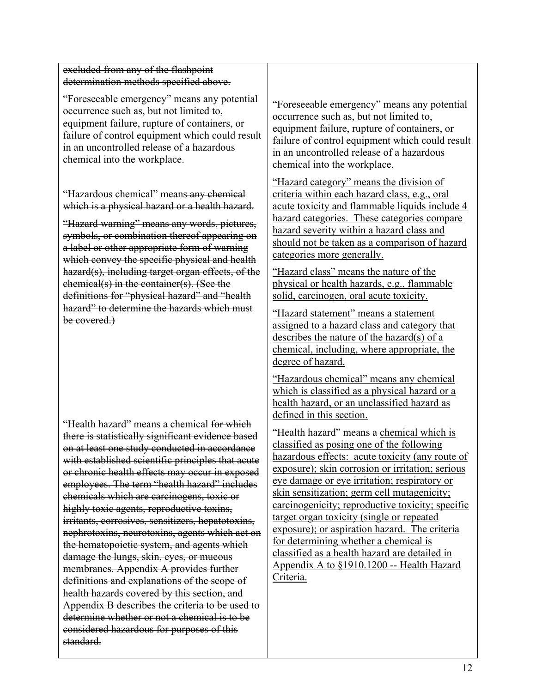#### excluded from any of the flashpoint determination methods specified above.

"Foreseeable emergency" means any potential occurrence such as, but not limited to, equipment failure, rupture of containers, or failure of control equipment which could result in an uncontrolled release of a hazardous chemical into the workplace.

"Hazardous chemical" means any chemical which is a physical hazard or a health hazard.

"Hazard warning" means any words, pictures, symbols, or combination thereof appearing on a label or other appropriate form of warning which convey the specific physical and health hazard(s), including target organ effects, of the chemical(s) in the container(s). (See the definitions for "physical hazard" and "health hazard" to determine the hazards which must be covered.)

"Health hazard" means a chemical for which there is statistically significant evidence based on at least one study conducted in accordance with established scientific principles that acute or chronic health effects may occur in exposed employees. The term "health hazard" includes chemicals which are carcinogens, toxic or highly toxic agents, reproductive toxins, irritants, corrosives, sensitizers, hepatotoxins, nephrotoxins, neurotoxins, agents which act on the hematopoietic system, and agents which damage the lungs, skin, eyes, or mucous membranes. Appendix A provides further definitions and explanations of the scope of health hazards covered by this section, and Appendix B describes the criteria to be used to determine whether or not a chemical is to be considered hazardous for purposes of this standard.

"Foreseeable emergency" means any potential occurrence such as, but not limited to, equipment failure, rupture of containers, or failure of control equipment which could result in an uncontrolled release of a hazardous chemical into the workplace.

"Hazard category" means the division of criteria within each hazard class, e.g., oral acute toxicity and flammable liquids include 4 hazard categories. These categories compare hazard severity within a hazard class and should not be taken as a comparison of hazard categories more generally.

"Hazard class" means the nature of the physical or health hazards, e.g., flammable solid, carcinogen, oral acute toxicity.

"Hazard statement" means a statement assigned to a hazard class and category that describes the nature of the hazard(s) of a chemical, including, where appropriate, the degree of hazard.

"Hazardous chemical" means any chemical which is classified as a physical hazard or a health hazard, or an unclassified hazard as defined in this section.

"Health hazard" means a chemical which is classified as posing one of the following hazardous effects: acute toxicity (any route of exposure); skin corrosion or irritation; serious eye damage or eye irritation; respiratory or skin sensitization; germ cell mutagenicity; carcinogenicity; reproductive toxicity; specific target organ toxicity (single or repeated exposure); or aspiration hazard. The criteria for determining whether a chemical is classified as a health hazard are detailed in Appendix A to §1910.1200 -- Health Hazard Criteria.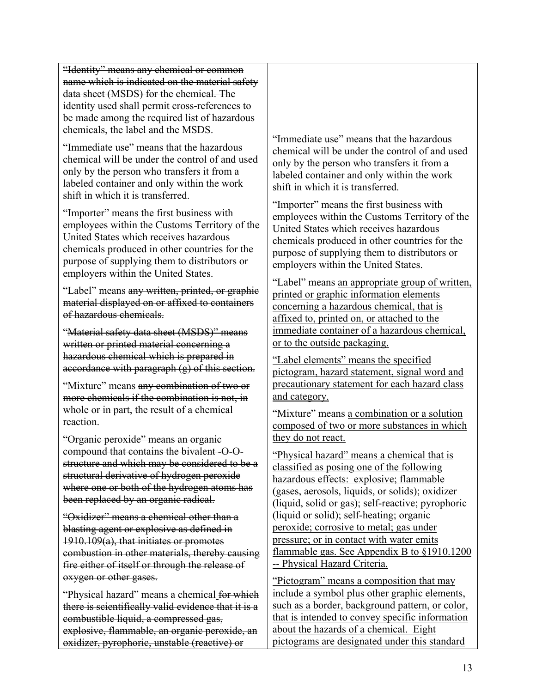"Identity" means any chemical or common name which is indicated on the material safety data sheet (MSDS) for the chemical. The identity used shall permit cross-references to be made among the required list of hazardous chemicals, the label and the MSDS.

"Immediate use" means that the hazardous chemical will be under the control of and used only by the person who transfers it from a labeled container and only within the work shift in which it is transferred.

"Importer" means the first business with employees within the Customs Territory of the United States which receives hazardous chemicals produced in other countries for the purpose of supplying them to distributors or employers within the United States.

"Label" means any written, printed, or graphic material displayed on or affixed to containers of hazardous chemicals.

"Material safety data sheet (MSDS)" means written or printed material concerning a hazardous chemical which is prepared in accordance with paragraph (g) of this section.

"Mixture" means any combination of two or more chemicals if the combination is not, in whole or in part, the result of a chemical reaction.

"Organic peroxide" means an organic compound that contains the bivalent -O-Ostructure and which may be considered to be a structural derivative of hydrogen peroxide where one or both of the hydrogen atoms has been replaced by an organic radical.

"Oxidizer" means a chemical other than a blasting agent or explosive as defined in 1910.109(a), that initiates or promotes combustion in other materials, thereby causing fire either of itself or through the release of oxygen or other gases.

"Physical hazard" means a chemical for which there is scientifically valid evidence that it is a combustible liquid, a compressed gas, explosive, flammable, an organic peroxide, an oxidizer, pyrophoric, unstable (reactive) or

"Immediate use" means that the hazardous chemical will be under the control of and used only by the person who transfers it from a labeled container and only within the work shift in which it is transferred.

"Importer" means the first business with employees within the Customs Territory of the United States which receives hazardous chemicals produced in other countries for the purpose of supplying them to distributors or employers within the United States.

"Label" means an appropriate group of written, printed or graphic information elements concerning a hazardous chemical, that is affixed to, printed on, or attached to the immediate container of a hazardous chemical, or to the outside packaging.

"Label elements" means the specified pictogram, hazard statement, signal word and precautionary statement for each hazard class and category.

"Mixture" means a combination or a solution composed of two or more substances in which they do not react.

"Physical hazard" means a chemical that is classified as posing one of the following hazardous effects: explosive; flammable (gases, aerosols, liquids, or solids); oxidizer (liquid, solid or gas); self-reactive; pyrophoric (liquid or solid); self-heating; organic peroxide; corrosive to metal; gas under pressure; or in contact with water emits flammable gas. See Appendix B to §1910.1200 -- Physical Hazard Criteria.

"Pictogram" means a composition that may include a symbol plus other graphic elements, such as a border, background pattern, or color, that is intended to convey specific information about the hazards of a chemical. Eight pictograms are designated under this standard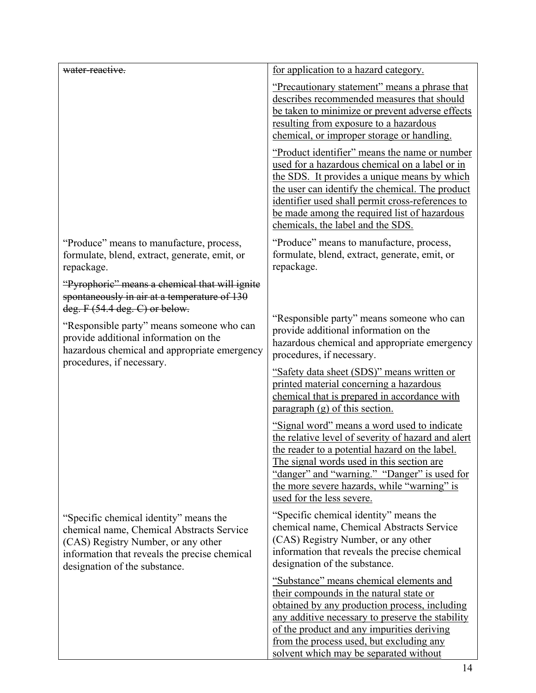| water-reactive.                                                                                                                                                                                              | for application to a hazard category.                                                                                                                                                                                                                                                                                                       |
|--------------------------------------------------------------------------------------------------------------------------------------------------------------------------------------------------------------|---------------------------------------------------------------------------------------------------------------------------------------------------------------------------------------------------------------------------------------------------------------------------------------------------------------------------------------------|
|                                                                                                                                                                                                              | "Precautionary statement" means a phrase that<br>describes recommended measures that should<br>be taken to minimize or prevent adverse effects<br>resulting from exposure to a hazardous<br>chemical, or improper storage or handling.                                                                                                      |
|                                                                                                                                                                                                              | "Product identifier" means the name or number<br>used for a hazardous chemical on a label or in<br>the SDS. It provides a unique means by which<br>the user can identify the chemical. The product<br>identifier used shall permit cross-references to<br>be made among the required list of hazardous<br>chemicals, the label and the SDS. |
| "Produce" means to manufacture, process,<br>formulate, blend, extract, generate, emit, or<br>repackage.                                                                                                      | "Produce" means to manufacture, process,<br>formulate, blend, extract, generate, emit, or<br>repackage.                                                                                                                                                                                                                                     |
| "Pyrophoric" means a chemical that will ignite<br>spontaneously in air at a temperature of 130<br>deg. $F$ (54.4 deg. C) or below.                                                                           |                                                                                                                                                                                                                                                                                                                                             |
| "Responsible party" means someone who can<br>provide additional information on the<br>hazardous chemical and appropriate emergency<br>procedures, if necessary.                                              | "Responsible party" means someone who can<br>provide additional information on the<br>hazardous chemical and appropriate emergency<br>procedures, if necessary.                                                                                                                                                                             |
|                                                                                                                                                                                                              | "Safety data sheet (SDS)" means written or<br>printed material concerning a hazardous<br>chemical that is prepared in accordance with<br>paragraph $(g)$ of this section.                                                                                                                                                                   |
|                                                                                                                                                                                                              | "Signal word" means a word used to indicate<br>the relative level of severity of hazard and alert<br>the reader to a potential hazard on the label.<br>The signal words used in this section are<br>"danger" and "warning." "Danger" is used for<br>the more severe hazards, while "warning" is<br>used for the less severe.                |
| "Specific chemical identity" means the<br>chemical name, Chemical Abstracts Service<br>(CAS) Registry Number, or any other<br>information that reveals the precise chemical<br>designation of the substance. | "Specific chemical identity" means the<br>chemical name, Chemical Abstracts Service<br>(CAS) Registry Number, or any other<br>information that reveals the precise chemical<br>designation of the substance.                                                                                                                                |
|                                                                                                                                                                                                              | "Substance" means chemical elements and<br>their compounds in the natural state or<br>obtained by any production process, including<br>any additive necessary to preserve the stability<br>of the product and any impurities deriving<br>from the process used, but excluding any<br>solvent which may be separated without                 |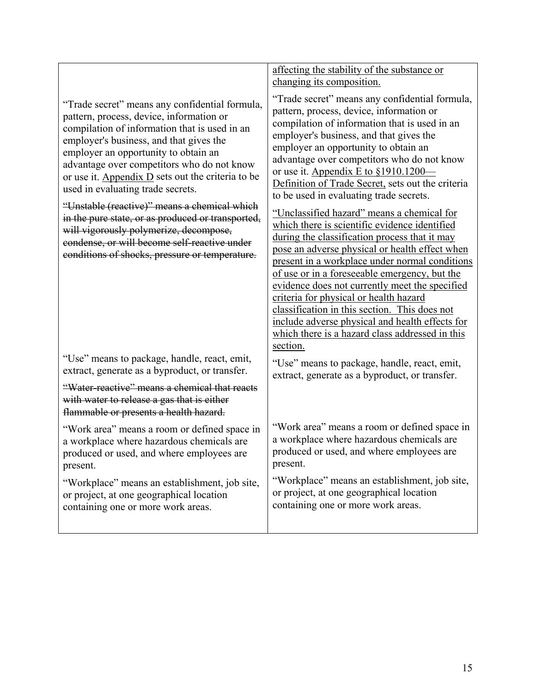|                                                                                                                                                                                                                                                                                                                                                                          | affecting the stability of the substance or<br>changing its composition.                                                                                                                                                                                                                                                                                                                                                                                                                                                                                         |
|--------------------------------------------------------------------------------------------------------------------------------------------------------------------------------------------------------------------------------------------------------------------------------------------------------------------------------------------------------------------------|------------------------------------------------------------------------------------------------------------------------------------------------------------------------------------------------------------------------------------------------------------------------------------------------------------------------------------------------------------------------------------------------------------------------------------------------------------------------------------------------------------------------------------------------------------------|
| "Trade secret" means any confidential formula,<br>pattern, process, device, information or<br>compilation of information that is used in an<br>employer's business, and that gives the<br>employer an opportunity to obtain an<br>advantage over competitors who do not know<br>or use it. Appendix $D$ sets out the criteria to be<br>used in evaluating trade secrets. | "Trade secret" means any confidential formula,<br>pattern, process, device, information or<br>compilation of information that is used in an<br>employer's business, and that gives the<br>employer an opportunity to obtain an<br>advantage over competitors who do not know<br>or use it. Appendix E to $$1910.1200$ —<br>Definition of Trade Secret, sets out the criteria<br>to be used in evaluating trade secrets.                                                                                                                                          |
| "Unstable (reactive)" means a chemical which<br>in the pure state, or as produced or transported,<br>will vigorously polymerize, decompose,<br>condense, or will become self-reactive under<br>conditions of shocks, pressure or temperature.                                                                                                                            | "Unclassified hazard" means a chemical for<br>which there is scientific evidence identified<br>during the classification process that it may<br>pose an adverse physical or health effect when<br>present in a workplace under normal conditions<br>of use or in a foreseeable emergency, but the<br>evidence does not currently meet the specified<br>criteria for physical or health hazard<br>classification in this section. This does not<br>include adverse physical and health effects for<br>which there is a hazard class addressed in this<br>section. |
| "Use" means to package, handle, react, emit,<br>extract, generate as a byproduct, or transfer.                                                                                                                                                                                                                                                                           | "Use" means to package, handle, react, emit,<br>extract, generate as a byproduct, or transfer.                                                                                                                                                                                                                                                                                                                                                                                                                                                                   |
| "Water-reactive" means a chemical that reacts<br>with water to release a gas that is either<br>flammable or presents a health hazard.                                                                                                                                                                                                                                    |                                                                                                                                                                                                                                                                                                                                                                                                                                                                                                                                                                  |
| "Work area" means a room or defined space in<br>a workplace where hazardous chemicals are<br>produced or used, and where employees are<br>present.                                                                                                                                                                                                                       | "Work area" means a room or defined space in<br>a workplace where hazardous chemicals are<br>produced or used, and where employees are<br>present.                                                                                                                                                                                                                                                                                                                                                                                                               |
| "Workplace" means an establishment, job site,<br>or project, at one geographical location<br>containing one or more work areas.                                                                                                                                                                                                                                          | "Workplace" means an establishment, job site,<br>or project, at one geographical location<br>containing one or more work areas.                                                                                                                                                                                                                                                                                                                                                                                                                                  |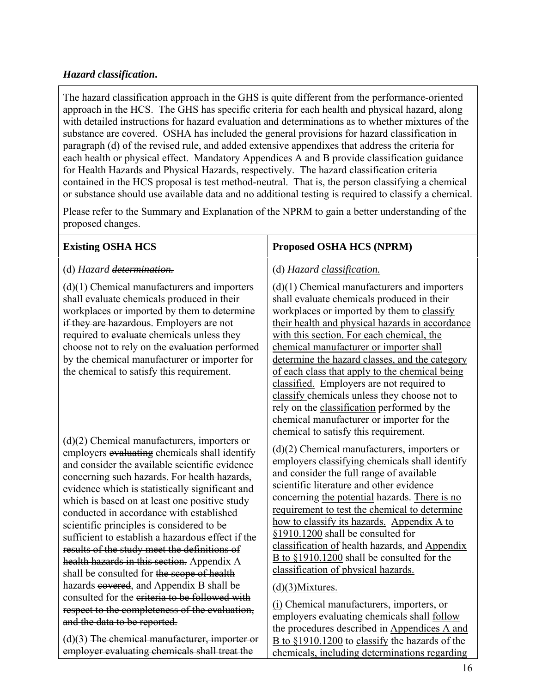### *Hazard classification***.**

The hazard classification approach in the GHS is quite different from the performance-oriented approach in the HCS. The GHS has specific criteria for each health and physical hazard, along with detailed instructions for hazard evaluation and determinations as to whether mixtures of the substance are covered. OSHA has included the general provisions for hazard classification in paragraph (d) of the revised rule, and added extensive appendixes that address the criteria for each health or physical effect. Mandatory Appendices A and B provide classification guidance for Health Hazards and Physical Hazards, respectively. The hazard classification criteria contained in the HCS proposal is test method-neutral. That is, the person classifying a chemical or substance should use available data and no additional testing is required to classify a chemical.

Please refer to the Summary and Explanation of the NPRM to gain a better understanding of the proposed changes.

| <b>Existing OSHA HCS</b>                                                                                                                                                                                                                                                                                                                                                                                                                                                                                                                                                                                                                                                                                                                       | Proposed OSHA HCS (NPRM)                                                                                                                                                                                                                                                                                                                                                                                                                                                                                                                                                                                                                                                                                                    |
|------------------------------------------------------------------------------------------------------------------------------------------------------------------------------------------------------------------------------------------------------------------------------------------------------------------------------------------------------------------------------------------------------------------------------------------------------------------------------------------------------------------------------------------------------------------------------------------------------------------------------------------------------------------------------------------------------------------------------------------------|-----------------------------------------------------------------------------------------------------------------------------------------------------------------------------------------------------------------------------------------------------------------------------------------------------------------------------------------------------------------------------------------------------------------------------------------------------------------------------------------------------------------------------------------------------------------------------------------------------------------------------------------------------------------------------------------------------------------------------|
| (d) Hazard determination.                                                                                                                                                                                                                                                                                                                                                                                                                                                                                                                                                                                                                                                                                                                      | (d) Hazard classification.                                                                                                                                                                                                                                                                                                                                                                                                                                                                                                                                                                                                                                                                                                  |
| $(d)(1)$ Chemical manufacturers and importers<br>shall evaluate chemicals produced in their<br>workplaces or imported by them to determine<br>if they are hazardous. Employers are not<br>required to evaluate chemicals unless they<br>choose not to rely on the evaluation performed<br>by the chemical manufacturer or importer for<br>the chemical to satisfy this requirement.                                                                                                                                                                                                                                                                                                                                                            | $(d)(1)$ Chemical manufacturers and importers<br>shall evaluate chemicals produced in their<br>workplaces or imported by them to classify<br>their health and physical hazards in accordance<br>with this section. For each chemical, the<br>chemical manufacturer or importer shall<br>determine the hazard classes, and the category<br>of each class that apply to the chemical being<br>classified. Employers are not required to<br>classify chemicals unless they choose not to<br>rely on the classification performed by the                                                                                                                                                                                        |
| $(d)(2)$ Chemical manufacturers, importers or<br>employers evaluating chemicals shall identify<br>and consider the available scientific evidence<br>concerning such hazards. For health hazards,<br>evidence which is statistically significant and<br>which is based on at least one positive study<br>conducted in accordance with established<br>scientific principles is considered to be<br>sufficient to establish a hazardous effect if the<br>results of the study meet the definitions of<br>health hazards in this section. Appendix A<br>shall be consulted for the scope of health<br>hazards eovered, and Appendix B shall be<br>consulted for the eriteria to be followed with<br>respect to the completeness of the evaluation, | chemical manufacturer or importer for the<br>chemical to satisfy this requirement.<br>$(d)(2)$ Chemical manufacturers, importers or<br>employers classifying chemicals shall identify<br>and consider the full range of available<br>scientific literature and other evidence<br>concerning the potential hazards. There is no<br>requirement to test the chemical to determine<br>how to classify its hazards. Appendix A to<br>§1910.1200 shall be consulted for<br>classification of health hazards, and Appendix<br>B to §1910.1200 shall be consulted for the<br>classification of physical hazards.<br>$(d)(3)$ Mixtures.<br>(i) Chemical manufacturers, importers, or<br>employers evaluating chemicals shall follow |
| and the data to be reported.<br>$(d)(3)$ The chemical manufacturer, importer or<br>employer evaluating chemicals shall treat the                                                                                                                                                                                                                                                                                                                                                                                                                                                                                                                                                                                                               | the procedures described in Appendices A and<br>$\overline{B}$ to §1910.1200 to classify the hazards of the<br>chemicals, including determinations regarding                                                                                                                                                                                                                                                                                                                                                                                                                                                                                                                                                                |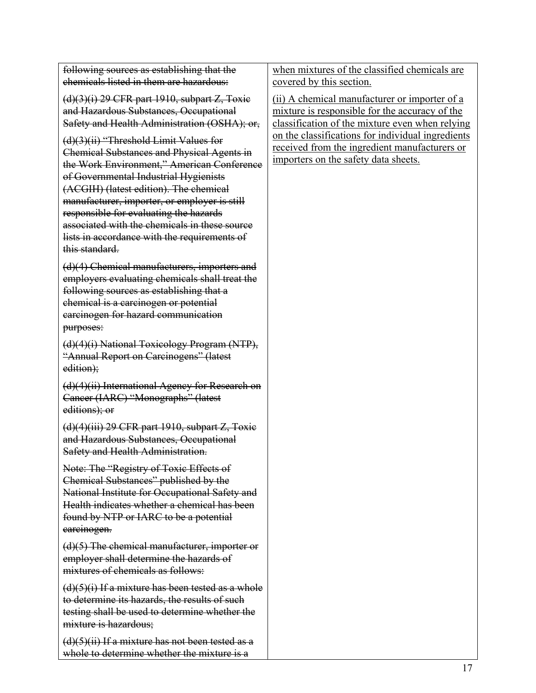| following sources as establishing that the<br>chemicals listed in them are hazardous:                                                                                                                                                                                                                                                                                                                                                       | when mixtures of the classified chemicals are<br>covered by this section.                                                                          |
|---------------------------------------------------------------------------------------------------------------------------------------------------------------------------------------------------------------------------------------------------------------------------------------------------------------------------------------------------------------------------------------------------------------------------------------------|----------------------------------------------------------------------------------------------------------------------------------------------------|
| $(d)(3)(i)$ 29 CFR part 1910, subpart Z, Toxie<br>and Hazardous Substances, Occupational<br>Safety and Health Administration (OSHA); or,                                                                                                                                                                                                                                                                                                    | (ii) A chemical manufacturer or importer of a<br>mixture is responsible for the accuracy of the<br>classification of the mixture even when relying |
| $(d)(3)(ii)$ "Threshold Limit Values for<br><b>Chemical Substances and Physical Agents in</b><br>the Work Environment," American Conference<br>of Governmental Industrial Hygienists<br>(ACGIH) (latest edition). The chemical<br>manufacturer, importer, or employer is still<br>responsible for evaluating the hazards<br>associated with the chemicals in these source<br>lists in accordance with the requirements of<br>this standard. | on the classifications for individual ingredients<br>received from the ingredient manufacturers or<br>importers on the safety data sheets.         |
| (d)(4) Chemical manufacturers, importers and<br>employers evaluating chemicals shall treat the<br>following sources as establishing that a<br>chemical is a carcinogen or potential<br>carcinogen for hazard communication<br>purposes:                                                                                                                                                                                                     |                                                                                                                                                    |
| (d)(4)(i) National Toxicology Program (NTP),<br>"Annual Report on Carcinogens" (latest<br>edition);                                                                                                                                                                                                                                                                                                                                         |                                                                                                                                                    |
| (d)(4)(ii) International Agency for Research on<br>Cancer (IARC) "Monographs" (latest<br>editions); or                                                                                                                                                                                                                                                                                                                                      |                                                                                                                                                    |
| $(d)(4)(iii)$ 29 CFR part 1910, subpart Z, Toxic<br>and Hazardous Substances, Occupational<br>Safety and Health Administration.                                                                                                                                                                                                                                                                                                             |                                                                                                                                                    |
| Note: The "Registry of Toxic Effects of<br>Chemical Substances" published by the<br>National Institute for Occupational Safety and<br>Health indicates whether a chemical has been<br>found by NTP or IARC to be a potential<br>earemogen.                                                                                                                                                                                                  |                                                                                                                                                    |
| $(d)(5)$ The chemical manufacturer, importer or<br>employer shall determine the hazards of<br>mixtures of chemicals as follows:                                                                                                                                                                                                                                                                                                             |                                                                                                                                                    |
| $(d)(5)(i)$ If a mixture has been tested as a whole<br>to determine its hazards, the results of such<br>testing shall be used to determine whether the<br>mixture is hazardous;                                                                                                                                                                                                                                                             |                                                                                                                                                    |
| $(d)(5)(ii)$ If a mixture has not been tested as a                                                                                                                                                                                                                                                                                                                                                                                          |                                                                                                                                                    |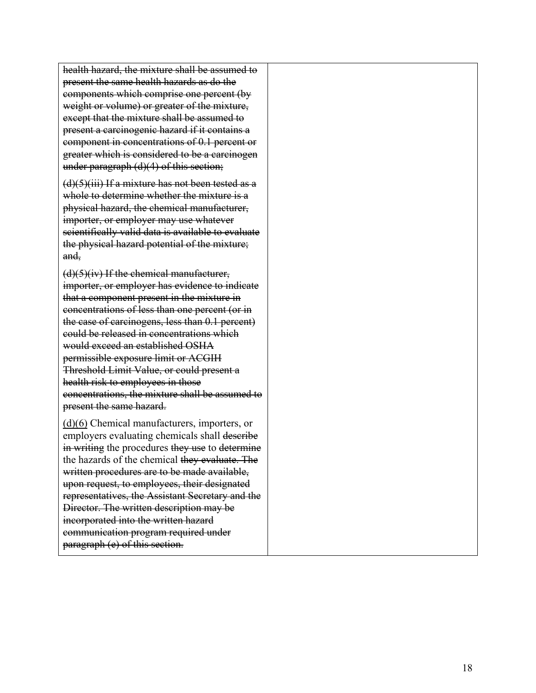health hazard, the mixture shall be assumed to present the same health hazards as do the components which comprise one percent (by weight or volume) or greater of the mixture, except that the mixture shall be assumed to present a carcinogenic hazard if it contains a component in concentrations of 0.1 percent or greater which is considered to be a carcinogen under paragraph (d)(4) of this section;

(d)(5)(iii) If a mixture has not been tested as a whole to determine whether the mixture is a physical hazard, the chemical manufacturer, importer, or employer may use whatever scientifically valid data is available to evaluate the physical hazard potential of the mixture; and,

 $(d)(5)(iv)$  If the chemical manufacturer, importer, or employer has evidence to indicate that a component present in the mixture in concentrations of less than one percent (or in the case of carcinogens, less than 0.1 percent) could be released in concentrations which would exceed an established OSHA permissible exposure limit or ACGIH Threshold Limit Value, or could present a health risk to employees in those concentrations, the mixture shall be assumed to present the same hazard.

(d)(6) Chemical manufacturers, importers, or employers evaluating chemicals shall describe in writing the procedures they use to determine the hazards of the chemical they evaluate. The written procedures are to be made available, upon request, to employees, their designated representatives, the Assistant Secretary and the Director. The written description may be incorporated into the written hazard communication program required under paragraph (e) of this section.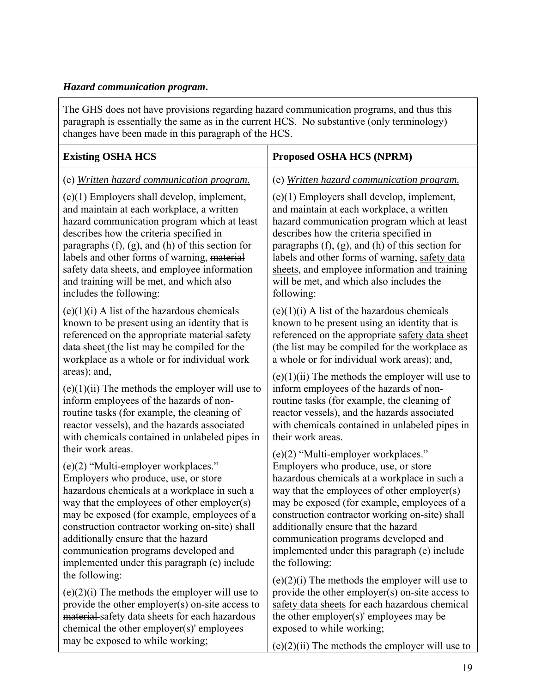### *Hazard communication program***.**

The GHS does not have provisions regarding hazard communication programs, and thus this paragraph is essentially the same as in the current HCS. No substantive (only terminology) changes have been made in this paragraph of the HCS.

| <b>Existing OSHA HCS</b>                                                                                                                                                                                                                                                                                                                                                                                                                            | Proposed OSHA HCS (NPRM)                                                                                                                                                                                                                                                                                                                                                                                                       |
|-----------------------------------------------------------------------------------------------------------------------------------------------------------------------------------------------------------------------------------------------------------------------------------------------------------------------------------------------------------------------------------------------------------------------------------------------------|--------------------------------------------------------------------------------------------------------------------------------------------------------------------------------------------------------------------------------------------------------------------------------------------------------------------------------------------------------------------------------------------------------------------------------|
| (e) Written hazard communication program.                                                                                                                                                                                                                                                                                                                                                                                                           | (e) Written hazard communication program.                                                                                                                                                                                                                                                                                                                                                                                      |
| $(e)(1)$ Employers shall develop, implement,<br>and maintain at each workplace, a written<br>hazard communication program which at least<br>describes how the criteria specified in<br>paragraphs $(f)$ , $(g)$ , and $(h)$ of this section for<br>labels and other forms of warning, material<br>safety data sheets, and employee information<br>and training will be met, and which also<br>includes the following:                               | $(e)(1)$ Employers shall develop, implement,<br>and maintain at each workplace, a written<br>hazard communication program which at least<br>describes how the criteria specified in<br>paragraphs $(f)$ , $(g)$ , and $(h)$ of this section for<br>labels and other forms of warning, safety data<br>sheets, and employee information and training<br>will be met, and which also includes the<br>following:                   |
| $(e)(1)(i)$ A list of the hazardous chemicals<br>known to be present using an identity that is<br>referenced on the appropriate material safety<br>data sheet (the list may be compiled for the<br>workplace as a whole or for individual work                                                                                                                                                                                                      | $(e)(1)(i)$ A list of the hazardous chemicals<br>known to be present using an identity that is<br>referenced on the appropriate safety data sheet<br>(the list may be compiled for the workplace as<br>a whole or for individual work areas); and,                                                                                                                                                                             |
| areas); and,<br>$(e)(1)(ii)$ The methods the employer will use to<br>inform employees of the hazards of non-<br>routine tasks (for example, the cleaning of<br>reactor vessels), and the hazards associated<br>with chemicals contained in unlabeled pipes in                                                                                                                                                                                       | $(e)(1)(ii)$ The methods the employer will use to<br>inform employees of the hazards of non-<br>routine tasks (for example, the cleaning of<br>reactor vessels), and the hazards associated<br>with chemicals contained in unlabeled pipes in<br>their work areas.                                                                                                                                                             |
| their work areas.<br>$(e)(2)$ "Multi-employer workplaces."<br>Employers who produce, use, or store<br>hazardous chemicals at a workplace in such a<br>way that the employees of other employer(s)<br>may be exposed (for example, employees of a<br>construction contractor working on-site) shall<br>additionally ensure that the hazard<br>communication programs developed and<br>implemented under this paragraph (e) include<br>the following: | $(e)(2)$ "Multi-employer workplaces."<br>Employers who produce, use, or store<br>hazardous chemicals at a workplace in such a<br>way that the employees of other employer(s)<br>may be exposed (for example, employees of a<br>construction contractor working on-site) shall<br>additionally ensure that the hazard<br>communication programs developed and<br>implemented under this paragraph (e) include<br>the following: |
| $(e)(2)(i)$ The methods the employer will use to<br>provide the other employer(s) on-site access to<br>material-safety data sheets for each hazardous<br>chemical the other employer(s)' employees<br>may be exposed to while working;                                                                                                                                                                                                              | $(e)(2)(i)$ The methods the employer will use to<br>provide the other employer(s) on-site access to<br>safety data sheets for each hazardous chemical<br>the other employer(s)' employees may be<br>exposed to while working;<br>$\alpha$ (2)(ii) The methods the employer will use to                                                                                                                                         |

 $\vert$  (e)(2)(ii) The methods the employer will use to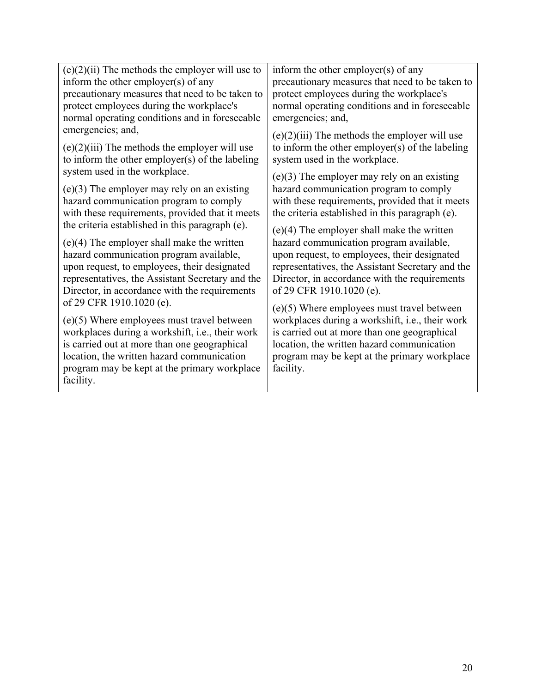| $(e)(2)(ii)$ The methods the employer will use to<br>inform the other employer(s) of any<br>precautionary measures that need to be taken to<br>protect employees during the workplace's<br>normal operating conditions and in foreseeable                                | inform the other employer(s) of any<br>precautionary measures that need to be taken to<br>protect employees during the workplace's<br>normal operating conditions and in foreseeable<br>emergencies; and,                                                  |
|--------------------------------------------------------------------------------------------------------------------------------------------------------------------------------------------------------------------------------------------------------------------------|------------------------------------------------------------------------------------------------------------------------------------------------------------------------------------------------------------------------------------------------------------|
| emergencies; and,<br>$(e)(2)(iii)$ The methods the employer will use<br>to inform the other employer(s) of the labeling<br>system used in the workplace.                                                                                                                 | $(e)(2)(iii)$ The methods the employer will use<br>to inform the other employer(s) of the labeling<br>system used in the workplace.                                                                                                                        |
| $(e)(3)$ The employer may rely on an existing<br>hazard communication program to comply<br>with these requirements, provided that it meets<br>the criteria established in this paragraph (e).                                                                            | $(e)(3)$ The employer may rely on an existing<br>hazard communication program to comply<br>with these requirements, provided that it meets<br>the criteria established in this paragraph (e).<br>$(e)(4)$ The employer shall make the written              |
| $(e)(4)$ The employer shall make the written<br>hazard communication program available,<br>upon request, to employees, their designated<br>representatives, the Assistant Secretary and the<br>Director, in accordance with the requirements<br>of 29 CFR 1910.1020 (e). | hazard communication program available,<br>upon request, to employees, their designated<br>representatives, the Assistant Secretary and the<br>Director, in accordance with the requirements<br>of 29 CFR 1910.1020 (e).                                   |
| $(e)(5)$ Where employees must travel between<br>workplaces during a workshift, i.e., their work<br>is carried out at more than one geographical<br>location, the written hazard communication<br>program may be kept at the primary workplace<br>facility.               | $(e)(5)$ Where employees must travel between<br>workplaces during a workshift, i.e., their work<br>is carried out at more than one geographical<br>location, the written hazard communication<br>program may be kept at the primary workplace<br>facility. |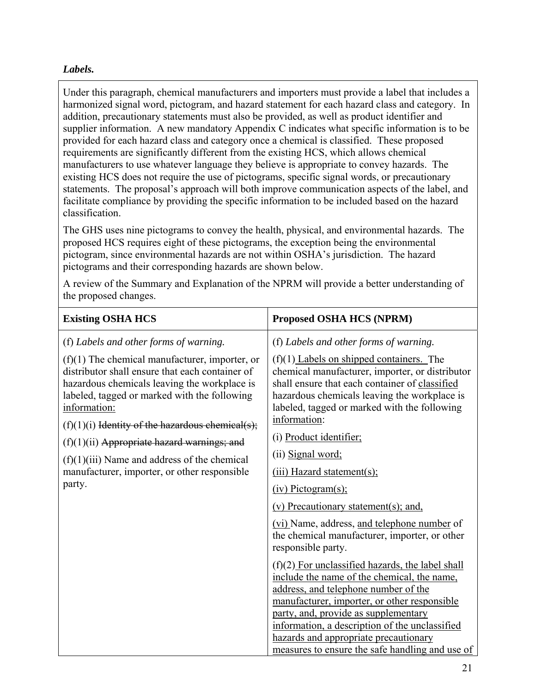#### *Labels.*

Under this paragraph, chemical manufacturers and importers must provide a label that includes a harmonized signal word, pictogram, and hazard statement for each hazard class and category. In addition, precautionary statements must also be provided, as well as product identifier and supplier information. A new mandatory Appendix C indicates what specific information is to be provided for each hazard class and category once a chemical is classified. These proposed requirements are significantly different from the existing HCS, which allows chemical manufacturers to use whatever language they believe is appropriate to convey hazards. The existing HCS does not require the use of pictograms, specific signal words, or precautionary statements. The proposal's approach will both improve communication aspects of the label, and facilitate compliance by providing the specific information to be included based on the hazard classification.

The GHS uses nine pictograms to convey the health, physical, and environmental hazards. The proposed HCS requires eight of these pictograms, the exception being the environmental pictogram, since environmental hazards are not within OSHA's jurisdiction. The hazard pictograms and their corresponding hazards are shown below.

A review of the Summary and Explanation of the NPRM will provide a better understanding of the proposed changes.

| <b>Existing OSHA HCS</b>                                                                                                                                                                                                                                                  | Proposed OSHA HCS (NPRM)                                                                                                                                                                                                                                                                                                     |
|---------------------------------------------------------------------------------------------------------------------------------------------------------------------------------------------------------------------------------------------------------------------------|------------------------------------------------------------------------------------------------------------------------------------------------------------------------------------------------------------------------------------------------------------------------------------------------------------------------------|
| (f) Labels and other forms of warning.                                                                                                                                                                                                                                    | (f) Labels and other forms of warning.                                                                                                                                                                                                                                                                                       |
| $(f)(1)$ The chemical manufacturer, importer, or<br>distributor shall ensure that each container of<br>hazardous chemicals leaving the workplace is<br>labeled, tagged or marked with the following<br>information:<br>$(f)(1)(i)$ Identity of the hazardous chemical(s); | $(f)(1)$ Labels on shipped containers. The<br>chemical manufacturer, importer, or distributor<br>shall ensure that each container of classified<br>hazardous chemicals leaving the workplace is<br>labeled, tagged or marked with the following<br>information:                                                              |
| $(f)(1)(ii)$ Appropriate hazard warnings; and<br>$(f)(1)(iii)$ Name and address of the chemical<br>manufacturer, importer, or other responsible<br>party.                                                                                                                 | (i) Product identifier;                                                                                                                                                                                                                                                                                                      |
|                                                                                                                                                                                                                                                                           | (ii) Signal word;                                                                                                                                                                                                                                                                                                            |
|                                                                                                                                                                                                                                                                           | (iii) Hazard statement(s);                                                                                                                                                                                                                                                                                                   |
|                                                                                                                                                                                                                                                                           | $(iv)$ Pictogram $(s)$ ;                                                                                                                                                                                                                                                                                                     |
|                                                                                                                                                                                                                                                                           | (v) Precautionary statement(s); and,                                                                                                                                                                                                                                                                                         |
|                                                                                                                                                                                                                                                                           | (vi) Name, address, and telephone number of<br>the chemical manufacturer, importer, or other<br>responsible party.                                                                                                                                                                                                           |
|                                                                                                                                                                                                                                                                           | $(f)(2)$ For unclassified hazards, the label shall<br>include the name of the chemical, the name,<br>address, and telephone number of the<br>manufacturer, importer, or other responsible<br>party, and, provide as supplementary<br>information, a description of the unclassified<br>hazards and appropriate precautionary |
|                                                                                                                                                                                                                                                                           | measures to ensure the safe handling and use of                                                                                                                                                                                                                                                                              |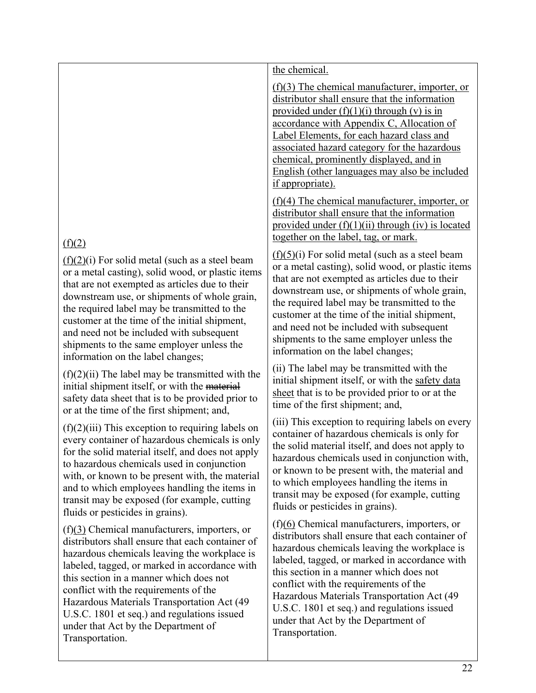|                                                                                                                                                                                                                                                                                                                                                                                                                                         | the chemical.                                                                                                                                                                                                                                                                                                                                                                                                                           |
|-----------------------------------------------------------------------------------------------------------------------------------------------------------------------------------------------------------------------------------------------------------------------------------------------------------------------------------------------------------------------------------------------------------------------------------------|-----------------------------------------------------------------------------------------------------------------------------------------------------------------------------------------------------------------------------------------------------------------------------------------------------------------------------------------------------------------------------------------------------------------------------------------|
|                                                                                                                                                                                                                                                                                                                                                                                                                                         | $(f)(3)$ The chemical manufacturer, importer, or<br>distributor shall ensure that the information<br>provided under $(f)(1)(i)$ through $(v)$ is in<br>accordance with Appendix C, Allocation of<br>Label Elements, for each hazard class and<br>associated hazard category for the hazardous<br>chemical, prominently displayed, and in<br>English (other languages may also be included<br>if appropriate).                           |
| (f)(2)                                                                                                                                                                                                                                                                                                                                                                                                                                  | $(f)(4)$ The chemical manufacturer, importer, or<br>distributor shall ensure that the information<br>provided under $(f)(1)(ii)$ through (iv) is located<br>together on the label, tag, or mark.                                                                                                                                                                                                                                        |
| $(f)(2)(i)$ For solid metal (such as a steel beam<br>or a metal casting), solid wood, or plastic items<br>that are not exempted as articles due to their<br>downstream use, or shipments of whole grain,<br>the required label may be transmitted to the<br>customer at the time of the initial shipment,<br>and need not be included with subsequent<br>shipments to the same employer unless the<br>information on the label changes; | $(f)(5)(i)$ For solid metal (such as a steel beam<br>or a metal casting), solid wood, or plastic items<br>that are not exempted as articles due to their<br>downstream use, or shipments of whole grain,<br>the required label may be transmitted to the<br>customer at the time of the initial shipment,<br>and need not be included with subsequent<br>shipments to the same employer unless the<br>information on the label changes; |
| $(f)(2)(ii)$ The label may be transmitted with the<br>initial shipment itself, or with the material<br>safety data sheet that is to be provided prior to<br>or at the time of the first shipment; and,                                                                                                                                                                                                                                  | (ii) The label may be transmitted with the<br>initial shipment itself, or with the safety data<br>sheet that is to be provided prior to or at the<br>time of the first shipment; and,                                                                                                                                                                                                                                                   |
| $(f)(2)(iii)$ This exception to requiring labels on<br>every container of hazardous chemicals is only<br>for the solid material itself, and does not apply<br>to hazardous chemicals used in conjunction<br>with, or known to be present with, the material<br>and to which employees handling the items in<br>transit may be exposed (for example, cutting<br>fluids or pesticides in grains).                                         | (iii) This exception to requiring labels on every<br>container of hazardous chemicals is only for<br>the solid material itself, and does not apply to<br>hazardous chemicals used in conjunction with,<br>or known to be present with, the material and<br>to which employees handling the items in<br>transit may be exposed (for example, cutting<br>fluids or pesticides in grains).                                                 |
| $(f)(3)$ Chemical manufacturers, importers, or<br>distributors shall ensure that each container of<br>hazardous chemicals leaving the workplace is<br>labeled, tagged, or marked in accordance with<br>this section in a manner which does not<br>conflict with the requirements of the<br>Hazardous Materials Transportation Act (49)<br>U.S.C. 1801 et seq.) and regulations issued<br>under that Act by the Department of            | $(f)(6)$ Chemical manufacturers, importers, or<br>distributors shall ensure that each container of<br>hazardous chemicals leaving the workplace is<br>labeled, tagged, or marked in accordance with<br>this section in a manner which does not<br>conflict with the requirements of the<br>Hazardous Materials Transportation Act (49)<br>U.S.C. 1801 et seq.) and regulations issued<br>under that Act by the Department of            |

Transportation.

Transportation.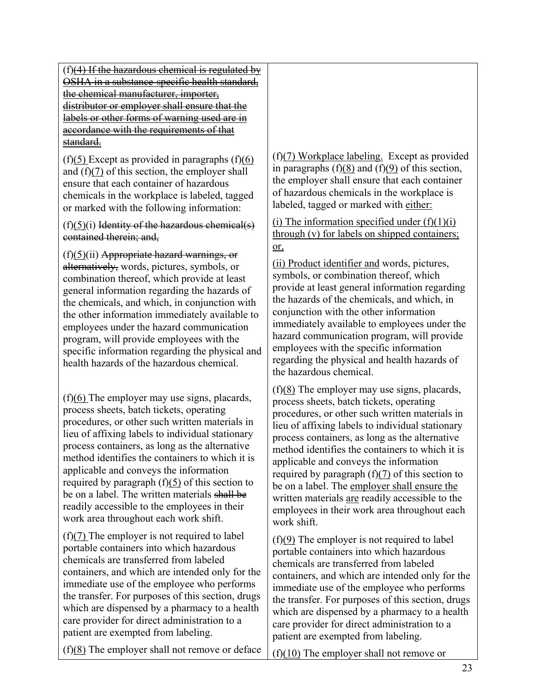(f)(4) If the hazardous chemical is regulated by OSHA in a substance-specific health standard, the chemical manufacturer, importer, distributor or employer shall ensure that the labels or other forms of warning used are in accordance with the requirements of that standard.

 $(f)(5)$  Except as provided in paragraphs  $(f)(6)$ and  $(f)(7)$  of this section, the employer shall ensure that each container of hazardous chemicals in the workplace is labeled, tagged or marked with the following information:

 $(f)(5)(i)$  Identity of the hazardous chemical(s) contained therein; and,

 $(f)(5)(ii)$  Appropriate hazard warnings, or alternatively, words, pictures, symbols, or combination thereof, which provide at least general information regarding the hazards of the chemicals, and which, in conjunction with the other information immediately available to employees under the hazard communication program, will provide employees with the specific information regarding the physical and health hazards of the hazardous chemical.

(f)(6) The employer may use signs, placards, process sheets, batch tickets, operating procedures, or other such written materials in lieu of affixing labels to individual stationary process containers, as long as the alternative method identifies the containers to which it is applicable and conveys the information required by paragraph  $(f)(5)$  of this section to be on a label. The written materials shall be readily accessible to the employees in their work area throughout each work shift.

(f)(7) The employer is not required to label portable containers into which hazardous chemicals are transferred from labeled containers, and which are intended only for the immediate use of the employee who performs the transfer. For purposes of this section, drugs which are dispensed by a pharmacy to a health care provider for direct administration to a patient are exempted from labeling.

(f)(8) The employer shall not remove or deface

(f)(7) Workplace labeling. Except as provided in paragraphs  $(f)(8)$  and  $(f)(9)$  of this section, the employer shall ensure that each container of hazardous chemicals in the workplace is labeled, tagged or marked with either:

(i) The information specified under  $(f)(1)(i)$ through (v) for labels on shipped containers; or,

(ii) Product identifier and words, pictures, symbols, or combination thereof, which provide at least general information regarding the hazards of the chemicals, and which, in conjunction with the other information immediately available to employees under the hazard communication program, will provide employees with the specific information regarding the physical and health hazards of the hazardous chemical.

(f)(8) The employer may use signs, placards, process sheets, batch tickets, operating procedures, or other such written materials in lieu of affixing labels to individual stationary process containers, as long as the alternative method identifies the containers to which it is applicable and conveys the information required by paragraph (f)(7) of this section to be on a label. The employer shall ensure the written materials are readily accessible to the employees in their work area throughout each work shift

(f)(9) The employer is not required to label portable containers into which hazardous chemicals are transferred from labeled containers, and which are intended only for the immediate use of the employee who performs the transfer. For purposes of this section, drugs which are dispensed by a pharmacy to a health care provider for direct administration to a patient are exempted from labeling.

 $(f)(10)$  The employer shall not remove or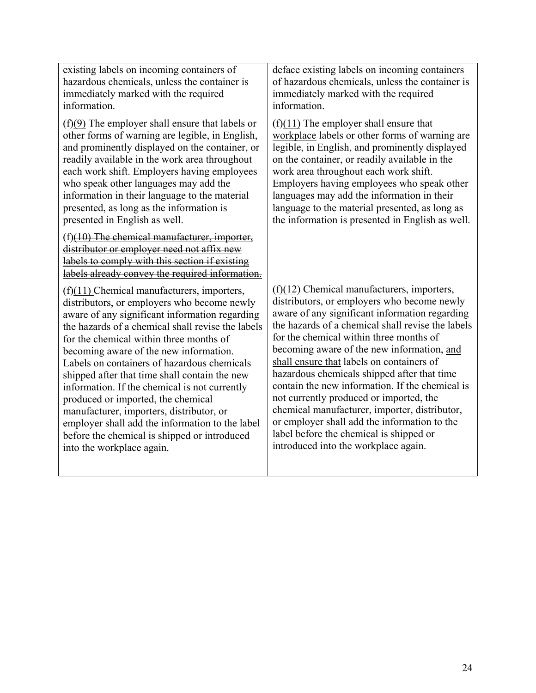existing labels on incoming containers of hazardous chemicals, unless the container is immediately marked with the required information.

(f)(9) The employer shall ensure that labels or other forms of warning are legible, in English, and prominently displayed on the container, or readily available in the work area throughout each work shift. Employers having employees who speak other languages may add the information in their language to the material presented, as long as the information is presented in English as well.

(f)(10) The chemical manufacturer, importer, distributor or employer need not affix new labels to comply with this section if existing labels already convey the required information.

(f)(11) Chemical manufacturers, importers, distributors, or employers who become newly aware of any significant information regarding the hazards of a chemical shall revise the labels for the chemical within three months of becoming aware of the new information. Labels on containers of hazardous chemicals shipped after that time shall contain the new information. If the chemical is not currently produced or imported, the chemical manufacturer, importers, distributor, or employer shall add the information to the label before the chemical is shipped or introduced into the workplace again.

deface existing labels on incoming containers of hazardous chemicals, unless the container is immediately marked with the required information.

 $(f)(11)$  The employer shall ensure that workplace labels or other forms of warning are legible, in English, and prominently displayed on the container, or readily available in the work area throughout each work shift. Employers having employees who speak other languages may add the information in their language to the material presented, as long as the information is presented in English as well.

(f)(12) Chemical manufacturers, importers, distributors, or employers who become newly aware of any significant information regarding the hazards of a chemical shall revise the labels for the chemical within three months of becoming aware of the new information, and shall ensure that labels on containers of hazardous chemicals shipped after that time contain the new information. If the chemical is not currently produced or imported, the chemical manufacturer, importer, distributor, or employer shall add the information to the label before the chemical is shipped or introduced into the workplace again.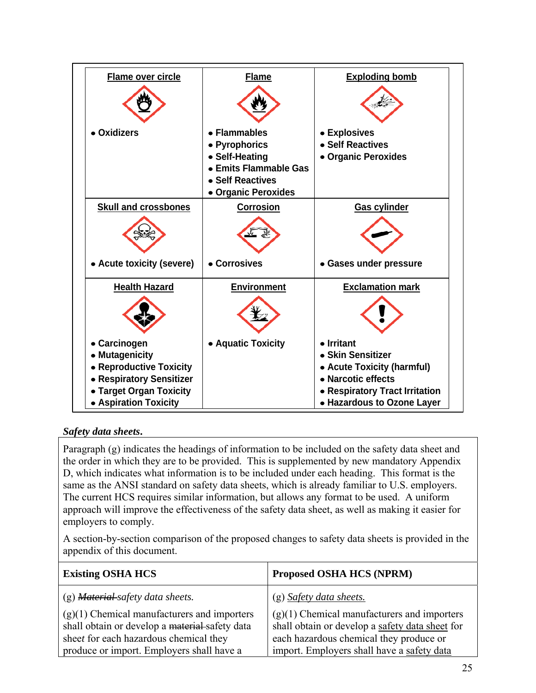| Flame over circle                                   | Flame                                                                                                               | <b>Exploding bomb</b>                                   |
|-----------------------------------------------------|---------------------------------------------------------------------------------------------------------------------|---------------------------------------------------------|
|                                                     |                                                                                                                     |                                                         |
| • Oxidizers                                         | • Flammables<br>• Pyrophorics<br>• Self-Heating<br>• Emits Flammable Gas<br>• Self Reactives<br>• Organic Peroxides | • Explosives<br>• Self Reactives<br>• Organic Peroxides |
| <b>Skull and crossbones</b>                         | Corrosion                                                                                                           | <b>Gas cylinder</b>                                     |
|                                                     |                                                                                                                     |                                                         |
| • Acute toxicity (severe)                           | • Corrosives                                                                                                        | • Gases under pressure                                  |
| <b>Health Hazard</b>                                | Environment                                                                                                         | <b>Exclamation mark</b>                                 |
|                                                     |                                                                                                                     |                                                         |
| • Carcinogen                                        | • Aquatic Toxicity                                                                                                  | $\bullet$ Irritant                                      |
| • Mutagenicity                                      |                                                                                                                     | • Skin Sensitizer                                       |
| • Reproductive Toxicity<br>• Respiratory Sensitizer |                                                                                                                     | • Acute Toxicity (harmful)<br>• Narcotic effects        |
| • Target Organ Toxicity                             |                                                                                                                     | • Respiratory Tract Irritation                          |
| • Aspiration Toxicity                               |                                                                                                                     | • Hazardous to Ozone Layer                              |

### *Safety data sheets***.**

Paragraph (g) indicates the headings of information to be included on the safety data sheet and the order in which they are to be provided. This is supplemented by new mandatory Appendix D, which indicates what information is to be included under each heading. This format is the same as the ANSI standard on safety data sheets, which is already familiar to U.S. employers. The current HCS requires similar information, but allows any format to be used. A uniform approach will improve the effectiveness of the safety data sheet, as well as making it easier for employers to comply.

A section-by-section comparison of the proposed changes to safety data sheets is provided in the appendix of this document.

| <b>Existing OSHA HCS</b>                                                                                                                                                               | <b>Proposed OSHA HCS (NPRM)</b>                                                                                                                                                           |
|----------------------------------------------------------------------------------------------------------------------------------------------------------------------------------------|-------------------------------------------------------------------------------------------------------------------------------------------------------------------------------------------|
| (g) <i>Material-safety data sheets.</i>                                                                                                                                                | (g) Safety data sheets.                                                                                                                                                                   |
| $(g)(1)$ Chemical manufacturers and importers<br>shall obtain or develop a material-safety data<br>sheet for each hazardous chemical they<br>produce or import. Employers shall have a | $(g)(1)$ Chemical manufacturers and importers<br>shall obtain or develop a safety data sheet for<br>each hazardous chemical they produce or<br>import. Employers shall have a safety data |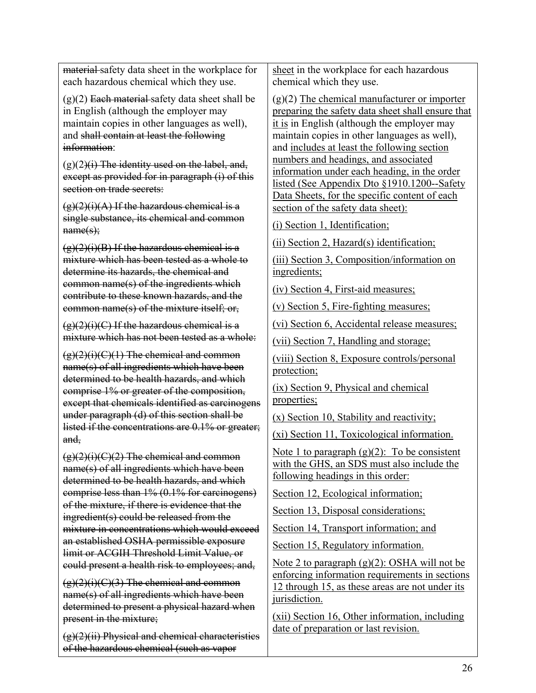| material safety data sheet in the workplace for<br>each hazardous chemical which they use.                                                                                                             | sheet in the workplace for each hazardous<br>chemical which they use.                                                                                                                                                                             |
|--------------------------------------------------------------------------------------------------------------------------------------------------------------------------------------------------------|---------------------------------------------------------------------------------------------------------------------------------------------------------------------------------------------------------------------------------------------------|
| $(g)(2)$ Each material safety data sheet shall be<br>in English (although the employer may<br>maintain copies in other languages as well),<br>and shall contain at least the following<br>information: | $(g)(2)$ The chemical manufacturer or importer<br>preparing the safety data sheet shall ensure that<br>it is in English (although the employer may<br>maintain copies in other languages as well),<br>and includes at least the following section |
| $(g)(2)(i)$ The identity used on the label, and,<br>except as provided for in paragraph (i) of this<br>section on trade secrets:                                                                       | numbers and headings, and associated<br>information under each heading, in the order<br>listed (See Appendix Dto §1910.1200--Safety<br>Data Sheets, for the specific content of each                                                              |
| $(g)(2)(i)(A)$ If the hazardous chemical is a<br>single substance, its chemical and common                                                                                                             | section of the safety data sheet):<br>(i) Section 1, Identification;                                                                                                                                                                              |
| name(s);                                                                                                                                                                                               | (ii) Section 2, Hazard(s) identification;                                                                                                                                                                                                         |
| $(g)(2)(i)(B)$ If the hazardous chemical is a<br>mixture which has been tested as a whole to<br>determine its hazards, the chemical and                                                                | (iii) Section 3, Composition/information on<br>ingredients;                                                                                                                                                                                       |
| common name(s) of the ingredients which                                                                                                                                                                | (iv) Section 4, First-aid measures:                                                                                                                                                                                                               |
| contribute to these known hazards, and the<br>common name(s) of the mixture itself; or,                                                                                                                | (v) Section 5, Fire-fighting measures;                                                                                                                                                                                                            |
| $(g)(2)(i)(C)$ If the hazardous chemical is a                                                                                                                                                          | (vi) Section 6, Accidental release measures;                                                                                                                                                                                                      |
| mixture which has not been tested as a whole:                                                                                                                                                          | (vii) Section 7, Handling and storage;                                                                                                                                                                                                            |
| $(g)(2)(i)(C)(1)$ The chemical and common<br>name(s) of all ingredients which have been                                                                                                                | (viii) Section 8, Exposure controls/personal<br>protection;                                                                                                                                                                                       |
| determined to be health hazards, and which<br>comprise 1% or greater of the composition,<br>except that chemicals identified as carcinogens                                                            | (ix) Section 9, Physical and chemical<br>properties;                                                                                                                                                                                              |
| under paragraph (d) of this section shall be                                                                                                                                                           | (x) Section 10, Stability and reactivity;                                                                                                                                                                                                         |
| listed if the concentrations are 0.1% or greater;<br>and,                                                                                                                                              | (xi) Section 11, Toxicological information.                                                                                                                                                                                                       |
| $(g)(2)(i)(C)(2)$ The chemical and common<br>name(s) of all ingredients which have been<br>determined to be health hazards, and which                                                                  | Note 1 to paragraph $(g)(2)$ : To be consistent<br>with the GHS, an SDS must also include the<br>following headings in this order:                                                                                                                |
| comprise less than $1\%$ (0.1% for carcinogens)                                                                                                                                                        | Section 12, Ecological information;                                                                                                                                                                                                               |
| of the mixture, if there is evidence that the<br>ingredient(s) could be released from the                                                                                                              | Section 13, Disposal considerations;                                                                                                                                                                                                              |
| mixture in concentrations which would exceed                                                                                                                                                           | Section 14, Transport information; and                                                                                                                                                                                                            |
| an established OSHA permissible exposure                                                                                                                                                               | Section 15, Regulatory information.                                                                                                                                                                                                               |
| limit or ACGIH Threshold Limit Value, or<br>eould present a health risk to employees; and,                                                                                                             | Note 2 to paragraph $(g)(2)$ : OSHA will not be                                                                                                                                                                                                   |
| $(g)(2)(i)(C)(3)$ The chemical and common<br>name(s) of all ingredients which have been                                                                                                                | enforcing information requirements in sections<br>12 through 15, as these areas are not under its<br>jurisdiction.                                                                                                                                |
| determined to present a physical hazard when                                                                                                                                                           | (xii) Section 16, Other information, including                                                                                                                                                                                                    |
| present in the mixture;                                                                                                                                                                                | date of preparation or last revision.                                                                                                                                                                                                             |
| $(g)(2)(ii)$ Physical and chemical characteristics<br>of the hazardous chemical (such as vapor                                                                                                         |                                                                                                                                                                                                                                                   |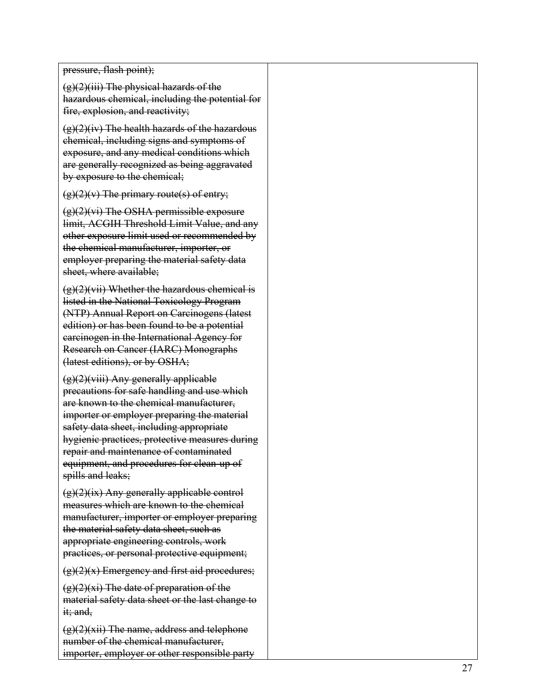pressure, flash point);

 $(g)(2)(iii)$  The physical hazards of the hazardous chemical, including the potential for fire, explosion, and reactivity;

 $(g)(2)(iv)$  The health hazards of the hazardous chemical, including signs and symptoms of exposure, and any medical conditions which are generally recognized as being aggravated by exposure to the chemical;

 $(g)(2)(v)$  The primary route(s) of entry;

(g)(2)(vi) The OSHA permissible exposure limit, ACGIH Threshold Limit Value, and any other exposure limit used or recommended by the chemical manufacturer, importer, or employer preparing the material safety data sheet, where available;

 $(g)(2)(vii)$  Whether the hazardous chemical is listed in the National Toxicology Program (NTP) Annual Report on Carcinogens (latest edition) or has been found to be a potential carcinogen in the International Agency for Research on Cancer (IARC) Monographs (latest editions), or by OSHA;

(g)(2)(viii) Any generally applicable precautions for safe handling and use which are known to the chemical manufacturer, importer or employer preparing the material safety data sheet, including appropriate hygienic practices, protective measures during repair and maintenance of contaminated equipment, and procedures for clean -up of spills and leaks;

 $(g)(2)(ix)$  Any generally applicable control measures which are known to the chemical manufacturer, importer or employer preparing the material safety data sheet, such as appropriate engineering controls, work practices, or personal protective equipment;

 $(g)(2)(x)$  Emergency and first aid procedures;

 $(g)(2)(xi)$  The date of preparation of the material safety data sheet or the last change to it; and,

 $(g)(2)(xii)$  The name, address and telephone number of the chemical manufacturer, importer, employer or other responsible party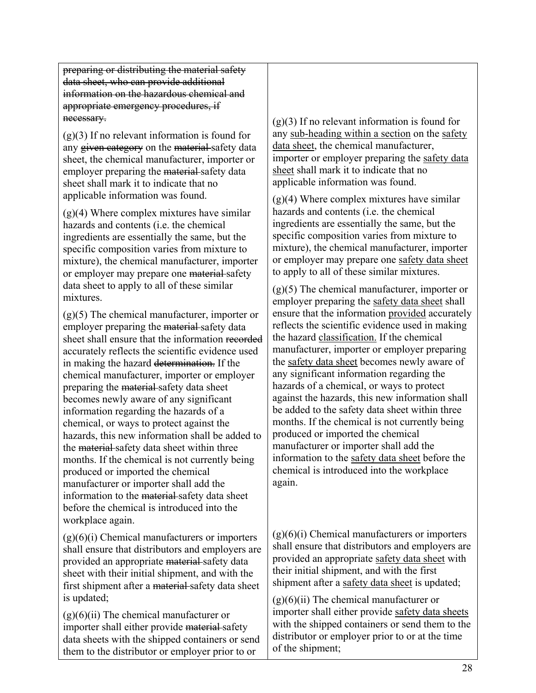preparing or distributing the material safety data sheet, who can provide additional information on the hazardous chemical and appropriate emergency procedures, if necessary.

(g)(3) If no relevant information is found for any given category on the material safety data sheet, the chemical manufacturer, importer or employer preparing the material safety data sheet shall mark it to indicate that no applicable information was found.

(g)(4) Where complex mixtures have similar hazards and contents (i.e. the chemical ingredients are essentially the same, but the specific composition varies from mixture to mixture), the chemical manufacturer, importer or employer may prepare one material safety data sheet to apply to all of these similar mixtures.

(g)(5) The chemical manufacturer, importer or employer preparing the material safety data sheet shall ensure that the information recorded accurately reflects the scientific evidence used in making the hazard determination. If the chemical manufacturer, importer or employer preparing the material safety data sheet becomes newly aware of any significant information regarding the hazards of a chemical, or ways to protect against the hazards, this new information shall be added to the material safety data sheet within three months. If the chemical is not currently being produced or imported the chemical manufacturer or importer shall add the information to the material safety data sheet before the chemical is introduced into the workplace again.

(g)(6)(i) Chemical manufacturers or importers shall ensure that distributors and employers are provided an appropriate material safety data sheet with their initial shipment, and with the first shipment after a material safety data sheet is updated;

 $(g)(6)(ii)$  The chemical manufacturer or importer shall either provide material safety data sheets with the shipped containers or send them to the distributor or employer prior to or

(g)(3) If no relevant information is found for any sub-heading within a section on the safety data sheet, the chemical manufacturer, importer or employer preparing the safety data sheet shall mark it to indicate that no applicable information was found.

(g)(4) Where complex mixtures have similar hazards and contents (i.e. the chemical ingredients are essentially the same, but the specific composition varies from mixture to mixture), the chemical manufacturer, importer or employer may prepare one safety data sheet to apply to all of these similar mixtures.

(g)(5) The chemical manufacturer, importer or employer preparing the safety data sheet shall ensure that the information provided accurately reflects the scientific evidence used in making the hazard classification. If the chemical manufacturer, importer or employer preparing the safety data sheet becomes newly aware of any significant information regarding the hazards of a chemical, or ways to protect against the hazards, this new information shall be added to the safety data sheet within three months. If the chemical is not currently being produced or imported the chemical manufacturer or importer shall add the information to the safety data sheet before the chemical is introduced into the workplace again.

(g)(6)(i) Chemical manufacturers or importers shall ensure that distributors and employers are provided an appropriate safety data sheet with their initial shipment, and with the first shipment after a safety data sheet is updated;

 $(g)(6)(ii)$  The chemical manufacturer or importer shall either provide safety data sheets with the shipped containers or send them to the distributor or employer prior to or at the time of the shipment;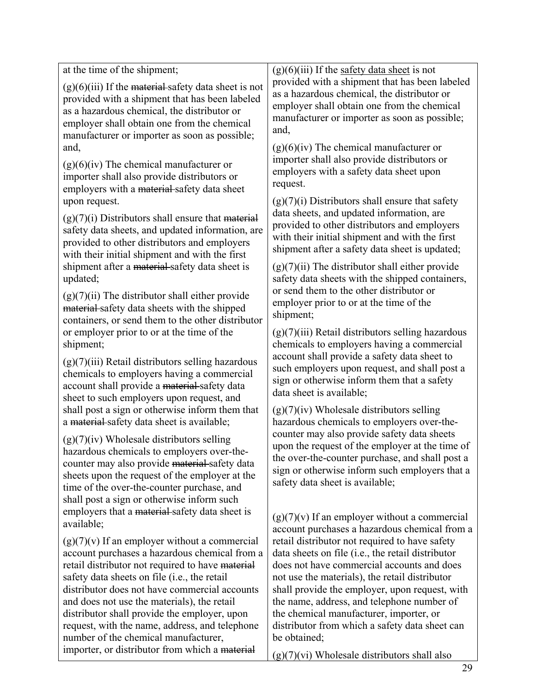| at the time of the shipment;                                                                                                                                                                                                            | $(g)(6)(iii)$ If the safety data sheet is not                                                                                                           |
|-----------------------------------------------------------------------------------------------------------------------------------------------------------------------------------------------------------------------------------------|---------------------------------------------------------------------------------------------------------------------------------------------------------|
| $(g)(6)(iii)$ If the <del>material</del> safety data sheet is not                                                                                                                                                                       | provided with a shipment that has been labeled                                                                                                          |
| provided with a shipment that has been labeled                                                                                                                                                                                          | as a hazardous chemical, the distributor or                                                                                                             |
| as a hazardous chemical, the distributor or                                                                                                                                                                                             | employer shall obtain one from the chemical                                                                                                             |
| employer shall obtain one from the chemical                                                                                                                                                                                             | manufacturer or importer as soon as possible;                                                                                                           |
| manufacturer or importer as soon as possible;                                                                                                                                                                                           | and,                                                                                                                                                    |
| and,                                                                                                                                                                                                                                    | $(g)(6)(iv)$ The chemical manufacturer or                                                                                                               |
| $(g)(6)(iv)$ The chemical manufacturer or                                                                                                                                                                                               | importer shall also provide distributors or                                                                                                             |
| importer shall also provide distributors or                                                                                                                                                                                             | employers with a safety data sheet upon                                                                                                                 |
| employers with a material-safety data sheet                                                                                                                                                                                             | request.                                                                                                                                                |
| upon request.                                                                                                                                                                                                                           | $(g)(7)(i)$ Distributors shall ensure that safety                                                                                                       |
| $(g)(7)(i)$ Distributors shall ensure that material                                                                                                                                                                                     | data sheets, and updated information, are                                                                                                               |
| safety data sheets, and updated information, are                                                                                                                                                                                        | provided to other distributors and employers                                                                                                            |
| provided to other distributors and employers                                                                                                                                                                                            | with their initial shipment and with the first                                                                                                          |
| with their initial shipment and with the first                                                                                                                                                                                          | shipment after a safety data sheet is updated;                                                                                                          |
| shipment after a material-safety data sheet is                                                                                                                                                                                          | $(g)(7)(ii)$ The distributor shall either provide                                                                                                       |
| updated;                                                                                                                                                                                                                                | safety data sheets with the shipped containers,                                                                                                         |
| $(g)(7)(ii)$ The distributor shall either provide                                                                                                                                                                                       | or send them to the other distributor or                                                                                                                |
| material safety data sheets with the shipped                                                                                                                                                                                            | employer prior to or at the time of the                                                                                                                 |
| containers, or send them to the other distributor                                                                                                                                                                                       | shipment;                                                                                                                                               |
| or employer prior to or at the time of the                                                                                                                                                                                              | $(g)(7)(iii)$ Retail distributors selling hazardous                                                                                                     |
| shipment;                                                                                                                                                                                                                               | chemicals to employers having a commercial                                                                                                              |
| $(g)(7)(iii)$ Retail distributors selling hazardous                                                                                                                                                                                     | account shall provide a safety data sheet to                                                                                                            |
| chemicals to employers having a commercial                                                                                                                                                                                              | such employers upon request, and shall post a                                                                                                           |
| account shall provide a material safety data                                                                                                                                                                                            | sign or otherwise inform them that a safety                                                                                                             |
| sheet to such employers upon request, and                                                                                                                                                                                               | data sheet is available;                                                                                                                                |
| shall post a sign or otherwise inform them that                                                                                                                                                                                         | $(g)(7)(iv)$ Wholesale distributors selling                                                                                                             |
| a material safety data sheet is available;                                                                                                                                                                                              | hazardous chemicals to employers over-the-                                                                                                              |
| $(g)(7)(iv)$ Wholesale distributors selling                                                                                                                                                                                             | counter may also provide safety data sheets                                                                                                             |
| hazardous chemicals to employers over-the-                                                                                                                                                                                              | upon the request of the employer at the time of                                                                                                         |
| counter may also provide material safety data                                                                                                                                                                                           | the over-the-counter purchase, and shall post a                                                                                                         |
| sheets upon the request of the employer at the                                                                                                                                                                                          | sign or otherwise inform such employers that a                                                                                                          |
| time of the over-the-counter purchase, and                                                                                                                                                                                              | safety data sheet is available;                                                                                                                         |
| shall post a sign or otherwise inform such<br>employers that a material safety data sheet is<br>available;                                                                                                                              | $(g)(7)(v)$ If an employer without a commercial<br>account purchases a hazardous chemical from a                                                        |
| $(g)(7)(v)$ If an employer without a commercial                                                                                                                                                                                         | retail distributor not required to have safety                                                                                                          |
| account purchases a hazardous chemical from a                                                                                                                                                                                           | data sheets on file (i.e., the retail distributor                                                                                                       |
| retail distributor not required to have material                                                                                                                                                                                        | does not have commercial accounts and does                                                                                                              |
| safety data sheets on file (i.e., the retail                                                                                                                                                                                            | not use the materials), the retail distributor                                                                                                          |
| distributor does not have commercial accounts                                                                                                                                                                                           | shall provide the employer, upon request, with                                                                                                          |
| and does not use the materials), the retail<br>distributor shall provide the employer, upon<br>request, with the name, address, and telephone<br>number of the chemical manufacturer,<br>importer, or distributor from which a material | the name, address, and telephone number of<br>the chemical manufacturer, importer, or<br>distributor from which a safety data sheet can<br>be obtained; |
|                                                                                                                                                                                                                                         | $(g)(7)(vi)$ Wholesale distributors shall also                                                                                                          |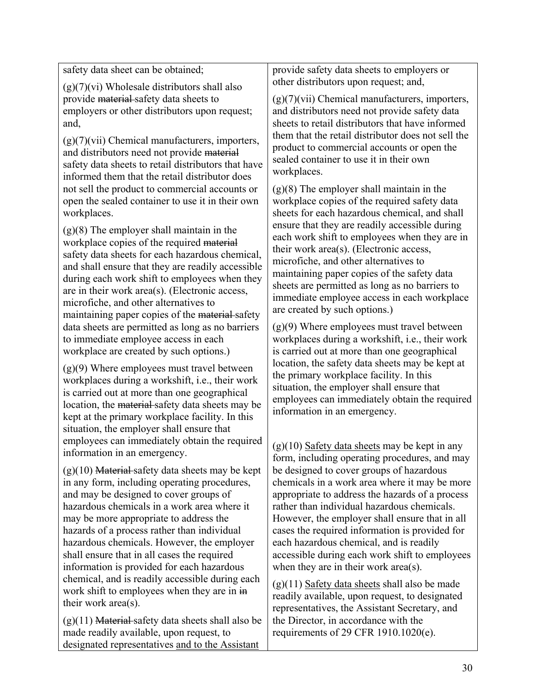safety data sheet can be obtained;

 $(g)(7)(vi)$  Wholesale distributors shall also provide material safety data sheets to employers or other distributors upon request; and,

(g)(7)(vii) Chemical manufacturers, importers, and distributors need not provide material safety data sheets to retail distributors that have informed them that the retail distributor does not sell the product to commercial accounts or open the sealed container to use it in their own workplaces.

(g)(8) The employer shall maintain in the workplace copies of the required material safety data sheets for each hazardous chemical, and shall ensure that they are readily accessible during each work shift to employees when they are in their work area(s). (Electronic access, microfiche, and other alternatives to maintaining paper copies of the material safety data sheets are permitted as long as no barriers to immediate employee access in each workplace are created by such options.)

(g)(9) Where employees must travel between workplaces during a workshift, i.e., their work is carried out at more than one geographical location, the material safety data sheets may be kept at the primary workplace facility. In this situation, the employer shall ensure that employees can immediately obtain the required information in an emergency.

 $(g)(10)$  Material safety data sheets may be kept in any form, including operating procedures, and may be designed to cover groups of hazardous chemicals in a work area where it may be more appropriate to address the hazards of a process rather than individual hazardous chemicals. However, the employer shall ensure that in all cases the required information is provided for each hazardous chemical, and is readily accessible during each work shift to employees when they are in in their work area(s).

 $(g)(11)$  Material-safety data sheets shall also be made readily available, upon request, to designated representatives and to the Assistant

provide safety data sheets to employers or other distributors upon request; and,

(g)(7)(vii) Chemical manufacturers, importers, and distributors need not provide safety data sheets to retail distributors that have informed them that the retail distributor does not sell the product to commercial accounts or open the sealed container to use it in their own workplaces.

(g)(8) The employer shall maintain in the workplace copies of the required safety data sheets for each hazardous chemical, and shall ensure that they are readily accessible during each work shift to employees when they are in their work area(s). (Electronic access, microfiche, and other alternatives to maintaining paper copies of the safety data sheets are permitted as long as no barriers to immediate employee access in each workplace are created by such options.)

(g)(9) Where employees must travel between workplaces during a workshift, i.e., their work is carried out at more than one geographical location, the safety data sheets may be kept at the primary workplace facility. In this situation, the employer shall ensure that employees can immediately obtain the required information in an emergency.

 $(g)(10)$  Safety data sheets may be kept in any form, including operating procedures, and may be designed to cover groups of hazardous chemicals in a work area where it may be more appropriate to address the hazards of a process rather than individual hazardous chemicals. However, the employer shall ensure that in all cases the required information is provided for each hazardous chemical, and is readily accessible during each work shift to employees when they are in their work area(s).

 $(g)(11)$  Safety data sheets shall also be made readily available, upon request, to designated representatives, the Assistant Secretary, and the Director, in accordance with the requirements of 29 CFR 1910.1020(e).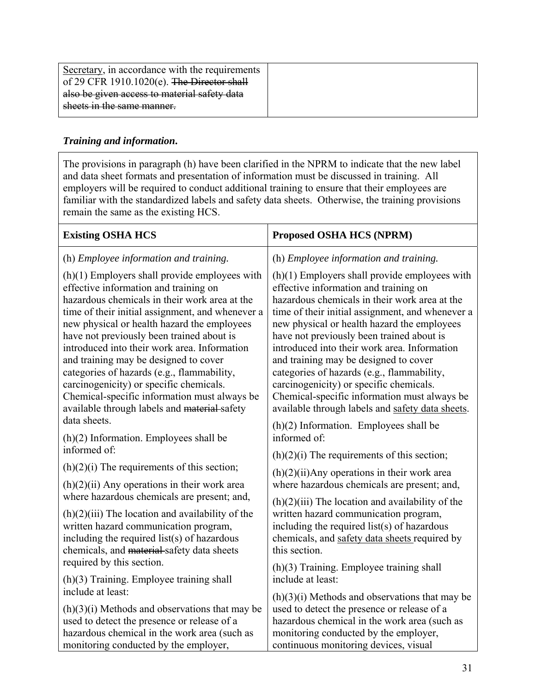| Secretary, in accordance with the requirements<br>of 29 CFR 1910.1020(e). The Director shall |  |
|----------------------------------------------------------------------------------------------|--|
| also be given access to material safety data                                                 |  |
| sheets in the same manner.                                                                   |  |

## *Training and information***.**

The provisions in paragraph (h) have been clarified in the NPRM to indicate that the new label and data sheet formats and presentation of information must be discussed in training. All employers will be required to conduct additional training to ensure that their employees are familiar with the standardized labels and safety data sheets. Otherwise, the training provisions remain the same as the existing HCS.

| <b>Existing OSHA HCS</b>                                                                                                                                                                                                                                                                                                                                                                                                                                                                                                                                                                    | Proposed OSHA HCS (NPRM)                                                                                                                                                                                                                                                                                                                                                                                                                                                                                                                                                        |
|---------------------------------------------------------------------------------------------------------------------------------------------------------------------------------------------------------------------------------------------------------------------------------------------------------------------------------------------------------------------------------------------------------------------------------------------------------------------------------------------------------------------------------------------------------------------------------------------|---------------------------------------------------------------------------------------------------------------------------------------------------------------------------------------------------------------------------------------------------------------------------------------------------------------------------------------------------------------------------------------------------------------------------------------------------------------------------------------------------------------------------------------------------------------------------------|
| (h) Employee information and training.                                                                                                                                                                                                                                                                                                                                                                                                                                                                                                                                                      | (h) Employee information and training.                                                                                                                                                                                                                                                                                                                                                                                                                                                                                                                                          |
| $(h)(1)$ Employers shall provide employees with<br>effective information and training on<br>hazardous chemicals in their work area at the<br>time of their initial assignment, and whenever a<br>new physical or health hazard the employees<br>have not previously been trained about is<br>introduced into their work area. Information<br>and training may be designed to cover<br>categories of hazards (e.g., flammability,<br>carcinogenicity) or specific chemicals.<br>Chemical-specific information must always be<br>available through labels and material-safety<br>data sheets. | $(h)(1)$ Employers shall provide employees with<br>effective information and training on<br>hazardous chemicals in their work area at the<br>time of their initial assignment, and whenever a<br>new physical or health hazard the employees<br>have not previously been trained about is<br>introduced into their work area. Information<br>and training may be designed to cover<br>categories of hazards (e.g., flammability,<br>carcinogenicity) or specific chemicals.<br>Chemical-specific information must always be<br>available through labels and safety data sheets. |
| $(h)(2)$ Information. Employees shall be<br>informed of:                                                                                                                                                                                                                                                                                                                                                                                                                                                                                                                                    | $(h)(2)$ Information. Employees shall be<br>informed of:                                                                                                                                                                                                                                                                                                                                                                                                                                                                                                                        |
| $(h)(2)(i)$ The requirements of this section;                                                                                                                                                                                                                                                                                                                                                                                                                                                                                                                                               | $(h)(2)(i)$ The requirements of this section;<br>$(h)(2)(ii)$ Any operations in their work area                                                                                                                                                                                                                                                                                                                                                                                                                                                                                 |
| $(h)(2)(ii)$ Any operations in their work area<br>where hazardous chemicals are present; and,                                                                                                                                                                                                                                                                                                                                                                                                                                                                                               | where hazardous chemicals are present; and,                                                                                                                                                                                                                                                                                                                                                                                                                                                                                                                                     |
| $(h)(2)(iii)$ The location and availability of the<br>written hazard communication program,<br>including the required list(s) of hazardous<br>chemicals, and material safety data sheets<br>required by this section.                                                                                                                                                                                                                                                                                                                                                                       | $(h)(2)(iii)$ The location and availability of the<br>written hazard communication program,<br>including the required list(s) of hazardous<br>chemicals, and safety data sheets required by<br>this section.                                                                                                                                                                                                                                                                                                                                                                    |
| $(h)(3)$ Training. Employee training shall                                                                                                                                                                                                                                                                                                                                                                                                                                                                                                                                                  | $(h)(3)$ Training. Employee training shall<br>include at least:                                                                                                                                                                                                                                                                                                                                                                                                                                                                                                                 |
| include at least:<br>$(h)(3)(i)$ Methods and observations that may be<br>used to detect the presence or release of a<br>hazardous chemical in the work area (such as<br>monitoring conducted by the employer,                                                                                                                                                                                                                                                                                                                                                                               | $(h)(3)(i)$ Methods and observations that may be<br>used to detect the presence or release of a<br>hazardous chemical in the work area (such as<br>monitoring conducted by the employer,<br>continuous monitoring devices, visual                                                                                                                                                                                                                                                                                                                                               |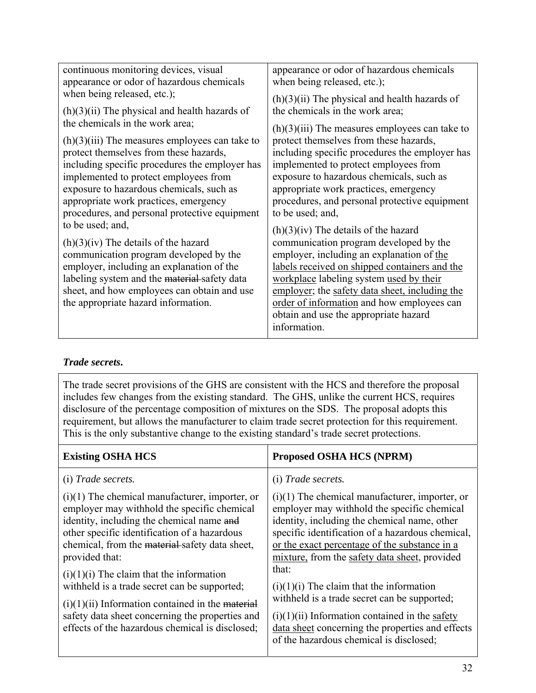| continuous monitoring devices, visual            | appearance or odor of hazardous chemicals        |
|--------------------------------------------------|--------------------------------------------------|
| appearance or odor of hazardous chemicals        | when being released, etc.);                      |
| when being released, etc.);                      | $(h)(3)(ii)$ The physical and health hazards of  |
| $(h)(3)(ii)$ The physical and health hazards of  | the chemicals in the work area;                  |
| the chemicals in the work area;                  |                                                  |
|                                                  | $(h)(3)(iii)$ The measures employees can take to |
| $(h)(3)(iii)$ The measures employees can take to | protect themselves from these hazards,           |
| protect themselves from these hazards,           | including specific procedures the employer has   |
| including specific procedures the employer has   | implemented to protect employees from            |
| implemented to protect employees from            | exposure to hazardous chemicals, such as         |
| exposure to hazardous chemicals, such as         | appropriate work practices, emergency            |
| appropriate work practices, emergency            | procedures, and personal protective equipment    |
| procedures, and personal protective equipment    | to be used; and,                                 |
| to be used; and,                                 | $(h)(3)(iv)$ The details of the hazard           |
| $(h)(3)(iv)$ The details of the hazard           | communication program developed by the           |
| communication program developed by the           | employer, including an explanation of the        |
| employer, including an explanation of the        | labels received on shipped containers and the    |
| labeling system and the material safety data     | workplace labeling system used by their          |
| sheet, and how employees can obtain and use      | employer; the safety data sheet, including the   |
| the appropriate hazard information.              | order of information and how employees can       |
|                                                  | obtain and use the appropriate hazard            |
|                                                  | information.                                     |

#### *Trade secrets***.**

The trade secret provisions of the GHS are consistent with the HCS and therefore the proposal includes few changes from the existing standard. The GHS, unlike the current HCS, requires disclosure of the percentage composition of mixtures on the SDS. The proposal adopts this requirement, but allows the manufacturer to claim trade secret protection for this requirement. This is the only substantive change to the existing standard's trade secret protections.

| <b>Existing OSHA HCS</b>                                                                                                                                                                                                                                                                                                                                                                                                                                                                                                                          | <b>Proposed OSHA HCS (NPRM)</b>                                                                                                                                                                                                                                                                                                                                                                                                                                                                                                                                                       |
|---------------------------------------------------------------------------------------------------------------------------------------------------------------------------------------------------------------------------------------------------------------------------------------------------------------------------------------------------------------------------------------------------------------------------------------------------------------------------------------------------------------------------------------------------|---------------------------------------------------------------------------------------------------------------------------------------------------------------------------------------------------------------------------------------------------------------------------------------------------------------------------------------------------------------------------------------------------------------------------------------------------------------------------------------------------------------------------------------------------------------------------------------|
| (i) Trade secrets.<br>$(i)(1)$ The chemical manufacturer, importer, or<br>employer may withhold the specific chemical<br>identity, including the chemical name and<br>other specific identification of a hazardous<br>chemical, from the material-safety data sheet,<br>provided that:<br>$(i)(1)(i)$ The claim that the information<br>with held is a trade secret can be supported;<br>$(i)(1)(ii)$ Information contained in the material<br>safety data sheet concerning the properties and<br>effects of the hazardous chemical is disclosed; | (i) Trade secrets.<br>$(i)(1)$ The chemical manufacturer, importer, or<br>employer may withhold the specific chemical<br>identity, including the chemical name, other<br>specific identification of a hazardous chemical,<br>or the exact percentage of the substance in a<br>mixture, from the safety data sheet, provided<br>that:<br>$(i)(1)(i)$ The claim that the information<br>withheld is a trade secret can be supported;<br>$(i)(1)(ii)$ Information contained in the safety<br>data sheet concerning the properties and effects<br>of the hazardous chemical is disclosed; |
|                                                                                                                                                                                                                                                                                                                                                                                                                                                                                                                                                   |                                                                                                                                                                                                                                                                                                                                                                                                                                                                                                                                                                                       |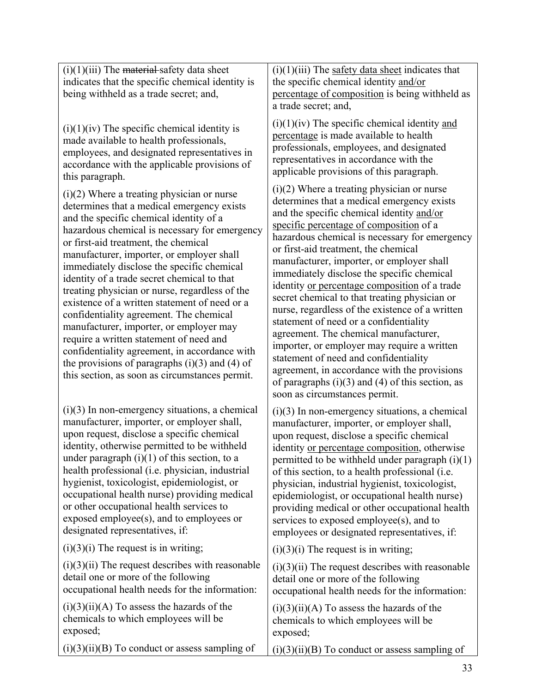| $(i)(1)(iii)$ The material-safety data sheet<br>indicates that the specific chemical identity is<br>being withheld as a trade secret; and,                                                                                                                                                                                                                                                                                                                                                                                                                                                                                                                                                                                                                            | $(i)(1)(iii)$ The safety data sheet indicates that<br>the specific chemical identity and/or<br>percentage of composition is being withheld as<br>a trade secret; and,                                                                                                                                                                                                                                                                                                                                                                                                                                                                                                                                                                                                                                                                           |
|-----------------------------------------------------------------------------------------------------------------------------------------------------------------------------------------------------------------------------------------------------------------------------------------------------------------------------------------------------------------------------------------------------------------------------------------------------------------------------------------------------------------------------------------------------------------------------------------------------------------------------------------------------------------------------------------------------------------------------------------------------------------------|-------------------------------------------------------------------------------------------------------------------------------------------------------------------------------------------------------------------------------------------------------------------------------------------------------------------------------------------------------------------------------------------------------------------------------------------------------------------------------------------------------------------------------------------------------------------------------------------------------------------------------------------------------------------------------------------------------------------------------------------------------------------------------------------------------------------------------------------------|
| $(i)(1)(iv)$ The specific chemical identity is                                                                                                                                                                                                                                                                                                                                                                                                                                                                                                                                                                                                                                                                                                                        | $(i)(1)(iv)$ The specific chemical identity and                                                                                                                                                                                                                                                                                                                                                                                                                                                                                                                                                                                                                                                                                                                                                                                                 |
| made available to health professionals,                                                                                                                                                                                                                                                                                                                                                                                                                                                                                                                                                                                                                                                                                                                               | percentage is made available to health                                                                                                                                                                                                                                                                                                                                                                                                                                                                                                                                                                                                                                                                                                                                                                                                          |
| employees, and designated representatives in                                                                                                                                                                                                                                                                                                                                                                                                                                                                                                                                                                                                                                                                                                                          | professionals, employees, and designated                                                                                                                                                                                                                                                                                                                                                                                                                                                                                                                                                                                                                                                                                                                                                                                                        |
| accordance with the applicable provisions of                                                                                                                                                                                                                                                                                                                                                                                                                                                                                                                                                                                                                                                                                                                          | representatives in accordance with the                                                                                                                                                                                                                                                                                                                                                                                                                                                                                                                                                                                                                                                                                                                                                                                                          |
| this paragraph.                                                                                                                                                                                                                                                                                                                                                                                                                                                                                                                                                                                                                                                                                                                                                       | applicable provisions of this paragraph.                                                                                                                                                                                                                                                                                                                                                                                                                                                                                                                                                                                                                                                                                                                                                                                                        |
| $(i)(2)$ Where a treating physician or nurse<br>determines that a medical emergency exists<br>and the specific chemical identity of a<br>hazardous chemical is necessary for emergency<br>or first-aid treatment, the chemical<br>manufacturer, importer, or employer shall<br>immediately disclose the specific chemical<br>identity of a trade secret chemical to that<br>treating physician or nurse, regardless of the<br>existence of a written statement of need or a<br>confidentiality agreement. The chemical<br>manufacturer, importer, or employer may<br>require a written statement of need and<br>confidentiality agreement, in accordance with<br>the provisions of paragraphs $(i)(3)$ and $(4)$ of<br>this section, as soon as circumstances permit. | $(i)(2)$ Where a treating physician or nurse<br>determines that a medical emergency exists<br>and the specific chemical identity and/or<br>specific percentage of composition of a<br>hazardous chemical is necessary for emergency<br>or first-aid treatment, the chemical<br>manufacturer, importer, or employer shall<br>immediately disclose the specific chemical<br>identity or percentage composition of a trade<br>secret chemical to that treating physician or<br>nurse, regardless of the existence of a written<br>statement of need or a confidentiality<br>agreement. The chemical manufacturer,<br>importer, or employer may require a written<br>statement of need and confidentiality<br>agreement, in accordance with the provisions<br>of paragraphs $(i)(3)$ and $(4)$ of this section, as<br>soon as circumstances permit. |
| $(i)(3)$ In non-emergency situations, a chemical                                                                                                                                                                                                                                                                                                                                                                                                                                                                                                                                                                                                                                                                                                                      | $(i)(3)$ In non-emergency situations, a chemical                                                                                                                                                                                                                                                                                                                                                                                                                                                                                                                                                                                                                                                                                                                                                                                                |
| manufacturer, importer, or employer shall,                                                                                                                                                                                                                                                                                                                                                                                                                                                                                                                                                                                                                                                                                                                            | manufacturer, importer, or employer shall,                                                                                                                                                                                                                                                                                                                                                                                                                                                                                                                                                                                                                                                                                                                                                                                                      |
| upon request, disclose a specific chemical                                                                                                                                                                                                                                                                                                                                                                                                                                                                                                                                                                                                                                                                                                                            | upon request, disclose a specific chemical                                                                                                                                                                                                                                                                                                                                                                                                                                                                                                                                                                                                                                                                                                                                                                                                      |
| identity, otherwise permitted to be withheld                                                                                                                                                                                                                                                                                                                                                                                                                                                                                                                                                                                                                                                                                                                          | identity or percentage composition, otherwise                                                                                                                                                                                                                                                                                                                                                                                                                                                                                                                                                                                                                                                                                                                                                                                                   |
| under paragraph $(i)(1)$ of this section, to a                                                                                                                                                                                                                                                                                                                                                                                                                                                                                                                                                                                                                                                                                                                        | permitted to be withheld under paragraph $(i)(1)$                                                                                                                                                                                                                                                                                                                                                                                                                                                                                                                                                                                                                                                                                                                                                                                               |
| health professional (i.e. physician, industrial                                                                                                                                                                                                                                                                                                                                                                                                                                                                                                                                                                                                                                                                                                                       | of this section, to a health professional (i.e.                                                                                                                                                                                                                                                                                                                                                                                                                                                                                                                                                                                                                                                                                                                                                                                                 |
| hygienist, toxicologist, epidemiologist, or                                                                                                                                                                                                                                                                                                                                                                                                                                                                                                                                                                                                                                                                                                                           | physician, industrial hygienist, toxicologist,                                                                                                                                                                                                                                                                                                                                                                                                                                                                                                                                                                                                                                                                                                                                                                                                  |
| occupational health nurse) providing medical                                                                                                                                                                                                                                                                                                                                                                                                                                                                                                                                                                                                                                                                                                                          | epidemiologist, or occupational health nurse)                                                                                                                                                                                                                                                                                                                                                                                                                                                                                                                                                                                                                                                                                                                                                                                                   |
| or other occupational health services to                                                                                                                                                                                                                                                                                                                                                                                                                                                                                                                                                                                                                                                                                                                              | providing medical or other occupational health                                                                                                                                                                                                                                                                                                                                                                                                                                                                                                                                                                                                                                                                                                                                                                                                  |
| exposed employee(s), and to employees or                                                                                                                                                                                                                                                                                                                                                                                                                                                                                                                                                                                                                                                                                                                              | services to exposed employee(s), and to                                                                                                                                                                                                                                                                                                                                                                                                                                                                                                                                                                                                                                                                                                                                                                                                         |
| designated representatives, if:                                                                                                                                                                                                                                                                                                                                                                                                                                                                                                                                                                                                                                                                                                                                       | employees or designated representatives, if:                                                                                                                                                                                                                                                                                                                                                                                                                                                                                                                                                                                                                                                                                                                                                                                                    |
| $(i)(3)(i)$ The request is in writing;                                                                                                                                                                                                                                                                                                                                                                                                                                                                                                                                                                                                                                                                                                                                | $(i)(3)(i)$ The request is in writing;                                                                                                                                                                                                                                                                                                                                                                                                                                                                                                                                                                                                                                                                                                                                                                                                          |
| $(i)(3)(ii)$ The request describes with reasonable                                                                                                                                                                                                                                                                                                                                                                                                                                                                                                                                                                                                                                                                                                                    | $(i)(3)(ii)$ The request describes with reasonable                                                                                                                                                                                                                                                                                                                                                                                                                                                                                                                                                                                                                                                                                                                                                                                              |
| detail one or more of the following                                                                                                                                                                                                                                                                                                                                                                                                                                                                                                                                                                                                                                                                                                                                   | detail one or more of the following                                                                                                                                                                                                                                                                                                                                                                                                                                                                                                                                                                                                                                                                                                                                                                                                             |
| occupational health needs for the information:                                                                                                                                                                                                                                                                                                                                                                                                                                                                                                                                                                                                                                                                                                                        | occupational health needs for the information:                                                                                                                                                                                                                                                                                                                                                                                                                                                                                                                                                                                                                                                                                                                                                                                                  |
| $(i)(3)(ii)(A)$ To assess the hazards of the                                                                                                                                                                                                                                                                                                                                                                                                                                                                                                                                                                                                                                                                                                                          | $(i)(3)(ii)(A)$ To assess the hazards of the                                                                                                                                                                                                                                                                                                                                                                                                                                                                                                                                                                                                                                                                                                                                                                                                    |
| chemicals to which employees will be                                                                                                                                                                                                                                                                                                                                                                                                                                                                                                                                                                                                                                                                                                                                  | chemicals to which employees will be                                                                                                                                                                                                                                                                                                                                                                                                                                                                                                                                                                                                                                                                                                                                                                                                            |
| exposed;                                                                                                                                                                                                                                                                                                                                                                                                                                                                                                                                                                                                                                                                                                                                                              | exposed;                                                                                                                                                                                                                                                                                                                                                                                                                                                                                                                                                                                                                                                                                                                                                                                                                                        |
| $(i)(3)(ii)(B)$ To conduct or assess sampling of                                                                                                                                                                                                                                                                                                                                                                                                                                                                                                                                                                                                                                                                                                                      | $(i)(3)(ii)(B)$ To conduct or assess sampling of                                                                                                                                                                                                                                                                                                                                                                                                                                                                                                                                                                                                                                                                                                                                                                                                |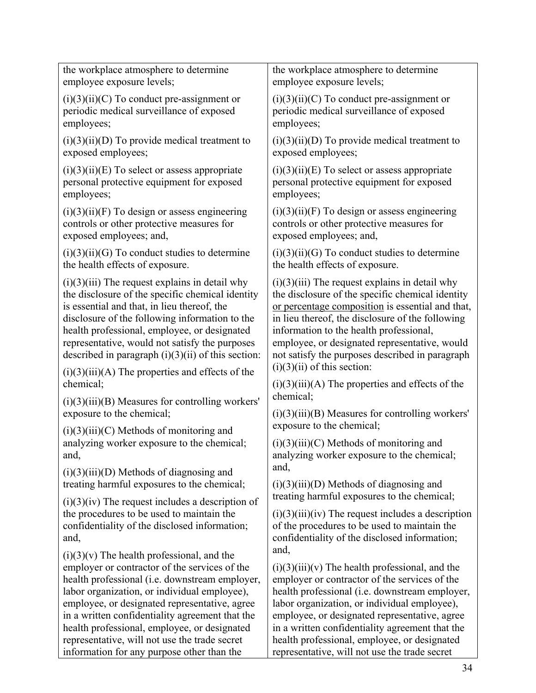| the workplace atmosphere to determine                                                                                                                                                                                                                                                                                                                                                                                                              | the workplace atmosphere to determine                                                                                                                                                                                                                                                                                                                                                                                   |
|----------------------------------------------------------------------------------------------------------------------------------------------------------------------------------------------------------------------------------------------------------------------------------------------------------------------------------------------------------------------------------------------------------------------------------------------------|-------------------------------------------------------------------------------------------------------------------------------------------------------------------------------------------------------------------------------------------------------------------------------------------------------------------------------------------------------------------------------------------------------------------------|
| employee exposure levels;                                                                                                                                                                                                                                                                                                                                                                                                                          | employee exposure levels;                                                                                                                                                                                                                                                                                                                                                                                               |
| $(i)(3)(ii)(C)$ To conduct pre-assignment or                                                                                                                                                                                                                                                                                                                                                                                                       | $(i)(3)(ii)(C)$ To conduct pre-assignment or                                                                                                                                                                                                                                                                                                                                                                            |
| periodic medical surveillance of exposed                                                                                                                                                                                                                                                                                                                                                                                                           | periodic medical surveillance of exposed                                                                                                                                                                                                                                                                                                                                                                                |
| employees;                                                                                                                                                                                                                                                                                                                                                                                                                                         | employees;                                                                                                                                                                                                                                                                                                                                                                                                              |
| $(i)(3)(ii)(D)$ To provide medical treatment to                                                                                                                                                                                                                                                                                                                                                                                                    | $(i)(3)(ii)(D)$ To provide medical treatment to                                                                                                                                                                                                                                                                                                                                                                         |
| exposed employees;                                                                                                                                                                                                                                                                                                                                                                                                                                 | exposed employees;                                                                                                                                                                                                                                                                                                                                                                                                      |
| $(i)(3)(ii)(E)$ To select or assess appropriate                                                                                                                                                                                                                                                                                                                                                                                                    | $(i)(3)(ii)(E)$ To select or assess appropriate                                                                                                                                                                                                                                                                                                                                                                         |
| personal protective equipment for exposed                                                                                                                                                                                                                                                                                                                                                                                                          | personal protective equipment for exposed                                                                                                                                                                                                                                                                                                                                                                               |
| employees;                                                                                                                                                                                                                                                                                                                                                                                                                                         | employees;                                                                                                                                                                                                                                                                                                                                                                                                              |
| $(i)(3)(ii)(F)$ To design or assess engineering                                                                                                                                                                                                                                                                                                                                                                                                    | $(i)(3)(ii)(F)$ To design or assess engineering                                                                                                                                                                                                                                                                                                                                                                         |
| controls or other protective measures for                                                                                                                                                                                                                                                                                                                                                                                                          | controls or other protective measures for                                                                                                                                                                                                                                                                                                                                                                               |
| exposed employees; and,                                                                                                                                                                                                                                                                                                                                                                                                                            | exposed employees; and,                                                                                                                                                                                                                                                                                                                                                                                                 |
| $(i)(3)(ii)(G)$ To conduct studies to determine                                                                                                                                                                                                                                                                                                                                                                                                    | $(i)(3)(ii)(G)$ To conduct studies to determine                                                                                                                                                                                                                                                                                                                                                                         |
| the health effects of exposure.                                                                                                                                                                                                                                                                                                                                                                                                                    | the health effects of exposure.                                                                                                                                                                                                                                                                                                                                                                                         |
| $(i)(3)(iii)$ The request explains in detail why<br>the disclosure of the specific chemical identity<br>is essential and that, in lieu thereof, the<br>disclosure of the following information to the<br>health professional, employee, or designated<br>representative, would not satisfy the purposes<br>described in paragraph $(i)(3)(ii)$ of this section:                                                                                    | $(i)(3)(iii)$ The request explains in detail why<br>the disclosure of the specific chemical identity<br>or percentage composition is essential and that,<br>in lieu thereof, the disclosure of the following<br>information to the health professional,<br>employee, or designated representative, would<br>not satisfy the purposes described in paragraph<br>$(i)(3)(ii)$ of this section:                            |
| $(i)(3)(iii)(A)$ The properties and effects of the<br>chemical;                                                                                                                                                                                                                                                                                                                                                                                    | $(i)(3)(iii)(A)$ The properties and effects of the                                                                                                                                                                                                                                                                                                                                                                      |
| $(i)(3)(iii)(B)$ Measures for controlling workers'                                                                                                                                                                                                                                                                                                                                                                                                 | chemical;                                                                                                                                                                                                                                                                                                                                                                                                               |
| exposure to the chemical;                                                                                                                                                                                                                                                                                                                                                                                                                          | $(i)(3)(iii)(B)$ Measures for controlling workers'                                                                                                                                                                                                                                                                                                                                                                      |
| $(i)(3)(iii)(C)$ Methods of monitoring and                                                                                                                                                                                                                                                                                                                                                                                                         | exposure to the chemical;                                                                                                                                                                                                                                                                                                                                                                                               |
| analyzing worker exposure to the chemical;                                                                                                                                                                                                                                                                                                                                                                                                         | $(i)(3)(iii)(C)$ Methods of monitoring and                                                                                                                                                                                                                                                                                                                                                                              |
| and,                                                                                                                                                                                                                                                                                                                                                                                                                                               | analyzing worker exposure to the chemical;                                                                                                                                                                                                                                                                                                                                                                              |
| $(i)(3)(iii)(D)$ Methods of diagnosing and                                                                                                                                                                                                                                                                                                                                                                                                         | and,                                                                                                                                                                                                                                                                                                                                                                                                                    |
| treating harmful exposures to the chemical;                                                                                                                                                                                                                                                                                                                                                                                                        | $(i)(3)(iii)(D)$ Methods of diagnosing and                                                                                                                                                                                                                                                                                                                                                                              |
| $(i)(3)(iv)$ The request includes a description of                                                                                                                                                                                                                                                                                                                                                                                                 | treating harmful exposures to the chemical;                                                                                                                                                                                                                                                                                                                                                                             |
| the procedures to be used to maintain the                                                                                                                                                                                                                                                                                                                                                                                                          | $(i)(3)(iii)(iv)$ The request includes a description                                                                                                                                                                                                                                                                                                                                                                    |
| confidentiality of the disclosed information;                                                                                                                                                                                                                                                                                                                                                                                                      | of the procedures to be used to maintain the                                                                                                                                                                                                                                                                                                                                                                            |
| and,                                                                                                                                                                                                                                                                                                                                                                                                                                               | confidentiality of the disclosed information;                                                                                                                                                                                                                                                                                                                                                                           |
| $(i)(3)(v)$ The health professional, and the<br>employer or contractor of the services of the<br>health professional (i.e. downstream employer,<br>labor organization, or individual employee),<br>employee, or designated representative, agree<br>in a written confidentiality agreement that the<br>health professional, employee, or designated<br>representative, will not use the trade secret<br>information for any purpose other than the | and,<br>$(i)(3)(iii)(v)$ The health professional, and the<br>employer or contractor of the services of the<br>health professional (i.e. downstream employer,<br>labor organization, or individual employee),<br>employee, or designated representative, agree<br>in a written confidentiality agreement that the<br>health professional, employee, or designated<br>representative, will not use the trade secret<br>21 |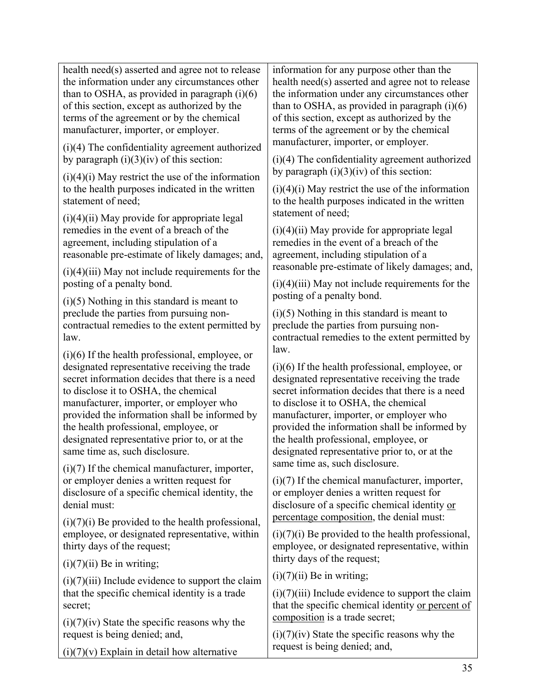| health need(s) asserted and agree not to release                                                                                                    | information for any purpose other than the                                                                                                                                           |
|-----------------------------------------------------------------------------------------------------------------------------------------------------|--------------------------------------------------------------------------------------------------------------------------------------------------------------------------------------|
| the information under any circumstances other                                                                                                       | health need(s) asserted and agree not to release                                                                                                                                     |
| than to OSHA, as provided in paragraph $(i)(6)$                                                                                                     | the information under any circumstances other                                                                                                                                        |
| of this section, except as authorized by the                                                                                                        | than to OSHA, as provided in paragraph (i)(6)                                                                                                                                        |
| terms of the agreement or by the chemical                                                                                                           | of this section, except as authorized by the                                                                                                                                         |
| manufacturer, importer, or employer.<br>$(i)(4)$ The confidentiality agreement authorized<br>by paragraph $(i)(3)(iv)$ of this section:             | terms of the agreement or by the chemical<br>manufacturer, importer, or employer.<br>$(i)(4)$ The confidentiality agreement authorized<br>by paragraph $(i)(3)(iv)$ of this section: |
| $(i)(4)(i)$ May restrict the use of the information                                                                                                 | $(i)(4)(i)$ May restrict the use of the information                                                                                                                                  |
| to the health purposes indicated in the written                                                                                                     | to the health purposes indicated in the written                                                                                                                                      |
| statement of need;                                                                                                                                  | statement of need;                                                                                                                                                                   |
| $(i)(4)(ii)$ May provide for appropriate legal                                                                                                      | $(i)(4)(ii)$ May provide for appropriate legal                                                                                                                                       |
| remedies in the event of a breach of the                                                                                                            | remedies in the event of a breach of the                                                                                                                                             |
| agreement, including stipulation of a                                                                                                               | agreement, including stipulation of a                                                                                                                                                |
| reasonable pre-estimate of likely damages; and,                                                                                                     | reasonable pre-estimate of likely damages; and,                                                                                                                                      |
| $(i)(4)(iii)$ May not include requirements for the                                                                                                  | $(i)(4)(iii)$ May not include requirements for the                                                                                                                                   |
| posting of a penalty bond.                                                                                                                          | posting of a penalty bond.                                                                                                                                                           |
| $(i)(5)$ Nothing in this standard is meant to<br>preclude the parties from pursuing non-<br>contractual remedies to the extent permitted by<br>law. | $(i)(5)$ Nothing in this standard is meant to<br>preclude the parties from pursuing non-<br>contractual remedies to the extent permitted by                                          |
| $(i)(6)$ If the health professional, employee, or                                                                                                   | law.                                                                                                                                                                                 |
| designated representative receiving the trade                                                                                                       | $(i)(6)$ If the health professional, employee, or                                                                                                                                    |
| secret information decides that there is a need                                                                                                     | designated representative receiving the trade                                                                                                                                        |
| to disclose it to OSHA, the chemical                                                                                                                | secret information decides that there is a need                                                                                                                                      |
| manufacturer, importer, or employer who                                                                                                             | to disclose it to OSHA, the chemical                                                                                                                                                 |
| provided the information shall be informed by                                                                                                       | manufacturer, importer, or employer who                                                                                                                                              |
| the health professional, employee, or                                                                                                               | provided the information shall be informed by                                                                                                                                        |
| designated representative prior to, or at the                                                                                                       | the health professional, employee, or                                                                                                                                                |
| same time as, such disclosure.                                                                                                                      | designated representative prior to, or at the                                                                                                                                        |
| $(i)(7)$ If the chemical manufacturer, importer,                                                                                                    | same time as, such disclosure.                                                                                                                                                       |
| or employer denies a written request for                                                                                                            | $(i)(7)$ If the chemical manufacturer, importer,                                                                                                                                     |
| disclosure of a specific chemical identity, the                                                                                                     | or employer denies a written request for                                                                                                                                             |
| denial must:                                                                                                                                        | disclosure of a specific chemical identity or                                                                                                                                        |
| $(i)(7)(i)$ Be provided to the health professional,                                                                                                 | percentage composition, the denial must:                                                                                                                                             |
| employee, or designated representative, within                                                                                                      | $(i)(7)(i)$ Be provided to the health professional,                                                                                                                                  |
| thirty days of the request;                                                                                                                         | employee, or designated representative, within                                                                                                                                       |
| $(i)(7)(ii)$ Be in writing;                                                                                                                         | thirty days of the request;                                                                                                                                                          |
| $(i)(7)(iii)$ Include evidence to support the claim<br>that the specific chemical identity is a trade<br>secret;                                    | $(i)(7)(ii)$ Be in writing;<br>$(i)(7)(iii)$ Include evidence to support the claim<br>that the specific chemical identity or percent of<br>composition is a trade secret;            |
| $(i)(7)(iv)$ State the specific reasons why the<br>request is being denied; and,<br>$(i)(7)(v)$ Explain in detail how alternative                   | $(i)(7)(iv)$ State the specific reasons why the<br>request is being denied; and,                                                                                                     |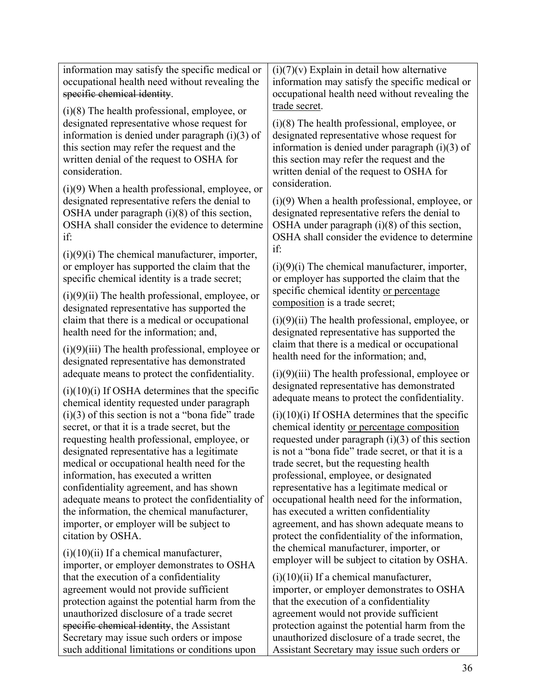| information may satisfy the specific medical or                                                                                                                                                         | $(i)(7)(v)$ Explain in detail how alternative                                                                                                                                        |
|---------------------------------------------------------------------------------------------------------------------------------------------------------------------------------------------------------|--------------------------------------------------------------------------------------------------------------------------------------------------------------------------------------|
| occupational health need without revealing the                                                                                                                                                          | information may satisfy the specific medical or                                                                                                                                      |
| specific chemical identity.                                                                                                                                                                             | occupational health need without revealing the                                                                                                                                       |
| $(i)(8)$ The health professional, employee, or                                                                                                                                                          | trade secret.                                                                                                                                                                        |
| designated representative whose request for                                                                                                                                                             | $(i)(8)$ The health professional, employee, or                                                                                                                                       |
| information is denied under paragraph $(i)(3)$ of                                                                                                                                                       | designated representative whose request for                                                                                                                                          |
| this section may refer the request and the                                                                                                                                                              | information is denied under paragraph $(i)(3)$ of                                                                                                                                    |
| written denial of the request to OSHA for                                                                                                                                                               | this section may refer the request and the                                                                                                                                           |
| consideration.                                                                                                                                                                                          | written denial of the request to OSHA for                                                                                                                                            |
| $(i)(9)$ When a health professional, employee, or                                                                                                                                                       | consideration.                                                                                                                                                                       |
| designated representative refers the denial to                                                                                                                                                          | $(i)(9)$ When a health professional, employee, or                                                                                                                                    |
| OSHA under paragraph $(i)(8)$ of this section,                                                                                                                                                          | designated representative refers the denial to                                                                                                                                       |
| OSHA shall consider the evidence to determine                                                                                                                                                           | OSHA under paragraph $(i)(8)$ of this section,                                                                                                                                       |
| if:                                                                                                                                                                                                     | OSHA shall consider the evidence to determine                                                                                                                                        |
| $(i)(9)(i)$ The chemical manufacturer, importer,                                                                                                                                                        | if:                                                                                                                                                                                  |
| or employer has supported the claim that the                                                                                                                                                            | $(i)(9)(i)$ The chemical manufacturer, importer,                                                                                                                                     |
| specific chemical identity is a trade secret;                                                                                                                                                           | or employer has supported the claim that the                                                                                                                                         |
| $(i)(9)(ii)$ The health professional, employee, or                                                                                                                                                      | specific chemical identity or percentage                                                                                                                                             |
| designated representative has supported the<br>claim that there is a medical or occupational<br>health need for the information; and,                                                                   | composition is a trade secret;<br>$(i)(9)(ii)$ The health professional, employee, or<br>designated representative has supported the<br>claim that there is a medical or occupational |
| $(i)(9)(iii)$ The health professional, employee or<br>designated representative has demonstrated<br>adequate means to protect the confidentiality.<br>$(i)(10)(i)$ If OSHA determines that the specific | health need for the information; and,<br>$(i)(9)(iii)$ The health professional, employee or<br>designated representative has demonstrated                                            |
| chemical identity requested under paragraph                                                                                                                                                             | adequate means to protect the confidentiality.                                                                                                                                       |
| $(i)(3)$ of this section is not a "bona fide" trade                                                                                                                                                     | $(i)(10)(i)$ If OSHA determines that the specific                                                                                                                                    |
| secret, or that it is a trade secret, but the                                                                                                                                                           | chemical identity or percentage composition                                                                                                                                          |
| requesting health professional, employee, or                                                                                                                                                            | requested under paragraph $(i)(3)$ of this section                                                                                                                                   |
| designated representative has a legitimate                                                                                                                                                              | is not a "bona fide" trade secret, or that it is a                                                                                                                                   |
| medical or occupational health need for the                                                                                                                                                             | trade secret, but the requesting health                                                                                                                                              |
| information, has executed a written                                                                                                                                                                     | professional, employee, or designated                                                                                                                                                |
| confidentiality agreement, and has shown                                                                                                                                                                | representative has a legitimate medical or                                                                                                                                           |
| adequate means to protect the confidentiality of                                                                                                                                                        | occupational health need for the information,                                                                                                                                        |
| the information, the chemical manufacturer,                                                                                                                                                             | has executed a written confidentiality                                                                                                                                               |
| importer, or employer will be subject to                                                                                                                                                                | agreement, and has shown adequate means to                                                                                                                                           |
| citation by OSHA.                                                                                                                                                                                       | protect the confidentiality of the information,                                                                                                                                      |
| $(i)(10)(ii)$ If a chemical manufacturer,                                                                                                                                                               | the chemical manufacturer, importer, or                                                                                                                                              |
| importer, or employer demonstrates to OSHA                                                                                                                                                              | employer will be subject to citation by OSHA.                                                                                                                                        |
| that the execution of a confidentiality                                                                                                                                                                 | $(i)(10)(ii)$ If a chemical manufacturer,                                                                                                                                            |
| agreement would not provide sufficient                                                                                                                                                                  | importer, or employer demonstrates to OSHA                                                                                                                                           |
| protection against the potential harm from the                                                                                                                                                          | that the execution of a confidentiality                                                                                                                                              |
| unauthorized disclosure of a trade secret                                                                                                                                                               | agreement would not provide sufficient                                                                                                                                               |
| specific chemical identity, the Assistant                                                                                                                                                               | protection against the potential harm from the                                                                                                                                       |
| Secretary may issue such orders or impose                                                                                                                                                               | unauthorized disclosure of a trade secret, the                                                                                                                                       |
| such additional limitations or conditions upon                                                                                                                                                          | Assistant Secretary may issue such orders or                                                                                                                                         |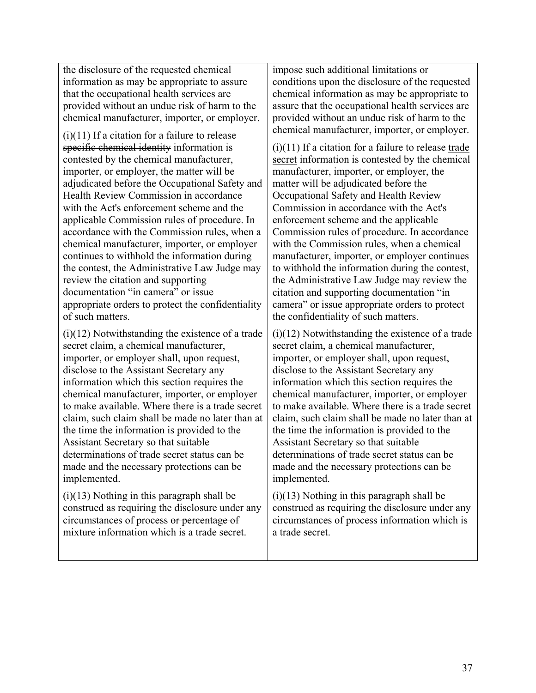the disclosure of the requested chemical information as may be appropriate to assure that the occupational health services are provided without an undue risk of harm to the chemical manufacturer, importer, or employer.

 $(i)(11)$  If a citation for a failure to release specific chemical identity information is contested by the chemical manufacturer, importer, or employer, the matter will be adjudicated before the Occupational Safety and Health Review Commission in accordance with the Act's enforcement scheme and the applicable Commission rules of procedure. In accordance with the Commission rules, when a chemical manufacturer, importer, or employer continues to withhold the information during the contest, the Administrative Law Judge may review the citation and supporting documentation "in camera" or issue appropriate orders to protect the confidentiality of such matters.

(i)(12) Notwithstanding the existence of a trade secret claim, a chemical manufacturer, importer, or employer shall, upon request, disclose to the Assistant Secretary any information which this section requires the chemical manufacturer, importer, or employer to make available. Where there is a trade secret claim, such claim shall be made no later than at the time the information is provided to the Assistant Secretary so that suitable determinations of trade secret status can be made and the necessary protections can be implemented.

 $(i)(13)$  Nothing in this paragraph shall be construed as requiring the disclosure under any circumstances of process or percentage of mixture information which is a trade secret.

impose such additional limitations or conditions upon the disclosure of the requested chemical information as may be appropriate to assure that the occupational health services are provided without an undue risk of harm to the chemical manufacturer, importer, or employer.

 $(i)(11)$  If a citation for a failure to release trade secret information is contested by the chemical manufacturer, importer, or employer, the matter will be adjudicated before the Occupational Safety and Health Review Commission in accordance with the Act's enforcement scheme and the applicable Commission rules of procedure. In accordance with the Commission rules, when a chemical manufacturer, importer, or employer continues to withhold the information during the contest, the Administrative Law Judge may review the citation and supporting documentation "in camera" or issue appropriate orders to protect the confidentiality of such matters.

(i)(12) Notwithstanding the existence of a trade secret claim, a chemical manufacturer, importer, or employer shall, upon request, disclose to the Assistant Secretary any information which this section requires the chemical manufacturer, importer, or employer to make available. Where there is a trade secret claim, such claim shall be made no later than at the time the information is provided to the Assistant Secretary so that suitable determinations of trade secret status can be made and the necessary protections can be implemented.

 $(i)(13)$  Nothing in this paragraph shall be construed as requiring the disclosure under any circumstances of process information which is a trade secret.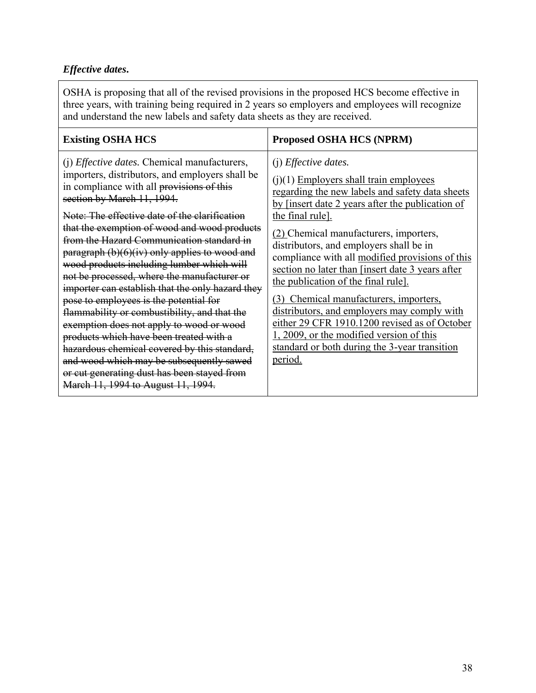## *Effective dates***.**

OSHA is proposing that all of the revised provisions in the proposed HCS become effective in three years, with training being required in 2 years so employers and employees will recognize and understand the new labels and safety data sheets as they are received.

| <b>Existing OSHA HCS</b>                                                                                                                                                                                                                                                                                                                                                                                                                                                                                                                                                                                                                                                                                                                                                                                                                                                                            | <b>Proposed OSHA HCS (NPRM)</b>                                                                                                                                                                                                                                                                                                                                                                                                                                                                                                                                                                                                                                                           |
|-----------------------------------------------------------------------------------------------------------------------------------------------------------------------------------------------------------------------------------------------------------------------------------------------------------------------------------------------------------------------------------------------------------------------------------------------------------------------------------------------------------------------------------------------------------------------------------------------------------------------------------------------------------------------------------------------------------------------------------------------------------------------------------------------------------------------------------------------------------------------------------------------------|-------------------------------------------------------------------------------------------------------------------------------------------------------------------------------------------------------------------------------------------------------------------------------------------------------------------------------------------------------------------------------------------------------------------------------------------------------------------------------------------------------------------------------------------------------------------------------------------------------------------------------------------------------------------------------------------|
| (i) <i>Effective dates</i> . Chemical manufacturers,<br>importers, distributors, and employers shall be<br>in compliance with all provisions of this<br>section by March 11, 1994.<br>Note: The effective date of the clarification<br>that the exemption of wood and wood products<br>from the Hazard Communication standard in<br>paragraph (b)(6)(iv) only applies to wood and<br>wood products including lumber which will<br>not be processed, where the manufacturer or<br>importer can establish that the only hazard they<br>pose to employees is the potential for<br>flammability or combustibility, and that the<br>exemption does not apply to wood or wood<br>products which have been treated with a<br>hazardous chemical covered by this standard,<br>and wood which may be subsequently sawed<br>or cut generating dust has been stayed from<br>March 11, 1994 to August 11, 1994. | $(i)$ <i>Effective dates.</i><br>$(i)(1)$ Employers shall train employees<br>regarding the new labels and safety data sheets<br>by [insert date 2 years after the publication of<br>the final rule].<br>(2) Chemical manufacturers, importers,<br>distributors, and employers shall be in<br>compliance with all modified provisions of this<br>section no later than [insert date 3 years after<br>the publication of the final rule].<br>(3) Chemical manufacturers, importers,<br>distributors, and employers may comply with<br>either 29 CFR 1910.1200 revised as of October<br>1, 2009, or the modified version of this<br>standard or both during the 3-year transition<br>period. |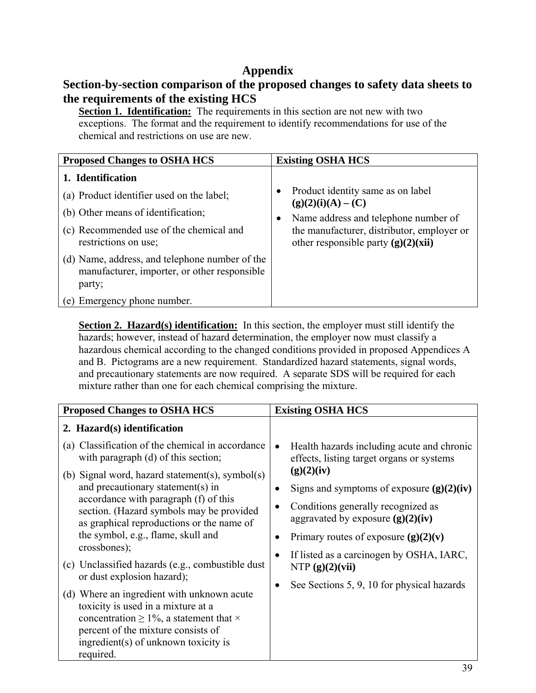# **Appendix**

## **Section-by-section comparison of the proposed changes to safety data sheets to the requirements of the existing HCS**

**Section 1. Identification:** The requirements in this section are not new with two exceptions. The format and the requirement to identify recommendations for use of the chemical and restrictions on use are new.

| <b>Proposed Changes to OSHA HCS</b>                                                                                                                                                                                                                                                                            | <b>Existing OSHA HCS</b>                                                                                                                                                                           |
|----------------------------------------------------------------------------------------------------------------------------------------------------------------------------------------------------------------------------------------------------------------------------------------------------------------|----------------------------------------------------------------------------------------------------------------------------------------------------------------------------------------------------|
| 1. Identification<br>(a) Product identifier used on the label;<br>(b) Other means of identification;<br>(c) Recommended use of the chemical and<br>restrictions on use;<br>(d) Name, address, and telephone number of the<br>manufacturer, importer, or other responsible<br>party;<br>Emergency phone number. | Product identity same as on label<br>٠<br>$(g)(2)(i)(A) - (C)$<br>Name address and telephone number of<br>٠<br>the manufacturer, distributor, employer or<br>other responsible party $(g)(2)(xii)$ |

**Section 2. Hazard(s) identification:** In this section, the employer must still identify the hazards; however, instead of hazard determination, the employer now must classify a hazardous chemical according to the changed conditions provided in proposed Appendices A and B. Pictograms are a new requirement. Standardized hazard statements, signal words, and precautionary statements are now required. A separate SDS will be required for each mixture rather than one for each chemical comprising the mixture.

| <b>Proposed Changes to OSHA HCS</b>                                                                                                                                                                                                                                                                                                                                                                                                                                                                                                                                                                                                                                                              | <b>Existing OSHA HCS</b>                                                                                                                                                                                                                                                                                                                                                                   |
|--------------------------------------------------------------------------------------------------------------------------------------------------------------------------------------------------------------------------------------------------------------------------------------------------------------------------------------------------------------------------------------------------------------------------------------------------------------------------------------------------------------------------------------------------------------------------------------------------------------------------------------------------------------------------------------------------|--------------------------------------------------------------------------------------------------------------------------------------------------------------------------------------------------------------------------------------------------------------------------------------------------------------------------------------------------------------------------------------------|
| 2. Hazard(s) identification                                                                                                                                                                                                                                                                                                                                                                                                                                                                                                                                                                                                                                                                      |                                                                                                                                                                                                                                                                                                                                                                                            |
| (a) Classification of the chemical in accordance<br>with paragraph (d) of this section;<br>(b) Signal word, hazard statement(s), symbol(s)<br>and precautionary statement(s) in<br>accordance with paragraph (f) of this<br>section. (Hazard symbols may be provided<br>as graphical reproductions or the name of<br>the symbol, e.g., flame, skull and<br>crossbones);<br>(c) Unclassified hazards (e.g., combustible dust<br>or dust explosion hazard);<br>(d) Where an ingredient with unknown acute<br>toxicity is used in a mixture at a<br>concentration $\geq 1\%$ , a statement that $\times$<br>percent of the mixture consists of<br>ingredient(s) of unknown toxicity is<br>required. | Health hazards including acute and chronic<br>effects, listing target organs or systems<br>(g)(2)(iv)<br>Signs and symptoms of exposure $(g)(2)(iv)$<br>Conditions generally recognized as<br>aggravated by exposure $(g)(2)(iv)$<br>Primary routes of exposure $(g)(2)(v)$<br>If listed as a carcinogen by OSHA, IARC,<br>NTP $(g)(2)(vii)$<br>See Sections 5, 9, 10 for physical hazards |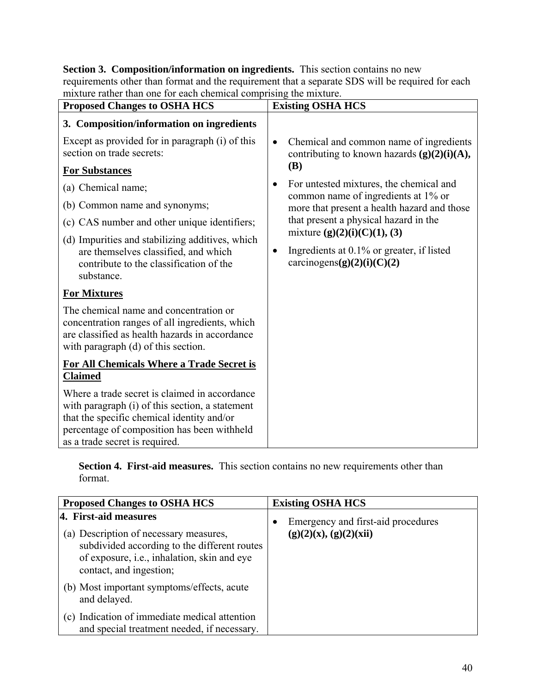**Section 3. Composition/information on ingredients.** This section contains no new requirements other than format and the requirement that a separate SDS will be required for each mixture rather than one for each chemical comprising the mixture.

| <b>Proposed Changes to OSHA HCS</b>                                                                                                                                                                                             | <b>Existing OSHA HCS</b>                                                                                                  |
|---------------------------------------------------------------------------------------------------------------------------------------------------------------------------------------------------------------------------------|---------------------------------------------------------------------------------------------------------------------------|
| 3. Composition/information on ingredients                                                                                                                                                                                       |                                                                                                                           |
| Except as provided for in paragraph (i) of this<br>section on trade secrets:                                                                                                                                                    | Chemical and common name of ingredients<br>$\bullet$<br>contributing to known hazards $(g)(2)(i)(A)$ ,                    |
| <b>For Substances</b>                                                                                                                                                                                                           | <b>(B)</b>                                                                                                                |
| (a) Chemical name;                                                                                                                                                                                                              | For untested mixtures, the chemical and<br>$\bullet$<br>common name of ingredients at 1% or                               |
| (b) Common name and synonyms;                                                                                                                                                                                                   | more that present a health hazard and those                                                                               |
| (c) CAS number and other unique identifiers;                                                                                                                                                                                    | that present a physical hazard in the                                                                                     |
| (d) Impurities and stabilizing additives, which<br>are themselves classified, and which<br>contribute to the classification of the<br>substance.                                                                                | mixture $(g)(2)(i)(C)(1), (3)$<br>Ingredients at 0.1% or greater, if listed<br>$\bullet$<br>carcinogens $(g)(2)(i)(C)(2)$ |
| <b>For Mixtures</b>                                                                                                                                                                                                             |                                                                                                                           |
| The chemical name and concentration or<br>concentration ranges of all ingredients, which<br>are classified as health hazards in accordance<br>with paragraph (d) of this section.                                               |                                                                                                                           |
| For All Chemicals Where a Trade Secret is<br><b>Claimed</b>                                                                                                                                                                     |                                                                                                                           |
| Where a trade secret is claimed in accordance<br>with paragraph (i) of this section, a statement<br>that the specific chemical identity and/or<br>percentage of composition has been withheld<br>as a trade secret is required. |                                                                                                                           |

**Section 4. First-aid measures.** This section contains no new requirements other than format.

| <b>Proposed Changes to OSHA HCS</b>                                                                                                                                                       | <b>Existing OSHA HCS</b>                                     |
|-------------------------------------------------------------------------------------------------------------------------------------------------------------------------------------------|--------------------------------------------------------------|
| 4. First-aid measures<br>(a) Description of necessary measures,<br>subdivided according to the different routes<br>of exposure, i.e., inhalation, skin and eye<br>contact, and ingestion; | Emergency and first-aid procedures<br>(g)(2)(x), (g)(2)(xii) |
| (b) Most important symptoms/effects, acute<br>and delayed.                                                                                                                                |                                                              |
| (c) Indication of immediate medical attention<br>and special treatment needed, if necessary.                                                                                              |                                                              |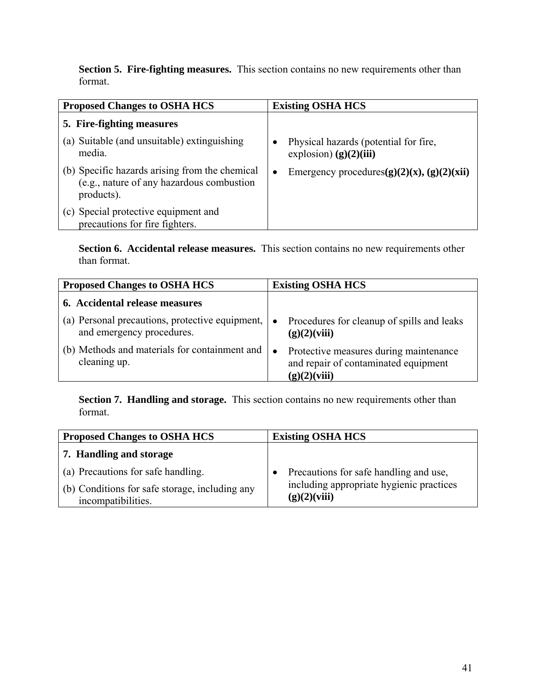**Section 5. Fire-fighting measures.** This section contains no new requirements other than format.

| <b>Proposed Changes to OSHA HCS</b>                                                                       | <b>Existing OSHA HCS</b>                                          |
|-----------------------------------------------------------------------------------------------------------|-------------------------------------------------------------------|
| 5. Fire-fighting measures                                                                                 |                                                                   |
| (a) Suitable (and unsuitable) extinguishing<br>media.                                                     | Physical hazards (potential for fire,<br>explosion) $(g)(2)(iii)$ |
| (b) Specific hazards arising from the chemical<br>(e.g., nature of any hazardous combustion<br>products). | Emergency procedures $(g)(2)(x)$ , $(g)(2)(xii)$<br>$\bullet$     |
| (c) Special protective equipment and<br>precautions for fire fighters.                                    |                                                                   |

**Section 6. Accidental release measures.** This section contains no new requirements other than format.

| <b>Proposed Changes to OSHA HCS</b>                                          | <b>Existing OSHA HCS</b>                                                                                    |
|------------------------------------------------------------------------------|-------------------------------------------------------------------------------------------------------------|
| 6. Accidental release measures                                               |                                                                                                             |
| (a) Personal precautions, protective equipment,<br>and emergency procedures. | Procedures for cleanup of spills and leaks<br>$\bullet$<br>(g)(2)(viii)                                     |
| (b) Methods and materials for containment and<br>cleaning up.                | Protective measures during maintenance<br>$\bullet$<br>and repair of contaminated equipment<br>(g)(2)(viii) |

**Section 7. Handling and storage.** This section contains no new requirements other than format.

| <b>Proposed Changes to OSHA HCS</b>                                  | <b>Existing OSHA HCS</b>                                 |
|----------------------------------------------------------------------|----------------------------------------------------------|
| 7. Handling and storage                                              |                                                          |
| (a) Precautions for safe handling.                                   | Precautions for safe handling and use,                   |
| (b) Conditions for safe storage, including any<br>incompatibilities. | including appropriate hygienic practices<br>(g)(2)(viii) |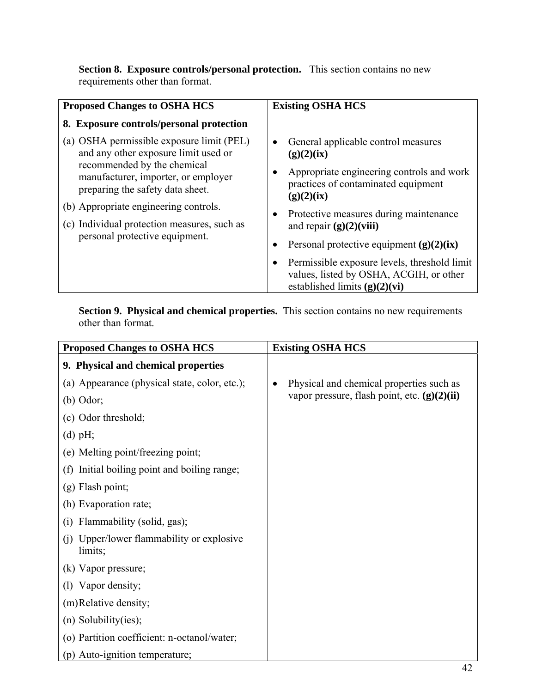**Section 8. Exposure controls/personal protection.** This section contains no new requirements other than format.

| <b>Proposed Changes to OSHA HCS</b>                                                                                                                                                                                                                                                                                   | <b>Existing OSHA HCS</b>                                                                                                                                                                                                                                                                                                                                                                                            |
|-----------------------------------------------------------------------------------------------------------------------------------------------------------------------------------------------------------------------------------------------------------------------------------------------------------------------|---------------------------------------------------------------------------------------------------------------------------------------------------------------------------------------------------------------------------------------------------------------------------------------------------------------------------------------------------------------------------------------------------------------------|
| 8. Exposure controls/personal protection                                                                                                                                                                                                                                                                              |                                                                                                                                                                                                                                                                                                                                                                                                                     |
| (a) OSHA permissible exposure limit (PEL)<br>and any other exposure limit used or<br>recommended by the chemical<br>manufacturer, importer, or employer<br>preparing the safety data sheet.<br>(b) Appropriate engineering controls.<br>(c) Individual protection measures, such as<br>personal protective equipment. | General applicable control measures<br>(g)(2)(ix)<br>Appropriate engineering controls and work<br>practices of contaminated equipment<br>(g)(2)(ix)<br>Protective measures during maintenance<br>$\bullet$<br>and repair $(g)(2)(viii)$<br>Personal protective equipment $(g)(2)(ix)$<br>Permissible exposure levels, threshold limit<br>values, listed by OSHA, ACGIH, or other<br>established limits $(g)(2)(vi)$ |

**Section 9. Physical and chemical properties.** This section contains no new requirements other than format.

| <b>Proposed Changes to OSHA HCS</b>                     | <b>Existing OSHA HCS</b>                       |
|---------------------------------------------------------|------------------------------------------------|
| 9. Physical and chemical properties                     |                                                |
| (a) Appearance (physical state, color, etc.);           | Physical and chemical properties such as       |
| $(b)$ Odor;                                             | vapor pressure, flash point, etc. $(g)(2)(ii)$ |
| (c) Odor threshold;                                     |                                                |
| $(d)$ pH;                                               |                                                |
| (e) Melting point/freezing point;                       |                                                |
| (f) Initial boiling point and boiling range;            |                                                |
| $(g)$ Flash point;                                      |                                                |
| (h) Evaporation rate;                                   |                                                |
| Flammability (solid, gas);<br>(i)                       |                                                |
| Upper/lower flammability or explosive<br>(1)<br>limits; |                                                |
| (k) Vapor pressure;                                     |                                                |
| (1) Vapor density;                                      |                                                |
| (m)Relative density;                                    |                                                |
| $(n)$ Solubility(ies);                                  |                                                |
| (o) Partition coefficient: n-octanol/water;             |                                                |
| (p) Auto-ignition temperature;                          |                                                |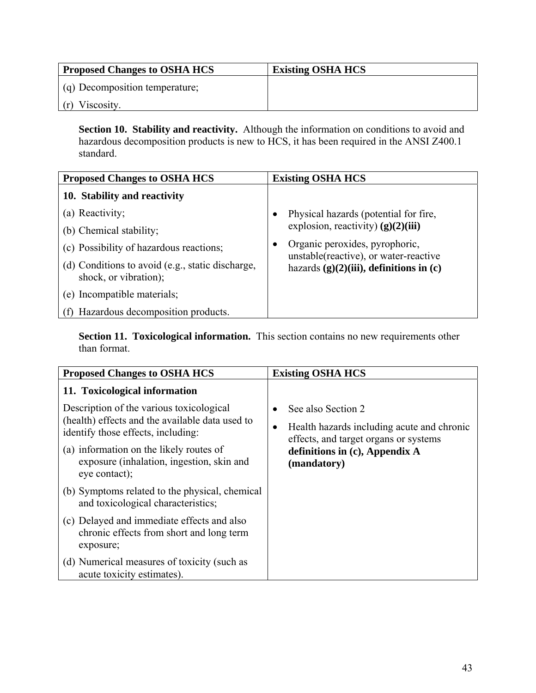| <b>Proposed Changes to OSHA HCS</b> | <b>Existing OSHA HCS</b> |
|-------------------------------------|--------------------------|
| $(q)$ Decomposition temperature;    |                          |
| $(r)$ Viscosity.                    |                          |

**Section 10. Stability and reactivity.** Although the information on conditions to avoid and hazardous decomposition products is new to HCS, it has been required in the ANSI Z400.1 standard.

| <b>Proposed Changes to OSHA HCS</b>                                                                                                                                       | <b>Existing OSHA HCS</b>                                                                                                                                                                                                   |
|---------------------------------------------------------------------------------------------------------------------------------------------------------------------------|----------------------------------------------------------------------------------------------------------------------------------------------------------------------------------------------------------------------------|
| 10. Stability and reactivity<br>(a) Reactivity;<br>(b) Chemical stability;<br>(c) Possibility of hazardous reactions;<br>(d) Conditions to avoid (e.g., static discharge, | Physical hazards (potential for fire,<br>٠<br>explosion, reactivity) $(g)(2)(iii)$<br>Organic peroxides, pyrophoric,<br>$\bullet$<br>unstable(reactive), or water-reactive<br>hazards $(g)(2)(iii)$ , definitions in $(c)$ |
| shock, or vibration);<br>(e) Incompatible materials;                                                                                                                      |                                                                                                                                                                                                                            |
| Hazardous decomposition products.                                                                                                                                         |                                                                                                                                                                                                                            |

**Section 11. Toxicological information.** This section contains no new requirements other than format.

| <b>Proposed Changes to OSHA HCS</b>                                                                                                                                                                                                        | <b>Existing OSHA HCS</b>                                                                                                                                      |
|--------------------------------------------------------------------------------------------------------------------------------------------------------------------------------------------------------------------------------------------|---------------------------------------------------------------------------------------------------------------------------------------------------------------|
| 11. Toxicological information                                                                                                                                                                                                              |                                                                                                                                                               |
| Description of the various toxicological<br>(health) effects and the available data used to<br>identify those effects, including:<br>(a) information on the likely routes of<br>exposure (inhalation, ingestion, skin and<br>eye contact); | See also Section 2<br>Health hazards including acute and chronic<br>effects, and target organs or systems<br>definitions in $(c)$ , Appendix A<br>(mandatory) |
| (b) Symptoms related to the physical, chemical<br>and toxicological characteristics;                                                                                                                                                       |                                                                                                                                                               |
| (c) Delayed and immediate effects and also<br>chronic effects from short and long term<br>exposure;                                                                                                                                        |                                                                                                                                                               |
| (d) Numerical measures of toxicity (such as<br>acute toxicity estimates).                                                                                                                                                                  |                                                                                                                                                               |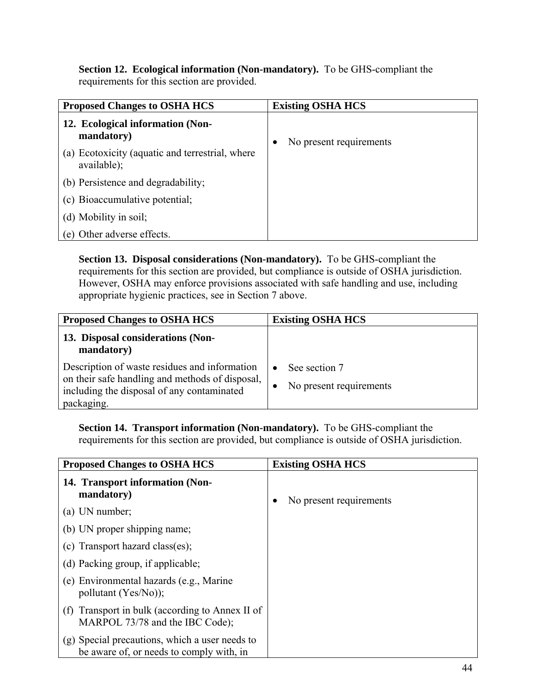**Section 12. Ecological information (Non-mandatory).** To be GHS-compliant the requirements for this section are provided.

| <b>Proposed Changes to OSHA HCS</b>                            | <b>Existing OSHA HCS</b> |
|----------------------------------------------------------------|--------------------------|
| 12. Ecological information (Non-<br>mandatory)                 | No present requirements  |
| (a) Ecotoxicity (aquatic and terrestrial, where<br>available); |                          |
| (b) Persistence and degradability;                             |                          |
| (c) Bioaccumulative potential;                                 |                          |
| (d) Mobility in soil;                                          |                          |
| (e) Other adverse effects.                                     |                          |

**Section 13. Disposal considerations (Non-mandatory).** To be GHS-compliant the requirements for this section are provided, but compliance is outside of OSHA jurisdiction. However, OSHA may enforce provisions associated with safe handling and use, including appropriate hygienic practices, see in Section 7 above.

| <b>Proposed Changes to OSHA HCS</b>                                                                                                                          | <b>Existing OSHA HCS</b>                 |
|--------------------------------------------------------------------------------------------------------------------------------------------------------------|------------------------------------------|
| 13. Disposal considerations (Non-<br>mandatory)                                                                                                              |                                          |
| Description of waste residues and information<br>on their safe handling and methods of disposal,<br>including the disposal of any contaminated<br>packaging. | See section 7<br>No present requirements |

**Section 14. Transport information (Non-mandatory).** To be GHS-compliant the requirements for this section are provided, but compliance is outside of OSHA jurisdiction.

| <b>Proposed Changes to OSHA HCS</b>                                                        | <b>Existing OSHA HCS</b> |
|--------------------------------------------------------------------------------------------|--------------------------|
| 14. Transport information (Non-<br>mandatory)                                              | No present requirements  |
| $(a)$ UN number;                                                                           |                          |
| (b) UN proper shipping name;                                                               |                          |
| (c) Transport hazard class(es);                                                            |                          |
| (d) Packing group, if applicable;                                                          |                          |
| (e) Environmental hazards (e.g., Marine<br>pollutant $(Yes/No)$ ;                          |                          |
| (f) Transport in bulk (according to Annex II of<br>MARPOL 73/78 and the IBC Code);         |                          |
| (g) Special precautions, which a user needs to<br>be aware of, or needs to comply with, in |                          |